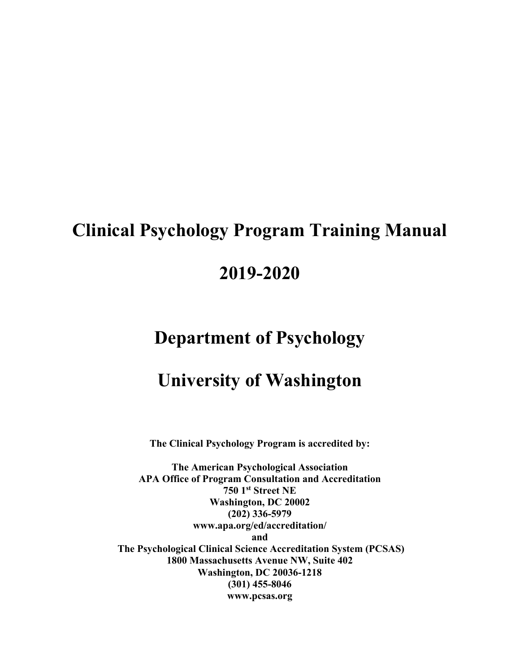# **Clinical Psychology Program Training Manual**

# **2019-2020**

# **Department of Psychology**

# **University of Washington**

**The Clinical Psychology Program is accredited by:** 

**The American Psychological Association APA Office of Program Consultation and Accreditation 750 1st Street NE Washington, DC 20002 (202) 336-5979 www.apa.org/ed/accreditation/ and The Psychological Clinical Science Accreditation System (PCSAS) 1800 Massachusetts Avenue NW, Suite 402 Washington, DC 20036-1218 (301) 455-8046 www.pcsas.org**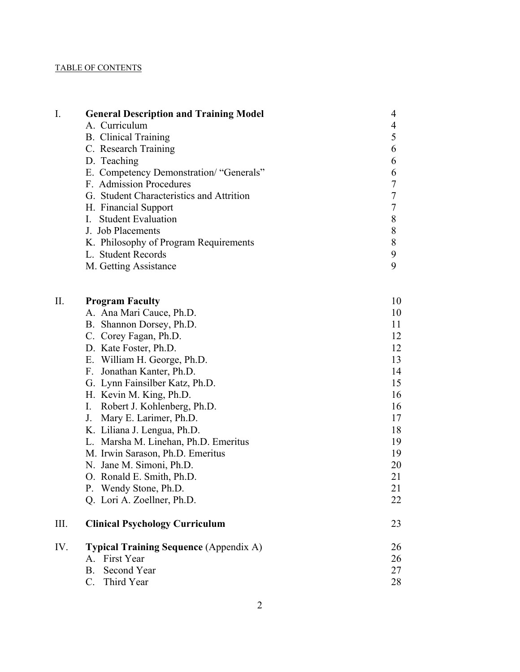# TABLE OF CONTENTS

| I.  | <b>General Description and Training Model</b> | $\overline{4}$           |
|-----|-----------------------------------------------|--------------------------|
|     | A. Curriculum                                 | $\overline{\mathcal{A}}$ |
|     | <b>B.</b> Clinical Training                   | 5                        |
|     | C. Research Training                          | 6                        |
|     | D. Teaching                                   | 6                        |
|     | E. Competency Demonstration/ "Generals"       | 6                        |
|     | F. Admission Procedures                       | $\tau$                   |
|     | G. Student Characteristics and Attrition      | $\tau$                   |
|     | H. Financial Support                          | $\boldsymbol{7}$         |
|     | <b>Student Evaluation</b><br>L.               | $8\,$                    |
|     | J. Job Placements                             | 8                        |
|     | K. Philosophy of Program Requirements         | $8\,$                    |
|     | L. Student Records                            | $\mathbf{9}$             |
|     | M. Getting Assistance                         | 9                        |
|     |                                               |                          |
| II. | <b>Program Faculty</b>                        | 10                       |
|     | A. Ana Mari Cauce, Ph.D.                      | 10                       |
|     | B. Shannon Dorsey, Ph.D.                      | 11                       |
|     | C. Corey Fagan, Ph.D.                         | 12                       |
|     | D. Kate Foster, Ph.D.                         | 12                       |
|     | E. William H. George, Ph.D.                   | 13                       |
|     | F. Jonathan Kanter, Ph.D.                     | 14                       |
|     | G. Lynn Fainsilber Katz, Ph.D.                | 15                       |
|     | H. Kevin M. King, Ph.D.                       | 16                       |
|     | Robert J. Kohlenberg, Ph.D.<br>I.             | 16                       |
|     | J. Mary E. Larimer, Ph.D.                     | 17                       |
|     | K. Liliana J. Lengua, Ph.D.                   | 18                       |
|     | L. Marsha M. Linehan, Ph.D. Emeritus          | 19                       |
|     | M. Irwin Sarason, Ph.D. Emeritus              | 19                       |
|     | N. Jane M. Simoni, Ph.D.                      | 20                       |
|     | O. Ronald E. Smith, Ph.D.                     | 21                       |
|     | P. Wendy Stone, Ph.D.                         | 21                       |
|     | Q. Lori A. Zoellner, Ph.D.                    | 22                       |

| -Ш. | <b>Clinical Psychology Curriculum</b>         |    |
|-----|-----------------------------------------------|----|
| IV. | <b>Typical Training Sequence</b> (Appendix A) | 26 |
|     | A. First Year                                 | 26 |
|     | B. Second Year                                |    |

C. Third Year 28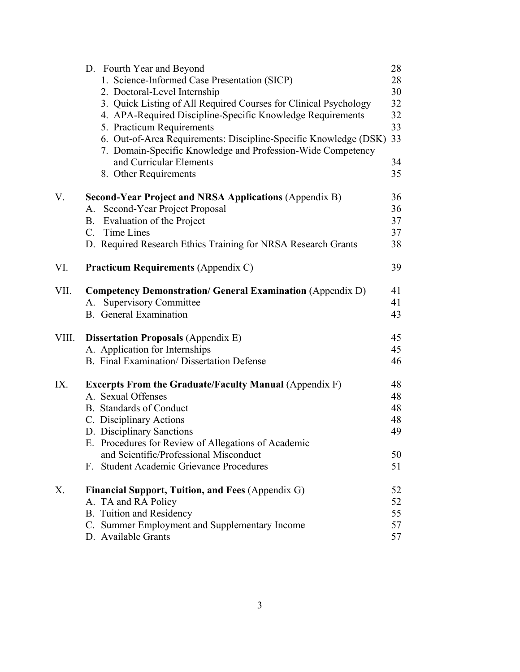|       | D. Fourth Year and Beyond                                                                                                       | 28 |
|-------|---------------------------------------------------------------------------------------------------------------------------------|----|
|       | 1. Science-Informed Case Presentation (SICP)                                                                                    | 28 |
|       | 2. Doctoral-Level Internship                                                                                                    | 30 |
|       | 3. Quick Listing of All Required Courses for Clinical Psychology                                                                | 32 |
|       | 4. APA-Required Discipline-Specific Knowledge Requirements                                                                      | 32 |
|       | 5. Practicum Requirements                                                                                                       | 33 |
|       | 6. Out-of-Area Requirements: Discipline-Specific Knowledge (DSK)<br>7. Domain-Specific Knowledge and Profession-Wide Competency | 33 |
|       | and Curricular Elements                                                                                                         | 34 |
|       | 8. Other Requirements                                                                                                           | 35 |
| V.    | <b>Second-Year Project and NRSA Applications (Appendix B)</b>                                                                   | 36 |
|       | A. Second-Year Project Proposal                                                                                                 | 36 |
|       | B. Evaluation of the Project                                                                                                    | 37 |
|       | C. Time Lines                                                                                                                   | 37 |
|       | D. Required Research Ethics Training for NRSA Research Grants                                                                   | 38 |
| VI.   | <b>Practicum Requirements (Appendix C)</b>                                                                                      | 39 |
| VII.  | <b>Competency Demonstration/ General Examination (Appendix D)</b>                                                               | 41 |
|       | <b>Supervisory Committee</b><br>A.                                                                                              | 41 |
|       | <b>B.</b> General Examination                                                                                                   | 43 |
| VIII. | <b>Dissertation Proposals (Appendix E)</b>                                                                                      | 45 |
|       | A. Application for Internships                                                                                                  | 45 |
|       | <b>B.</b> Final Examination/Dissertation Defense                                                                                | 46 |
| IX.   | <b>Excerpts From the Graduate/Faculty Manual (Appendix F)</b>                                                                   | 48 |
|       | A. Sexual Offenses                                                                                                              | 48 |
|       | <b>B.</b> Standards of Conduct                                                                                                  | 48 |
|       | C. Disciplinary Actions                                                                                                         | 48 |
|       | D. Disciplinary Sanctions                                                                                                       | 49 |
|       | E. Procedures for Review of Allegations of Academic                                                                             |    |
|       | and Scientific/Professional Misconduct                                                                                          | 50 |
|       | F. Student Academic Grievance Procedures                                                                                        | 51 |
| X.    | Financial Support, Tuition, and Fees (Appendix G)                                                                               | 52 |
|       | A. TA and RA Policy                                                                                                             | 52 |
|       | <b>B.</b> Tuition and Residency                                                                                                 | 55 |
|       | C. Summer Employment and Supplementary Income                                                                                   | 57 |
|       | D. Available Grants                                                                                                             | 57 |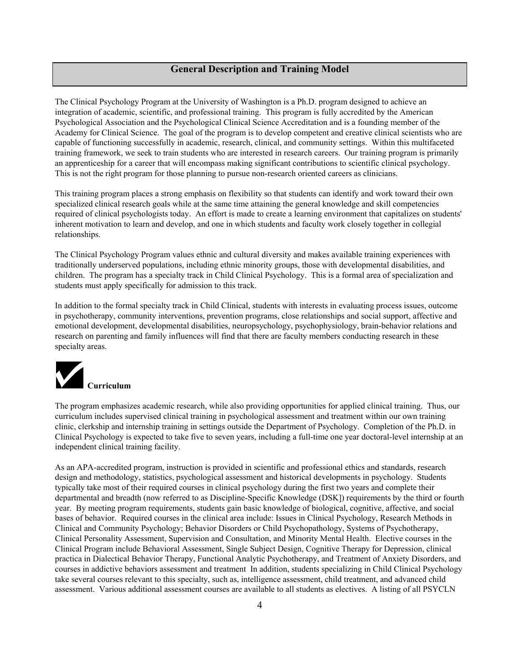# **General Description and Training Model**

The Clinical Psychology Program at the University of Washington is a Ph.D. program designed to achieve an integration of academic, scientific, and professional training. This program is fully accredited by the American Psychological Association and the Psychological Clinical Science Accreditation and is a founding member of the Academy for Clinical Science. The goal of the program is to develop competent and creative clinical scientists who are capable of functioning successfully in academic, research, clinical, and community settings. Within this multifaceted training framework, we seek to train students who are interested in research careers. Our training program is primarily an apprenticeship for a career that will encompass making significant contributions to scientific clinical psychology. This is not the right program for those planning to pursue non-research oriented careers as clinicians.

This training program places a strong emphasis on flexibility so that students can identify and work toward their own specialized clinical research goals while at the same time attaining the general knowledge and skill competencies required of clinical psychologists today. An effort is made to create a learning environment that capitalizes on students' inherent motivation to learn and develop, and one in which students and faculty work closely together in collegial relationships.

The Clinical Psychology Program values ethnic and cultural diversity and makes available training experiences with traditionally underserved populations, including ethnic minority groups, those with developmental disabilities, and children. The program has a specialty track in Child Clinical Psychology. This is a formal area of specialization and students must apply specifically for admission to this track.

In addition to the formal specialty track in Child Clinical, students with interests in evaluating process issues, outcome in psychotherapy, community interventions, prevention programs, close relationships and social support, affective and emotional development, developmental disabilities, neuropsychology, psychophysiology, brain-behavior relations and research on parenting and family influences will find that there are faculty members conducting research in these specialty areas.



The program emphasizes academic research, while also providing opportunities for applied clinical training. Thus, our curriculum includes supervised clinical training in psychological assessment and treatment within our own training clinic, clerkship and internship training in settings outside the Department of Psychology. Completion of the Ph.D. in Clinical Psychology is expected to take five to seven years, including a full-time one year doctoral-level internship at an independent clinical training facility.

As an APA-accredited program, instruction is provided in scientific and professional ethics and standards, research design and methodology, statistics, psychological assessment and historical developments in psychology. Students typically take most of their required courses in clinical psychology during the first two years and complete their departmental and breadth (now referred to as Discipline-Specific Knowledge (DSK]) requirements by the third or fourth year. By meeting program requirements, students gain basic knowledge of biological, cognitive, affective, and social bases of behavior. Required courses in the clinical area include: Issues in Clinical Psychology, Research Methods in Clinical and Community Psychology; Behavior Disorders or Child Psychopathology, Systems of Psychotherapy, Clinical Personality Assessment, Supervision and Consultation, and Minority Mental Health. Elective courses in the Clinical Program include Behavioral Assessment, Single Subject Design, Cognitive Therapy for Depression, clinical practica in Dialectical Behavior Therapy, Functional Analytic Psychotherapy, and Treatment of Anxiety Disorders, and courses in addictive behaviors assessment and treatment In addition, students specializing in Child Clinical Psychology take several courses relevant to this specialty, such as, intelligence assessment, child treatment, and advanced child assessment. Various additional assessment courses are available to all students as electives. A listing of all PSYCLN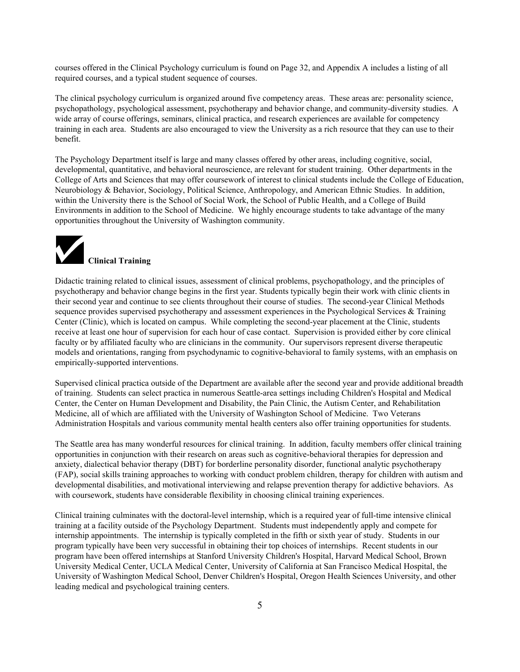courses offered in the Clinical Psychology curriculum is found on Page 32, and Appendix A includes a listing of all required courses, and a typical student sequence of courses.

The clinical psychology curriculum is organized around five competency areas. These areas are: personality science, psychopathology, psychological assessment, psychotherapy and behavior change, and community-diversity studies. A wide array of course offerings, seminars, clinical practica, and research experiences are available for competency training in each area. Students are also encouraged to view the University as a rich resource that they can use to their benefit.

The Psychology Department itself is large and many classes offered by other areas, including cognitive, social, developmental, quantitative, and behavioral neuroscience, are relevant for student training. Other departments in the College of Arts and Sciences that may offer coursework of interest to clinical students include the College of Education, Neurobiology & Behavior, Sociology, Political Science, Anthropology, and American Ethnic Studies. In addition, within the University there is the School of Social Work, the School of Public Health, and a College of Build Environments in addition to the School of Medicine. We highly encourage students to take advantage of the many opportunities throughout the University of Washington community.



Didactic training related to clinical issues, assessment of clinical problems, psychopathology, and the principles of psychotherapy and behavior change begins in the first year. Students typically begin their work with clinic clients in their second year and continue to see clients throughout their course of studies. The second-year Clinical Methods sequence provides supervised psychotherapy and assessment experiences in the Psychological Services & Training Center (Clinic), which is located on campus. While completing the second-year placement at the Clinic, students receive at least one hour of supervision for each hour of case contact. Supervision is provided either by core clinical faculty or by affiliated faculty who are clinicians in the community. Our supervisors represent diverse therapeutic models and orientations, ranging from psychodynamic to cognitive-behavioral to family systems, with an emphasis on empirically-supported interventions.

Supervised clinical practica outside of the Department are available after the second year and provide additional breadth of training. Students can select practica in numerous Seattle-area settings including Children's Hospital and Medical Center, the Center on Human Development and Disability, the Pain Clinic, the Autism Center, and Rehabilitation Medicine, all of which are affiliated with the University of Washington School of Medicine. Two Veterans Administration Hospitals and various community mental health centers also offer training opportunities for students.

The Seattle area has many wonderful resources for clinical training. In addition, faculty members offer clinical training opportunities in conjunction with their research on areas such as cognitive-behavioral therapies for depression and anxiety, dialectical behavior therapy (DBT) for borderline personality disorder, functional analytic psychotherapy (FAP), social skills training approaches to working with conduct problem children, therapy for children with autism and developmental disabilities, and motivational interviewing and relapse prevention therapy for addictive behaviors. As with coursework, students have considerable flexibility in choosing clinical training experiences.

Clinical training culminates with the doctoral-level internship, which is a required year of full-time intensive clinical training at a facility outside of the Psychology Department. Students must independently apply and compete for internship appointments. The internship is typically completed in the fifth or sixth year of study. Students in our program typically have been very successful in obtaining their top choices of internships. Recent students in our program have been offered internships at Stanford University Children's Hospital, Harvard Medical School, Brown University Medical Center, UCLA Medical Center, University of California at San Francisco Medical Hospital, the University of Washington Medical School, Denver Children's Hospital, Oregon Health Sciences University, and other leading medical and psychological training centers.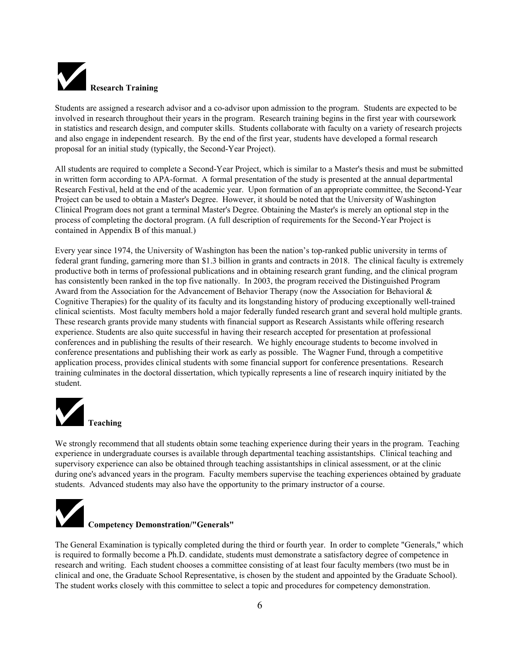

Students are assigned a research advisor and a co-advisor upon admission to the program. Students are expected to be involved in research throughout their years in the program. Research training begins in the first year with coursework in statistics and research design, and computer skills. Students collaborate with faculty on a variety of research projects and also engage in independent research. By the end of the first year, students have developed a formal research proposal for an initial study (typically, the Second-Year Project).

All students are required to complete a Second-Year Project, which is similar to a Master's thesis and must be submitted in written form according to APA-format. A formal presentation of the study is presented at the annual departmental Research Festival, held at the end of the academic year. Upon formation of an appropriate committee, the Second-Year Project can be used to obtain a Master's Degree. However, it should be noted that the University of Washington Clinical Program does not grant a terminal Master's Degree. Obtaining the Master's is merely an optional step in the process of completing the doctoral program. (A full description of requirements for the Second-Year Project is contained in Appendix B of this manual.)

Every year since 1974, the University of Washington has been the nation's top-ranked public university in terms of federal grant funding, garnering more than \$1.3 billion in grants and contracts in 2018. The clinical faculty is extremely productive both in terms of professional publications and in obtaining research grant funding, and the clinical program has consistently been ranked in the top five nationally. In 2003, the program received the Distinguished Program Award from the Association for the Advancement of Behavior Therapy (now the Association for Behavioral  $\&$ Cognitive Therapies) for the quality of its faculty and its longstanding history of producing exceptionally well-trained clinical scientists. Most faculty members hold a major federally funded research grant and several hold multiple grants. These research grants provide many students with financial support as Research Assistants while offering research experience. Students are also quite successful in having their research accepted for presentation at professional conferences and in publishing the results of their research. We highly encourage students to become involved in conference presentations and publishing their work as early as possible. The Wagner Fund, through a competitive application process, provides clinical students with some financial support for conference presentations. Research training culminates in the doctoral dissertation, which typically represents a line of research inquiry initiated by the student.



We strongly recommend that all students obtain some teaching experience during their years in the program. Teaching experience in undergraduate courses is available through departmental teaching assistantships. Clinical teaching and supervisory experience can also be obtained through teaching assistantships in clinical assessment, or at the clinic during one's advanced years in the program. Faculty members supervise the teaching experiences obtained by graduate students. Advanced students may also have the opportunity to the primary instructor of a course.



# **Competency Demonstration/"Generals"**

The General Examination is typically completed during the third or fourth year. In order to complete "Generals," which is required to formally become a Ph.D. candidate, students must demonstrate a satisfactory degree of competence in research and writing. Each student chooses a committee consisting of at least four faculty members (two must be in clinical and one, the Graduate School Representative, is chosen by the student and appointed by the Graduate School). The student works closely with this committee to select a topic and procedures for competency demonstration.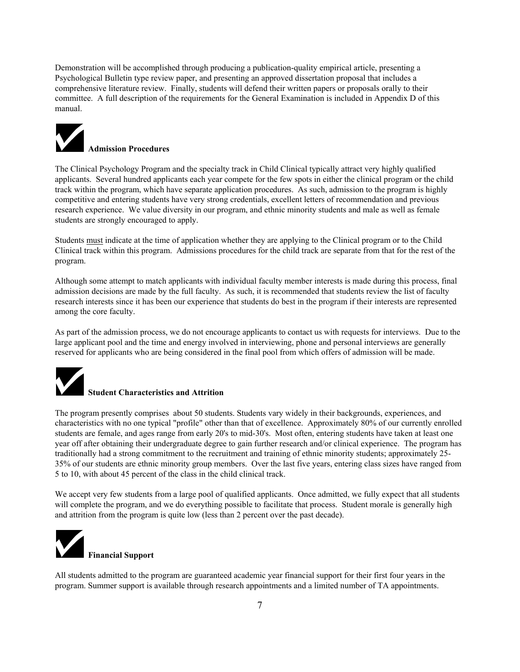Demonstration will be accomplished through producing a publication-quality empirical article, presenting a Psychological Bulletin type review paper, and presenting an approved dissertation proposal that includes a comprehensive literature review. Finally, students will defend their written papers or proposals orally to their committee. A full description of the requirements for the General Examination is included in Appendix D of this manual.



The Clinical Psychology Program and the specialty track in Child Clinical typically attract very highly qualified applicants. Several hundred applicants each year compete for the few spots in either the clinical program or the child track within the program, which have separate application procedures. As such, admission to the program is highly competitive and entering students have very strong credentials, excellent letters of recommendation and previous research experience. We value diversity in our program, and ethnic minority students and male as well as female students are strongly encouraged to apply.

Students must indicate at the time of application whether they are applying to the Clinical program or to the Child Clinical track within this program. Admissions procedures for the child track are separate from that for the rest of the program.

Although some attempt to match applicants with individual faculty member interests is made during this process, final admission decisions are made by the full faculty. As such, it is recommended that students review the list of faculty research interests since it has been our experience that students do best in the program if their interests are represented among the core faculty.

As part of the admission process, we do not encourage applicants to contact us with requests for interviews. Due to the large applicant pool and the time and energy involved in interviewing, phone and personal interviews are generally reserved for applicants who are being considered in the final pool from which offers of admission will be made.



# **Student Characteristics and Attrition**

The program presently comprises about 50 students. Students vary widely in their backgrounds, experiences, and characteristics with no one typical "profile" other than that of excellence. Approximately 80% of our currently enrolled students are female, and ages range from early 20's to mid-30's. Most often, entering students have taken at least one year off after obtaining their undergraduate degree to gain further research and/or clinical experience. The program has traditionally had a strong commitment to the recruitment and training of ethnic minority students; approximately 25- 35% of our students are ethnic minority group members. Over the last five years, entering class sizes have ranged from 5 to 10, with about 45 percent of the class in the child clinical track.

We accept very few students from a large pool of qualified applicants. Once admitted, we fully expect that all students will complete the program, and we do everything possible to facilitate that process. Student morale is generally high and attrition from the program is quite low (less than 2 percent over the past decade).



All students admitted to the program are guaranteed academic year financial support for their first four years in the program. Summer support is available through research appointments and a limited number of TA appointments.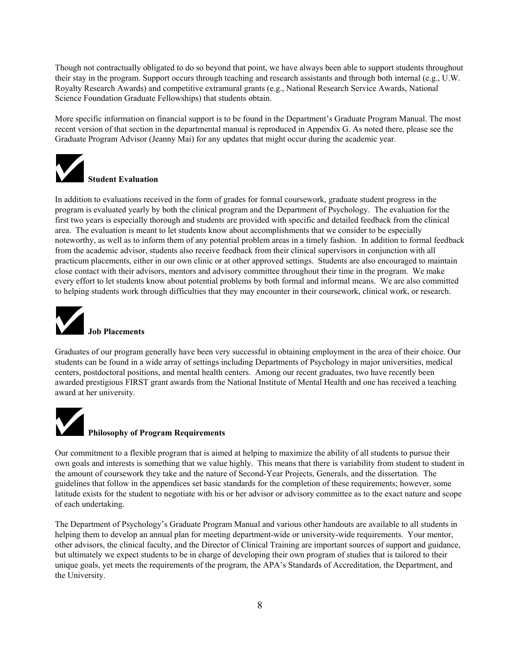Though not contractually obligated to do so beyond that point, we have always been able to support students throughout their stay in the program. Support occurs through teaching and research assistants and through both internal (e.g., U.W. Royalty Research Awards) and competitive extramural grants (e.g., National Research Service Awards, National Science Foundation Graduate Fellowships) that students obtain.

More specific information on financial support is to be found in the Department's Graduate Program Manual. The most recent version of that section in the departmental manual is reproduced in Appendix G. As noted there, please see the Graduate Program Advisor (Jeanny Mai) for any updates that might occur during the academic year.



In addition to evaluations received in the form of grades for formal coursework, graduate student progress in the program is evaluated yearly by both the clinical program and the Department of Psychology. The evaluation for the first two years is especially thorough and students are provided with specific and detailed feedback from the clinical area. The evaluation is meant to let students know about accomplishments that we consider to be especially noteworthy, as well as to inform them of any potential problem areas in a timely fashion. In addition to formal feedback from the academic advisor, students also receive feedback from their clinical supervisors in conjunction with all practicum placements, either in our own clinic or at other approved settings. Students are also encouraged to maintain close contact with their advisors, mentors and advisory committee throughout their time in the program. We make every effort to let students know about potential problems by both formal and informal means. We are also committed to helping students work through difficulties that they may encounter in their coursework, clinical work, or research.



# **Job Placements**

Graduates of our program generally have been very successful in obtaining employment in the area of their choice. Our students can be found in a wide array of settings including Departments of Psychology in major universities, medical centers, postdoctoral positions, and mental health centers. Among our recent graduates, two have recently been awarded prestigious FIRST grant awards from the National Institute of Mental Health and one has received a teaching award at her university.



## **Philosophy of Program Requirements**

Our commitment to a flexible program that is aimed at helping to maximize the ability of all students to pursue their own goals and interests is something that we value highly. This means that there is variability from student to student in the amount of coursework they take and the nature of Second-Year Projects, Generals, and the dissertation. The guidelines that follow in the appendices set basic standards for the completion of these requirements; however, some latitude exists for the student to negotiate with his or her advisor or advisory committee as to the exact nature and scope of each undertaking.

The Department of Psychology's Graduate Program Manual and various other handouts are available to all students in helping them to develop an annual plan for meeting department-wide or university-wide requirements. Your mentor, other advisors, the clinical faculty, and the Director of Clinical Training are important sources of support and guidance, but ultimately we expect students to be in charge of developing their own program of studies that is tailored to their unique goals, yet meets the requirements of the program, the APA's Standards of Accreditation, the Department, and the University.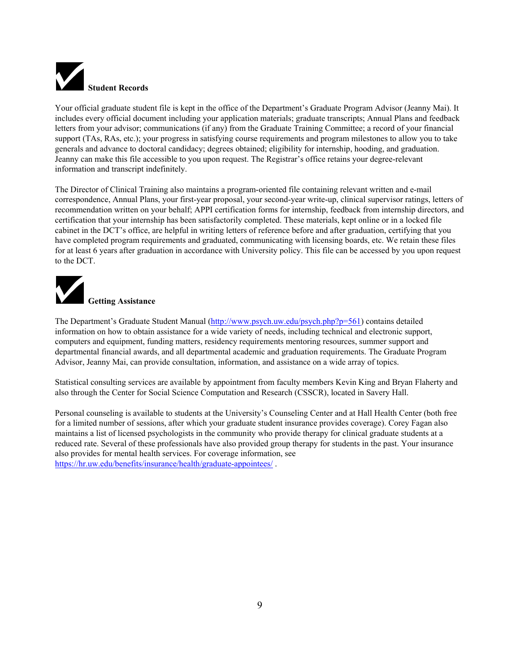

Your official graduate student file is kept in the office of the Department's Graduate Program Advisor (Jeanny Mai). It includes every official document including your application materials; graduate transcripts; Annual Plans and feedback letters from your advisor; communications (if any) from the Graduate Training Committee; a record of your financial support (TAs, RAs, etc.); your progress in satisfying course requirements and program milestones to allow you to take generals and advance to doctoral candidacy; degrees obtained; eligibility for internship, hooding, and graduation. Jeanny can make this file accessible to you upon request. The Registrar's office retains your degree-relevant information and transcript indefinitely.

The Director of Clinical Training also maintains a program-oriented file containing relevant written and e-mail correspondence, Annual Plans, your first-year proposal, your second-year write-up, clinical supervisor ratings, letters of recommendation written on your behalf; APPI certification forms for internship, feedback from internship directors, and certification that your internship has been satisfactorily completed. These materials, kept online or in a locked file cabinet in the DCT's office, are helpful in writing letters of reference before and after graduation, certifying that you have completed program requirements and graduated, communicating with licensing boards, etc. We retain these files for at least 6 years after graduation in accordance with University policy. This file can be accessed by you upon request to the DCT.



The Department's Graduate Student Manual (http://www.psych.uw.edu/psych.php?p=561) contains detailed information on how to obtain assistance for a wide variety of needs, including technical and electronic support, computers and equipment, funding matters, residency requirements mentoring resources, summer support and departmental financial awards, and all departmental academic and graduation requirements. The Graduate Program Advisor, Jeanny Mai, can provide consultation, information, and assistance on a wide array of topics.

Statistical consulting services are available by appointment from faculty members Kevin King and Bryan Flaherty and also through the Center for Social Science Computation and Research (CSSCR), located in Savery Hall.

Personal counseling is available to students at the University's Counseling Center and at Hall Health Center (both free for a limited number of sessions, after which your graduate student insurance provides coverage). Corey Fagan also maintains a list of licensed psychologists in the community who provide therapy for clinical graduate students at a reduced rate. Several of these professionals have also provided group therapy for students in the past. Your insurance also provides for mental health services. For coverage information, see https://hr.uw.edu/benefits/insurance/health/graduate-appointees/ .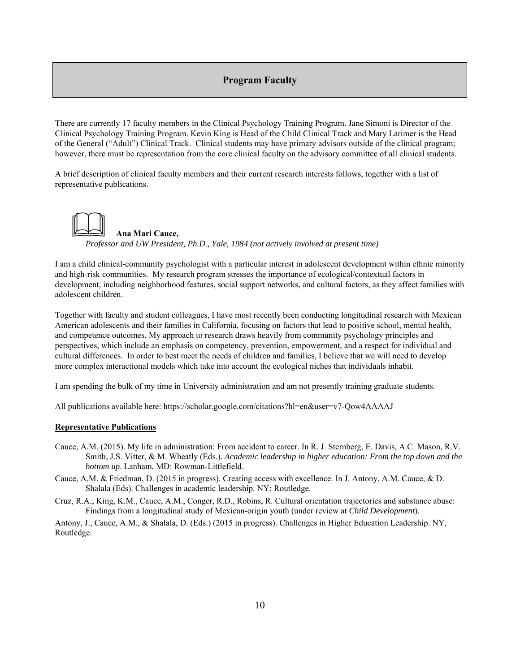# **Program Faculty**

There are currently 17 faculty members in the Clinical Psychology Training Program. Jane Simoni is Director of the Clinical Psychology Training Program. Kevin King is Head of the Child Clinical Track and Mary Larimer is the Head of the General ("Adult") Clinical Track. Clinical students may have primary advisors outside of the clinical program; however, there must be representation from the core clinical faculty on the advisory committee of all clinical students.

A brief description of clinical faculty members and their current research interests follows, together with a list of representative publications.

 **Ana Mari Cauce,**  *Professor and UW President, Ph.D., Yale, 1984 (not actively involved at present time)* 

I am a child clinical-community psychologist with a particular interest in adolescent development within ethnic minority and high-risk communities. My research program stresses the importance of ecological/contextual factors in development, including neighborhood features, social support networks, and cultural factors, as they affect families with adolescent children.

Together with faculty and student colleagues, I have most recently been conducting longitudinal research with Mexican American adolescents and their families in California, focusing on factors that lead to positive school, mental health, and competence outcomes. My approach to research draws heavily from community psychology principles and perspectives, which include an emphasis on competency, prevention, empowerment, and a respect for individual and cultural differences. In order to best meet the needs of children and families, I believe that we will need to develop more complex interactional models which take into account the ecological niches that individuals inhabit.

I am spending the bulk of my time in University administration and am not presently training graduate students.

All publications available here: https://scholar.google.com/citations?hl=en&user=v7-Qow4AAAAJ

#### **Representative Publications**

- Cauce, A.M. (2015). My life in administration: From accident to career. In R. J. Sternberg, E. Davis, A.C. Mason, R.V. Smith, J.S. Vitter, & M. Wheatly (Eds.). *Academic leadership in higher education: From the top down and the bottom up*. Lanham, MD: Rowman-Littlefield.
- Cauce, A.M. & Friedman, D. (2015 in progress). Creating access with excellence. In J. Antony, A.M. Cauce, & D. Shalala (Eds). Challenges in academic leadership. NY: Routledge.
- Cruz, R.A.; King, K.M., Cauce, A.M., Conger, R.D., Robins, R. Cultural orientation trajectories and substance abuse: Findings from a longitudinal study of Mexican-origin youth (under review at *Child Development*).

Antony, J., Cauce, A.M., & Shalala, D. (Eds.) (2015 in progress). Challenges in Higher Education Leadership. NY, Routledge.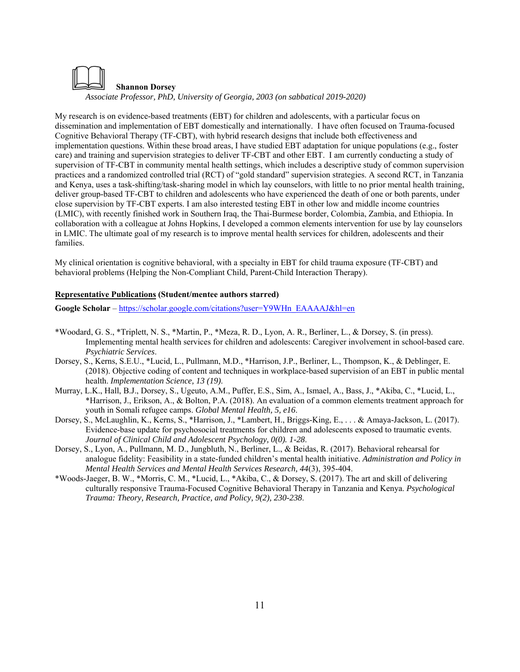

My research is on evidence-based treatments (EBT) for children and adolescents, with a particular focus on dissemination and implementation of EBT domestically and internationally. I have often focused on Trauma-focused Cognitive Behavioral Therapy (TF-CBT), with hybrid research designs that include both effectiveness and implementation questions. Within these broad areas, I have studied EBT adaptation for unique populations (e.g., foster care) and training and supervision strategies to deliver TF-CBT and other EBT. I am currently conducting a study of supervision of TF-CBT in community mental health settings, which includes a descriptive study of common supervision practices and a randomized controlled trial (RCT) of "gold standard" supervision strategies. A second RCT, in Tanzania and Kenya, uses a task-shifting/task-sharing model in which lay counselors, with little to no prior mental health training, deliver group-based TF-CBT to children and adolescents who have experienced the death of one or both parents, under close supervision by TF-CBT experts. I am also interested testing EBT in other low and middle income countries (LMIC), with recently finished work in Southern Iraq, the Thai-Burmese border, Colombia, Zambia, and Ethiopia. In collaboration with a colleague at Johns Hopkins, I developed a common elements intervention for use by lay counselors in LMIC. The ultimate goal of my research is to improve mental health services for children, adolescents and their families.

My clinical orientation is cognitive behavioral, with a specialty in EBT for child trauma exposure (TF-CBT) and behavioral problems (Helping the Non-Compliant Child, Parent-Child Interaction Therapy).

# **Representative Publications (Student/mentee authors starred)**

**Google Scholar** – https://scholar.google.com/citations?user=Y9WHn\_EAAAAJ&hl=en

- \*Woodard, G. S., \*Triplett, N. S., \*Martin, P., \*Meza, R. D., Lyon, A. R., Berliner, L., & Dorsey, S. (in press). Implementing mental health services for children and adolescents: Caregiver involvement in school-based care. *Psychiatric Services*.
- Dorsey, S., Kerns, S.E.U., \*Lucid, L., Pullmann, M.D., \*Harrison, J.P., Berliner, L., Thompson, K., & Deblinger, E. (2018). Objective coding of content and techniques in workplace-based supervision of an EBT in public mental health. *Implementation Science, 13 (19)*.
- Murray, L.K., Hall, B.J., Dorsey, S., Ugeuto, A.M., Puffer, E.S., Sim, A., Ismael, A., Bass, J., \*Akiba, C., \*Lucid, L., \*Harrison, J., Erikson, A., & Bolton, P.A. (2018). An evaluation of a common elements treatment approach for youth in Somali refugee camps. *Global Mental Health, 5, e16*.
- Dorsey, S., McLaughlin, K., Kerns, S., \*Harrison, J., \*Lambert, H., Briggs-King, E., . . . & Amaya-Jackson, L. (2017). Evidence-base update for psychosocial treatments for children and adolescents exposed to traumatic events. *Journal of Clinical Child and Adolescent Psychology, 0(0). 1-28*.
- Dorsey, S., Lyon, A., Pullmann, M. D., Jungbluth, N., Berliner, L., & Beidas, R. (2017). Behavioral rehearsal for analogue fidelity: Feasibility in a state-funded children's mental health initiative. *Administration and Policy in Mental Health Services and Mental Health Services Research, 44*(3), 395-404.
- \*Woods-Jaeger, B. W., \*Morris, C. M., \*Lucid, L., \*Akiba, C., & Dorsey, S. (2017). The art and skill of delivering culturally responsive Trauma-Focused Cognitive Behavioral Therapy in Tanzania and Kenya. *Psychological Trauma: Theory, Research, Practice, and Policy, 9(2), 230-238*.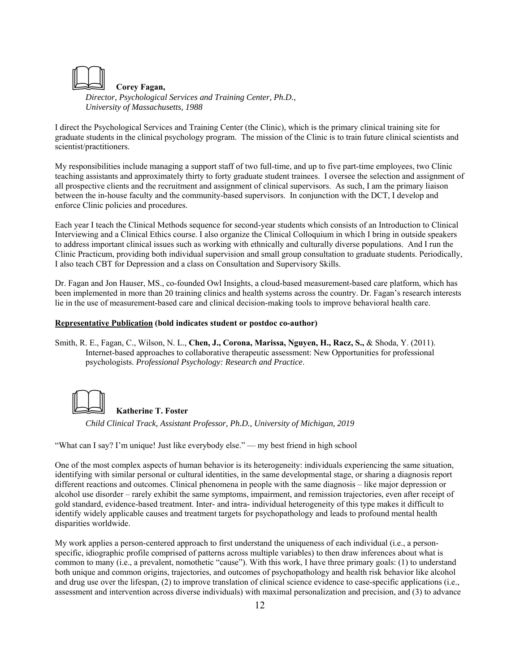

*Director, Psychological Services and Training Center, Ph.D., University of Massachusetts, 1988* 

I direct the Psychological Services and Training Center (the Clinic), which is the primary clinical training site for graduate students in the clinical psychology program. The mission of the Clinic is to train future clinical scientists and scientist/practitioners.

My responsibilities include managing a support staff of two full-time, and up to five part-time employees, two Clinic teaching assistants and approximately thirty to forty graduate student trainees. I oversee the selection and assignment of all prospective clients and the recruitment and assignment of clinical supervisors. As such, I am the primary liaison between the in-house faculty and the community-based supervisors. In conjunction with the DCT, I develop and enforce Clinic policies and procedures.

Each year I teach the Clinical Methods sequence for second-year students which consists of an Introduction to Clinical Interviewing and a Clinical Ethics course. I also organize the Clinical Colloquium in which I bring in outside speakers to address important clinical issues such as working with ethnically and culturally diverse populations. And I run the Clinic Practicum, providing both individual supervision and small group consultation to graduate students. Periodically, I also teach CBT for Depression and a class on Consultation and Supervisory Skills.

Dr. Fagan and Jon Hauser, MS., co-founded Owl Insights, a cloud-based measurement-based care platform, which has been implemented in more than 20 training clinics and health systems across the country. Dr. Fagan's research interests lie in the use of measurement-based care and clinical decision-making tools to improve behavioral health care.

# **Representative Publication (bold indicates student or postdoc co-author)**

Smith, R. E., Fagan, C., Wilson, N. L., **Chen, J., Corona, Marissa, Nguyen, H., Racz, S.,** & Shoda, Y. (2011). Internet-based approaches to collaborative therapeutic assessment: New Opportunities for professional psychologists. *Professional Psychology: Research and Practice*.



**Katherine T. Foster**

*Child Clinical Track, Assistant Professor, Ph.D., University of Michigan, 2019*

"What can I say? I'm unique! Just like everybody else." — my best friend in high school

One of the most complex aspects of human behavior is its heterogeneity: individuals experiencing the same situation, identifying with similar personal or cultural identities, in the same developmental stage, or sharing a diagnosis report different reactions and outcomes. Clinical phenomena in people with the same diagnosis – like major depression or alcohol use disorder – rarely exhibit the same symptoms, impairment, and remission trajectories, even after receipt of gold standard, evidence-based treatment. Inter- and intra- individual heterogeneity of this type makes it difficult to identify widely applicable causes and treatment targets for psychopathology and leads to profound mental health disparities worldwide.

My work applies a person-centered approach to first understand the uniqueness of each individual (i.e., a personspecific, idiographic profile comprised of patterns across multiple variables) to then draw inferences about what is common to many (i.e., a prevalent, nomothetic "cause"). With this work, I have three primary goals: (1) to understand both unique and common origins, trajectories, and outcomes of psychopathology and health risk behavior like alcohol and drug use over the lifespan, (2) to improve translation of clinical science evidence to case-specific applications (i.e., assessment and intervention across diverse individuals) with maximal personalization and precision, and (3) to advance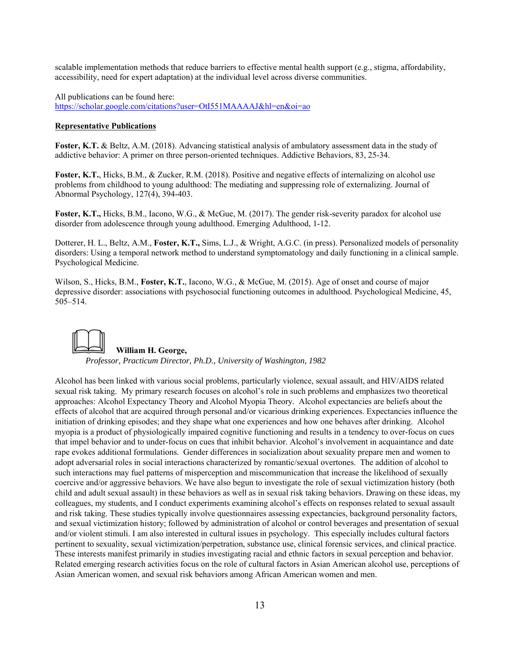scalable implementation methods that reduce barriers to effective mental health support (e.g., stigma, affordability, accessibility, need for expert adaptation) at the individual level across diverse communities.

All publications can be found here: https://scholar.google.com/citations?user=OtI551MAAAAJ&hl=en&oi=ao

# **Representative Publications**

**Foster, K.T.** & Beltz, A.M. (2018). Advancing statistical analysis of ambulatory assessment data in the study of addictive behavior: A primer on three person-oriented techniques. Addictive Behaviors, 83, 25-34.

**Foster, K.T.**, Hicks, B.M., & Zucker, R.M. (2018). Positive and negative effects of internalizing on alcohol use problems from childhood to young adulthood: The mediating and suppressing role of externalizing. Journal of Abnormal Psychology, 127(4), 394-403.

**Foster, K.T.,** Hicks, B.M., Iacono, W.G., & McGue, M. (2017). The gender risk-severity paradox for alcohol use disorder from adolescence through young adulthood. Emerging Adulthood, 1-12.

Dotterer, H. L., Beltz, A.M., **Foster, K.T.,** Sims, L.J., & Wright, A.G.C. (in press). Personalized models of personality disorders: Using a temporal network method to understand symptomatology and daily functioning in a clinical sample. Psychological Medicine.

Wilson, S., Hicks, B.M., **Foster, K.T.**, Iacono, W.G., & McGue, M. (2015). Age of onset and course of major depressive disorder: associations with psychosocial functioning outcomes in adulthood. Psychological Medicine, 45, 505–514.



Alcohol has been linked with various social problems, particularly violence, sexual assault, and HIV/AIDS related sexual risk taking. My primary research focuses on alcohol's role in such problems and emphasizes two theoretical approaches: Alcohol Expectancy Theory and Alcohol Myopia Theory. Alcohol expectancies are beliefs about the effects of alcohol that are acquired through personal and/or vicarious drinking experiences. Expectancies influence the initiation of drinking episodes; and they shape what one experiences and how one behaves after drinking. Alcohol myopia is a product of physiologically impaired cognitive functioning and results in a tendency to over-focus on cues that impel behavior and to under-focus on cues that inhibit behavior. Alcohol's involvement in acquaintance and date rape evokes additional formulations. Gender differences in socialization about sexuality prepare men and women to adopt adversarial roles in social interactions characterized by romantic/sexual overtones. The addition of alcohol to such interactions may fuel patterns of misperception and miscommunication that increase the likelihood of sexually coercive and/or aggressive behaviors. We have also begun to investigate the role of sexual victimization history (both child and adult sexual assault) in these behaviors as well as in sexual risk taking behaviors. Drawing on these ideas, my colleagues, my students, and I conduct experiments examining alcohol's effects on responses related to sexual assault and risk taking. These studies typically involve questionnaires assessing expectancies, background personality factors, and sexual victimization history; followed by administration of alcohol or control beverages and presentation of sexual and/or violent stimuli. I am also interested in cultural issues in psychology. This especially includes cultural factors pertinent to sexuality, sexual victimization/perpetration, substance use, clinical forensic services, and clinical practice. These interests manifest primarily in studies investigating racial and ethnic factors in sexual perception and behavior. Related emerging research activities focus on the role of cultural factors in Asian American alcohol use, perceptions of Asian American women, and sexual risk behaviors among African American women and men.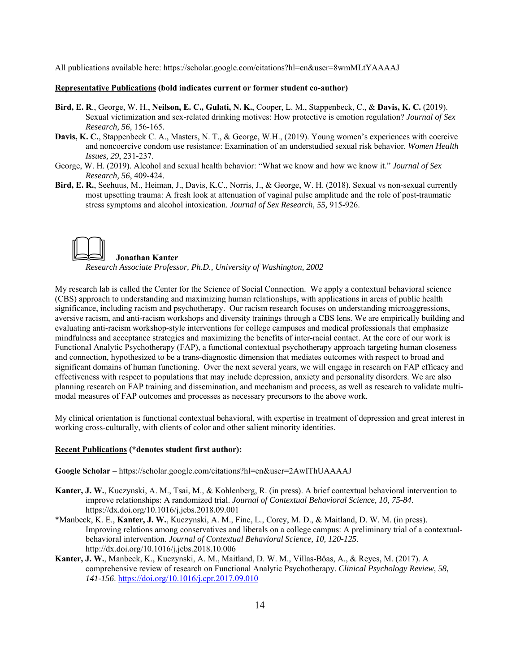All publications available here: https://scholar.google.com/citations?hl=en&user=8wmMLtYAAAAJ

#### **Representative Publications (bold indicates current or former student co-author)**

- **Bird, E. R**., George, W. H., **Neilson, E. C., Gulati, N. K.**, Cooper, L. M., Stappenbeck, C., & **Davis, K. C.** (2019). Sexual victimization and sex-related drinking motives: How protective is emotion regulation? *Journal of Sex Research, 56,* 156-165.
- **Davis, K. C.**, Stappenbeck C. A., Masters, N. T., & George, W.H., (2019). Young women's experiences with coercive and noncoercive condom use resistance: Examination of an understudied sexual risk behavior. *Women Health Issues, 29*, 231-237.
- George, W. H. (2019). Alcohol and sexual health behavior: "What we know and how we know it." *Journal of Sex Research, 56*, 409-424.
- **Bird, E. R.**, Seehuus, M., Heiman, J., Davis, K.C., Norris, J., & George, W. H. (2018). Sexual vs non-sexual currently most upsetting trauma: A fresh look at attenuation of vaginal pulse amplitude and the role of post-traumatic stress symptoms and alcohol intoxication. *Journal of Sex Research, 55,* 915-926.

#### **Jonathan Kanter**

*Research Associate Professor, Ph.D., University of Washington, 2002* 

My research lab is called the Center for the Science of Social Connection. We apply a contextual behavioral science (CBS) approach to understanding and maximizing human relationships, with applications in areas of public health significance, including racism and psychotherapy. Our racism research focuses on understanding microaggressions, aversive racism, and anti-racism workshops and diversity trainings through a CBS lens. We are empirically building and evaluating anti-racism workshop-style interventions for college campuses and medical professionals that emphasize mindfulness and acceptance strategies and maximizing the benefits of inter-racial contact. At the core of our work is Functional Analytic Psychotherapy (FAP), a functional contextual psychotherapy approach targeting human closeness and connection, hypothesized to be a trans-diagnostic dimension that mediates outcomes with respect to broad and significant domains of human functioning. Over the next several years, we will engage in research on FAP efficacy and effectiveness with respect to populations that may include depression, anxiety and personality disorders. We are also planning research on FAP training and dissemination, and mechanism and process, as well as research to validate multimodal measures of FAP outcomes and processes as necessary precursors to the above work.

My clinical orientation is functional contextual behavioral, with expertise in treatment of depression and great interest in working cross-culturally, with clients of color and other salient minority identities.

#### **Recent Publications (\*denotes student first author):**

**Google Scholar** – https://scholar.google.com/citations?hl=en&user=2AwIThUAAAAJ

- **Kanter, J. W.**, Kuczynski, A. M., Tsai, M., & Kohlenberg, R. (in press). A brief contextual behavioral intervention to improve relationships: A randomized trial. *Journal of Contextual Behavioral Science, 10, 75-84*. https://dx.doi.org/10.1016/j.jcbs.2018.09.001
- \*Manbeck, K. E., **Kanter, J. W.**, Kuczynski, A. M., Fine, L., Corey, M. D., & Maitland, D. W. M. (in press). Improving relations among conservatives and liberals on a college campus: A preliminary trial of a contextualbehavioral intervention. *Journal of Contextual Behavioral Science, 10, 120-125*. http://dx.doi.org/10.1016/j.jcbs.2018.10.006
- **Kanter, J. W.**, Manbeck, K., Kuczynski, A. M., Maitland, D. W. M., Villas-Bôas, A., & Reyes, M. (2017). A comprehensive review of research on Functional Analytic Psychotherapy. *Clinical Psychology Review, 58, 141-156*. https://doi.org/10.1016/j.cpr.2017.09.010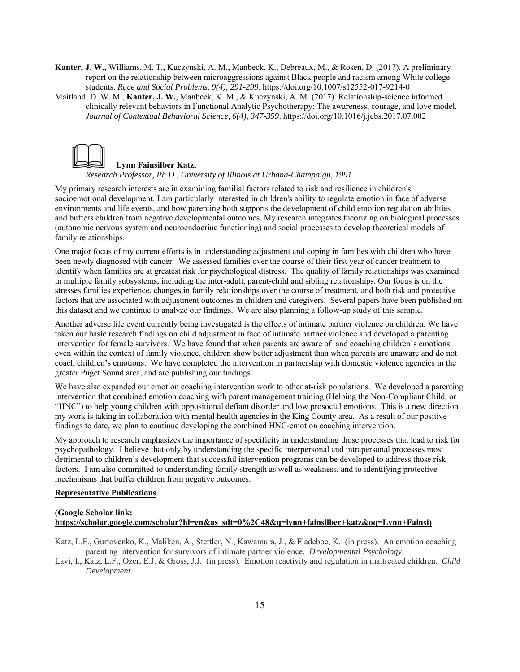**Kanter, J. W.**, Williams, M. T., Kuczynski, A. M., Manbeck, K., Debreaux, M., & Rosen, D. (2017). A preliminary report on the relationship between microaggressions against Black people and racism among White college students. *Race and Social Problems, 9(4), 291-299*. https://doi.org/10.1007/s12552-017-9214-0

Maitland, D. W. M., **Kanter, J. W.**, Manbeck, K. M., & Kuczynski, A. M. (2017). Relationship-science informed clinically relevant behaviors in Functional Analytic Psychotherapy: The awareness, courage, and love model. *Journal of Contextual Behavioral Science, 6(4), 347-359*. https://doi.org/10.1016/j.jcbs.2017.07.002



**Lynn Fainsilber Katz,** 

*Research Professor, Ph.D., University of Illinois at Urbana-Champaign, 1991* 

My primary research interests are in examining familial factors related to risk and resilience in children's socioemotional development. I am particularly interested in children's ability to regulate emotion in face of adverse environments and life events, and how parenting both supports the development of child emotion regulation abilities and buffers children from negative developmental outcomes. My research integrates theorizing on biological processes (autonomic nervous system and neuroendocrine functioning) and social processes to develop theoretical models of family relationships.

One major focus of my current efforts is in understanding adjustment and coping in families with children who have been newly diagnosed with cancer. We assessed families over the course of their first year of cancer treatment to identify when families are at greatest risk for psychological distress. The quality of family relationships was examined in multiple family subsystems, including the inter-adult, parent-child and sibling relationships. Our focus is on the stresses families experience, changes in family relationships over the course of treatment, and both risk and protective factors that are associated with adjustment outcomes in children and caregivers. Several papers have been published on this dataset and we continue to analyze our findings. We are also planning a follow-up study of this sample.

Another adverse life event currently being investigated is the effects of intimate partner violence on children. We have taken our basic research findings on child adjustment in face of intimate partner violence and developed a parenting intervention for female survivors. We have found that when parents are aware of and coaching children's emotions even within the context of family violence, children show better adjustment than when parents are unaware and do not coach children's emotions. We have completed the intervention in partnership with domestic violence agencies in the greater Puget Sound area, and are publishing our findings.

We have also expanded our emotion coaching intervention work to other at-risk populations. We developed a parenting intervention that combined emotion coaching with parent management training (Helping the Non-Compliant Child, or "HNC") to help young children with oppositional defiant disorder and low prosocial emotions. This is a new direction my work is taking in collaboration with mental health agencies in the King County area. As a result of our positive findings to date, we plan to continue developing the combined HNC-emotion coaching intervention.

My approach to research emphasizes the importance of specificity in understanding those processes that lead to risk for psychopathology. I believe that only by understanding the specific interpersonal and intrapersonal processes most detrimental to children's development that successful intervention programs can be developed to address those risk factors. I am also committed to understanding family strength as well as weakness, and to identifying protective mechanisms that buffer children from negative outcomes.

#### **Representative Publications**

# **(Google Scholar link: https://scholar.google.com/scholar?hl=en&as\_sdt=0%2C48&q=lynn+fainsilber+katz&oq=Lynn+Fainsi)**

- Katz, L.F., Gurtovenko, K., Maliken, A., Stettler, N., Kawamura, J., & Fladeboe, K. (in press). An emotion coaching parenting intervention for survivors of intimate partner violence. *Developmental Psychology*.
- Lavi, I., Katz, L.F., Ozer, E.J. & Gross, J.J. (in press). Emotion reactivity and regulation in maltreated children. *Child Development*.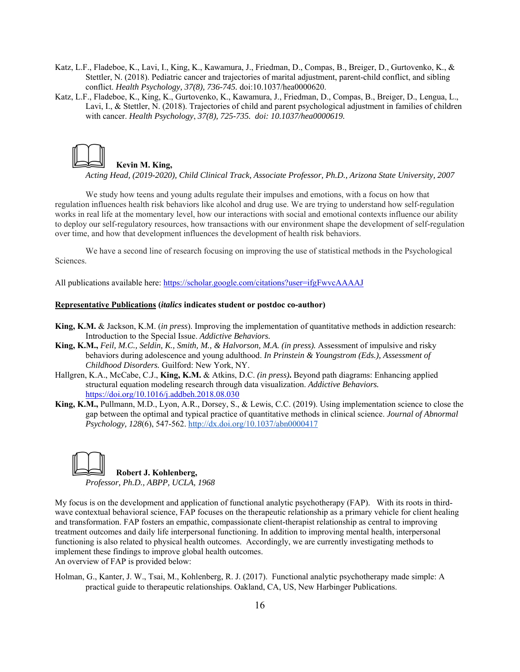- Katz, L.F., Fladeboe, K., Lavi, I., King, K., Kawamura, J., Friedman, D., Compas, B., Breiger, D., Gurtovenko, K., & Stettler, N. (2018). Pediatric cancer and trajectories of marital adjustment, parent-child conflict, and sibling conflict. *Health Psychology, 37(8), 736-745.* doi:10.1037/hea0000620.
- Katz, L.F., Fladeboe, K., King, K., Gurtovenko, K., Kawamura, J., Friedman, D., Compas, B., Breiger, D., Lengua, L., Lavi, I., & Stettler, N. (2018). Trajectories of child and parent psychological adjustment in families of children with cancer. *Health Psychology*, *37(8), 725-735. doi: 10.1037/hea0000619.*



**Kevin M. King,**

*Acting Head, (2019-2020), Child Clinical Track, Associate Professor, Ph.D., Arizona State University, 2007*

We study how teens and young adults regulate their impulses and emotions, with a focus on how that regulation influences health risk behaviors like alcohol and drug use. We are trying to understand how self-regulation works in real life at the momentary level, how our interactions with social and emotional contexts influence our ability to deploy our self-regulatory resources, how transactions with our environment shape the development of self-regulation over time, and how that development influences the development of health risk behaviors.

We have a second line of research focusing on improving the use of statistical methods in the Psychological Sciences.

All publications available here: https://scholar.google.com/citations?user=ifgFwvcAAAAJ

#### **Representative Publications (***italics* **indicates student or postdoc co-author)**

- **King, K.M.** & Jackson, K.M. (*in press*). Improving the implementation of quantitative methods in addiction research: Introduction to the Special Issue. *Addictive Behaviors.*
- **King, K.M.,** *Feil, M.C., Seldin, K., Smith, M., & Halvorson, M.A. (in press).* Assessment of impulsive and risky behaviors during adolescence and young adulthood. *In Prinstein & Youngstrom (Eds.), Assessment of Childhood Disorders.* Guilford: New York, NY.
- Hallgren, K.A., McCabe, C.J., **King, K.M.** & Atkins, D.C. *(in press)***.** Beyond path diagrams: Enhancing applied structural equation modeling research through data visualization. *Addictive Behaviors.*  https://doi.org/10.1016/j.addbeh.2018.08.030
- **King, K.M.,** Pullmann, M.D., Lyon, A.R., Dorsey, S., & Lewis, C.C. (2019). Using implementation science to close the gap between the optimal and typical practice of quantitative methods in clinical science. *Journal of Abnormal Psychology, 128*(6), 547-562. http://dx.doi.org/10.1037/abn0000417

 **Robert J. Kohlenberg,** *Professor, Ph.D., ABPP, UCLA, 1968* 

My focus is on the development and application of functional analytic psychotherapy (FAP). With its roots in thirdwave contextual behavioral science, FAP focuses on the therapeutic relationship as a primary vehicle for client healing and transformation. FAP fosters an empathic, compassionate client-therapist relationship as central to improving treatment outcomes and daily life interpersonal functioning. In addition to improving mental health, interpersonal functioning is also related to physical health outcomes. Accordingly, we are currently investigating methods to implement these findings to improve global health outcomes.

An overview of FAP is provided below:

Holman, G., Kanter, J. W., Tsai, M., Kohlenberg, R. J. (2017). Functional analytic psychotherapy made simple: A practical guide to therapeutic relationships. Oakland, CA, US, New Harbinger Publications.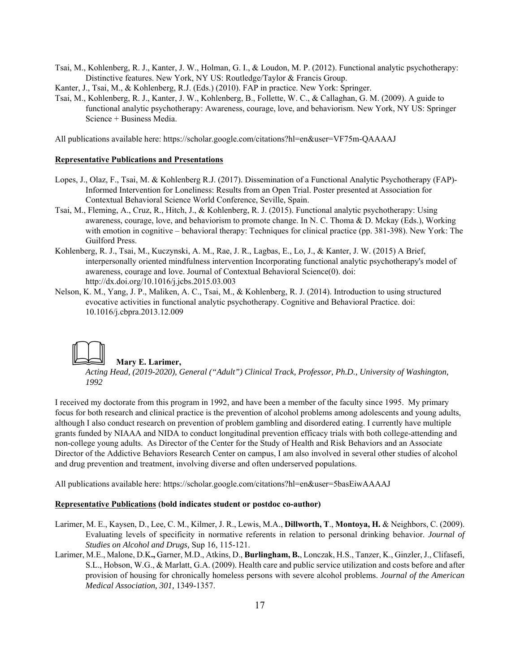Tsai, M., Kohlenberg, R. J., Kanter, J. W., Holman, G. I., & Loudon, M. P. (2012). Functional analytic psychotherapy: Distinctive features. New York, NY US: Routledge/Taylor & Francis Group.

Kanter, J., Tsai, M., & Kohlenberg, R.J. (Eds.) (2010). FAP in practice. New York: Springer.

Tsai, M., Kohlenberg, R. J., Kanter, J. W., Kohlenberg, B., Follette, W. C., & Callaghan, G. M. (2009). A guide to functional analytic psychotherapy: Awareness, courage, love, and behaviorism. New York, NY US: Springer Science + Business Media.

All publications available here: https://scholar.google.com/citations?hl=en&user=VF75m-QAAAAJ

# **Representative Publications and Presentations**

- Lopes, J., Olaz, F., Tsai, M. & Kohlenberg R.J. (2017). Dissemination of a Functional Analytic Psychotherapy (FAP)- Informed Intervention for Loneliness: Results from an Open Trial. Poster presented at Association for Contextual Behavioral Science World Conference, Seville, Spain.
- Tsai, M., Fleming, A., Cruz, R., Hitch, J., & Kohlenberg, R. J. (2015). Functional analytic psychotherapy: Using awareness, courage, love, and behaviorism to promote change. In N. C. Thoma & D. Mckay (Eds.), Working with emotion in cognitive – behavioral therapy: Techniques for clinical practice (pp. 381-398). New York: The Guilford Press.
- Kohlenberg, R. J., Tsai, M., Kuczynski, A. M., Rae, J. R., Lagbas, E., Lo, J., & Kanter, J. W. (2015) A Brief, interpersonally oriented mindfulness intervention Incorporating functional analytic psychotherapy's model of awareness, courage and love. Journal of Contextual Behavioral Science(0). doi: http://dx.doi.org/10.1016/j.jcbs.2015.03.003
- Nelson, K. M., Yang, J. P., Maliken, A. C., Tsai, M., & Kohlenberg, R. J. (2014). Introduction to using structured evocative activities in functional analytic psychotherapy. Cognitive and Behavioral Practice. doi: 10.1016/j.cbpra.2013.12.009



#### **Mary E. Larimer,**

*Acting Head, (2019-2020), General ("Adult") Clinical Track, Professor, Ph.D., University of Washington, 1992* 

I received my doctorate from this program in 1992, and have been a member of the faculty since 1995. My primary focus for both research and clinical practice is the prevention of alcohol problems among adolescents and young adults, although I also conduct research on prevention of problem gambling and disordered eating. I currently have multiple grants funded by NIAAA and NIDA to conduct longitudinal prevention efficacy trials with both college-attending and non-college young adults. As Director of the Center for the Study of Health and Risk Behaviors and an Associate Director of the Addictive Behaviors Research Center on campus, I am also involved in several other studies of alcohol and drug prevention and treatment, involving diverse and often underserved populations.

All publications available here: https://scholar.google.com/citations?hl=en&user=5basEiwAAAAJ

# **Representative Publications (bold indicates student or postdoc co-author)**

- Larimer, M. E., Kaysen, D., Lee, C. M., Kilmer, J. R., Lewis, M.A., **Dillworth, T**., **Montoya, H.** & Neighbors, C. (2009). Evaluating levels of specificity in normative referents in relation to personal drinking behavior. *Journal of Studies on Alcohol and Drugs,* Sup 16, 115-121.
- Larimer, M.E., Malone, D.K**.,** Garner, M.D., Atkins, D., **Burlingham, B.**, Lonczak, H.S., Tanzer, K., Ginzler, J., Clifasefi, S.L., Hobson, W.G., & Marlatt, G.A. (2009). Health care and public service utilization and costs before and after provision of housing for chronically homeless persons with severe alcohol problems. *Journal of the American Medical Association, 301,* 1349-1357.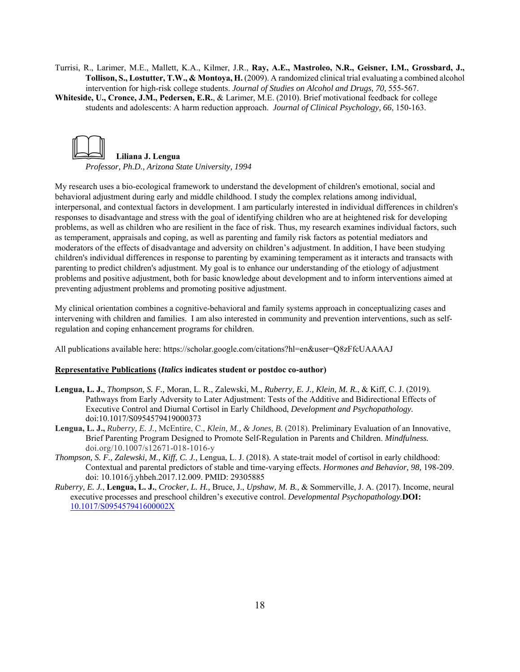Turrisi, R., Larimer, M.E., Mallett, K.A., Kilmer, J.R., **Ray, A.E., Mastroleo, N.R., Geisner, I.M., Grossbard, J., Tollison, S., Lostutter, T.W., & Montoya, H.** (2009). A randomized clinical trial evaluating a combined alcohol intervention for high-risk college students. *Journal of Studies on Alcohol and Drugs, 70,* 555-567.

**Whiteside, U., Cronce, J.M., Pedersen, E.R.**, & Larimer, M.E. (2010). Brief motivational feedback for college students and adolescents: A harm reduction approach. *Journal of Clinical Psychology, 66*, 150-163.



*Professor, Ph.D., Arizona State University, 1994* 

My research uses a bio-ecological framework to understand the development of children's emotional, social and behavioral adjustment during early and middle childhood. I study the complex relations among individual, interpersonal, and contextual factors in development. I am particularly interested in individual differences in children's responses to disadvantage and stress with the goal of identifying children who are at heightened risk for developing problems, as well as children who are resilient in the face of risk. Thus, my research examines individual factors, such as temperament, appraisals and coping, as well as parenting and family risk factors as potential mediators and moderators of the effects of disadvantage and adversity on children's adjustment. In addition, I have been studying children's individual differences in response to parenting by examining temperament as it interacts and transacts with parenting to predict children's adjustment. My goal is to enhance our understanding of the etiology of adjustment problems and positive adjustment, both for basic knowledge about development and to inform interventions aimed at preventing adjustment problems and promoting positive adjustment.

My clinical orientation combines a cognitive-behavioral and family systems approach in conceptualizing cases and intervening with children and families. I am also interested in community and prevention interventions, such as selfregulation and coping enhancement programs for children.

All publications available here: https://scholar.google.com/citations?hl=en&user=Q8zFfcUAAAAJ

#### **Representative Publications (***Italics* **indicates student or postdoc co-author)**

- **Lengua, L. J.**, *Thompson, S. F.,* Moran, L. R., Zalewski, M., *Ruberry, E. J., Klein, M. R.*, & Kiff, C. J. (2019). Pathways from Early Adversity to Later Adjustment: Tests of the Additive and Bidirectional Effects of Executive Control and Diurnal Cortisol in Early Childhood, *Development and Psychopathology.*  doi:10.1017/S0954579419000373
- **Lengua, L. J.,** *Ruberry, E. J.,* McEntire, C., *Klein, M., & Jones, B.* (2018). Preliminary Evaluation of an Innovative, Brief Parenting Program Designed to Promote Self-Regulation in Parents and Children. *Mindfulness.*  doi.org/10.1007/s12671-018-1016-y
- *Thompson, S. F., Zalewski, M., Kiff, C. J.,* Lengua, L. J. (2018). A state-trait model of cortisol in early childhood: Contextual and parental predictors of stable and time-varying effects. *Hormones and Behavior, 98,* 198-209. doi: 10.1016/j.yhbeh.2017.12.009. PMID: 29305885
- *Ruberry, E. J.*, **Lengua, L. J.**, *Crocker, L. H.,* Bruce, J., *Upshaw, M. B.,* & Sommerville, J. A. (2017). Income, neural executive processes and preschool children's executive control. *Developmental Psychopathology.***DOI:**  10.1017/S095457941600002X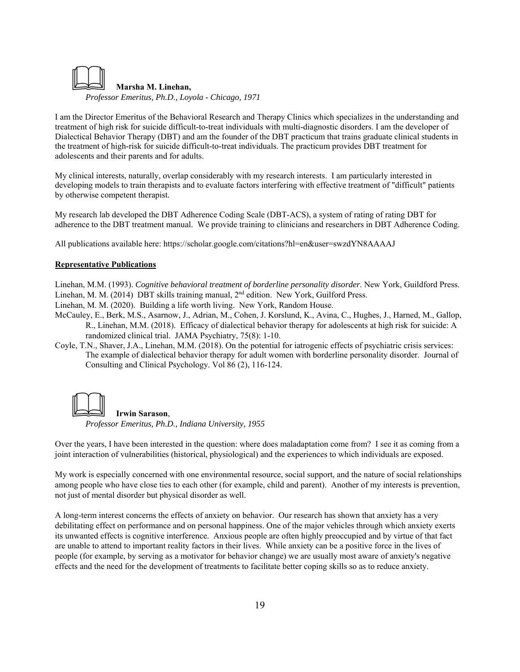

I am the Director Emeritus of the Behavioral Research and Therapy Clinics which specializes in the understanding and treatment of high risk for suicide difficult-to-treat individuals with multi-diagnostic disorders. I am the developer of Dialectical Behavior Therapy (DBT) and am the founder of the DBT practicum that trains graduate clinical students in the treatment of high-risk for suicide difficult-to-treat individuals. The practicum provides DBT treatment for adolescents and their parents and for adults.

My clinical interests, naturally, overlap considerably with my research interests. I am particularly interested in developing models to train therapists and to evaluate factors interfering with effective treatment of "difficult" patients by otherwise competent therapist.

My research lab developed the DBT Adherence Coding Scale (DBT-ACS), a system of rating of rating DBT for adherence to the DBT treatment manual. We provide training to clinicians and researchers in DBT Adherence Coding.

All publications available here: https://scholar.google.com/citations?hl=en&user=swzdYN8AAAAJ

#### **Representative Publications**

Linehan, M.M. (1993). *Cognitive behavioral treatment of borderline personality disorder*. New York, Guildford Press. Linehan, M. M. (2014) DBT skills training manual, 2<sup>nd</sup> edition. New York, Guilford Press.

Linehan, M. M. (2020). Building a life worth living. New York, Random House.

- McCauley, E., Berk, M.S., Asarnow, J., Adrian, M., Cohen, J. Korslund, K., Avina, C., Hughes, J., Harned, M., Gallop, R., Linehan, M.M. (2018). Efficacy of dialectical behavior therapy for adolescents at high risk for suicide: A randomized clinical trial. JAMA Psychiatry, 75(8): 1-10.
- Coyle, T.N., Shaver, J.A., Linehan, M.M. (2018). On the potential for iatrogenic effects of psychiatric crisis services: The example of dialectical behavior therapy for adult women with borderline personality disorder. Journal of Consulting and Clinical Psychology. Vol 86 (2), 116-124.



Over the years, I have been interested in the question: where does maladaptation come from? I see it as coming from a joint interaction of vulnerabilities (historical, physiological) and the experiences to which individuals are exposed.

My work is especially concerned with one environmental resource, social support, and the nature of social relationships among people who have close ties to each other (for example, child and parent). Another of my interests is prevention, not just of mental disorder but physical disorder as well.

A long-term interest concerns the effects of anxiety on behavior. Our research has shown that anxiety has a very debilitating effect on performance and on personal happiness. One of the major vehicles through which anxiety exerts its unwanted effects is cognitive interference. Anxious people are often highly preoccupied and by virtue of that fact are unable to attend to important reality factors in their lives. While anxiety can be a positive force in the lives of people (for example, by serving as a motivator for behavior change) we are usually most aware of anxiety's negative effects and the need for the development of treatments to facilitate better coping skills so as to reduce anxiety.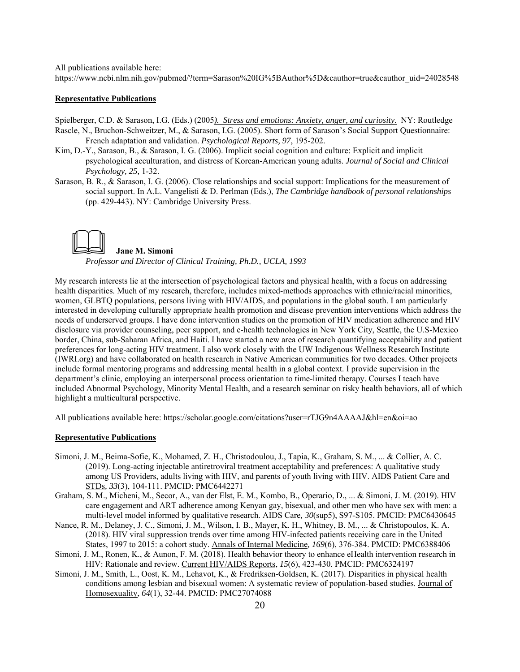All publications available here:

https://www.ncbi.nlm.nih.gov/pubmed/?term=Sarason%20IG%5BAuthor%5D&cauthor=true&cauthor\_uid=24028548

#### **Representative Publications**

Spielberger, C.D. & Sarason, I.G. (Eds.) (2005*). Stress and emotions: Anxiety, anger, and curiosity*. NY: Routledge Rascle, N., Bruchon-Schweitzer, M., & Sarason, I.G. (2005). Short form of Sarason's Social Support Questionnaire: French adaptation and validation. *Psychological Reports, 97*, 195-202.

- Kim, D.-Y., Sarason, B., & Sarason, I. G. (2006). Implicit social cognition and culture: Explicit and implicit psychological acculturation, and distress of Korean-American young adults. *Journal of Social and Clinical Psychology, 25,* 1-32.
- Sarason, B. R., & Sarason, I. G. (2006). Close relationships and social support: Implications for the measurement of social support. In A.L. Vangelisti & D. Perlman (Eds.), *The Cambridge handbook of personal relationships* (pp. 429-443). NY: Cambridge University Press.



*Professor and Director of Clinical Training, Ph.D., UCLA, 1993*

My research interests lie at the intersection of psychological factors and physical health, with a focus on addressing health disparities. Much of my research, therefore, includes mixed-methods approaches with ethnic/racial minorities, women, GLBTQ populations, persons living with HIV/AIDS, and populations in the global south. I am particularly interested in developing culturally appropriate health promotion and disease prevention interventions which address the needs of underserved groups. I have done intervention studies on the promotion of HIV medication adherence and HIV disclosure via provider counseling, peer support, and e-health technologies in New York City, Seattle, the U.S-Mexico border, China, sub-Saharan Africa, and Haiti. I have started a new area of research quantifying acceptability and patient preferences for long-acting HIV treatment. I also work closely with the UW Indigenous Wellness Research Institute (IWRI.org) and have collaborated on health research in Native American communities for two decades. Other projects include formal mentoring programs and addressing mental health in a global context. I provide supervision in the department's clinic, employing an interpersonal process orientation to time-limited therapy. Courses I teach have included Abnormal Psychology, Minority Mental Health, and a research seminar on risky health behaviors, all of which highlight a multicultural perspective.

All publications available here: https://scholar.google.com/citations?user=rTJG9n4AAAAJ&hl=en&oi=ao

#### **Representative Publications**

- Simoni, J. M., Beima-Sofie, K., Mohamed, Z. H., Christodoulou, J., Tapia, K., Graham, S. M., ... & Collier, A. C. (2019). Long-acting injectable antiretroviral treatment acceptability and preferences: A qualitative study among US Providers, adults living with HIV, and parents of youth living with HIV. AIDS Patient Care and STDs*, 33*(3), 104-111. PMCID: PMC6442271
- Graham, S. M., Micheni, M., Secor, A., van der Elst, E. M., Kombo, B., Operario, D., ... & Simoni, J. M. (2019). HIV care engagement and ART adherence among Kenyan gay, bisexual, and other men who have sex with men: a multi-level model informed by qualitative research. AIDS Care*, 30*(sup5), S97-S105. PMCID: PMC6430645
- Nance, R. M., Delaney, J. C., Simoni, J. M., Wilson, I. B., Mayer, K. H., Whitney, B. M., ... & Christopoulos, K. A. (2018). HIV viral suppression trends over time among HIV-infected patients receiving care in the United States, 1997 to 2015: a cohort study. Annals of Internal Medicine*, 169*(6), 376-384. PMCID: PMC6388406
- Simoni, J. M., Ronen, K., & Aunon, F. M. (2018). Health behavior theory to enhance eHealth intervention research in HIV: Rationale and review. Current HIV/AIDS Reports, *15*(6), 423-430. PMCID: PMC6324197
- Simoni, J. M., Smith, L., Oost, K. M., Lehavot, K., & Fredriksen-Goldsen, K. (2017). Disparities in physical health conditions among lesbian and bisexual women: A systematic review of population-based studies. Journal of Homosexuality, *64*(1), 32-44. PMCID: PMC27074088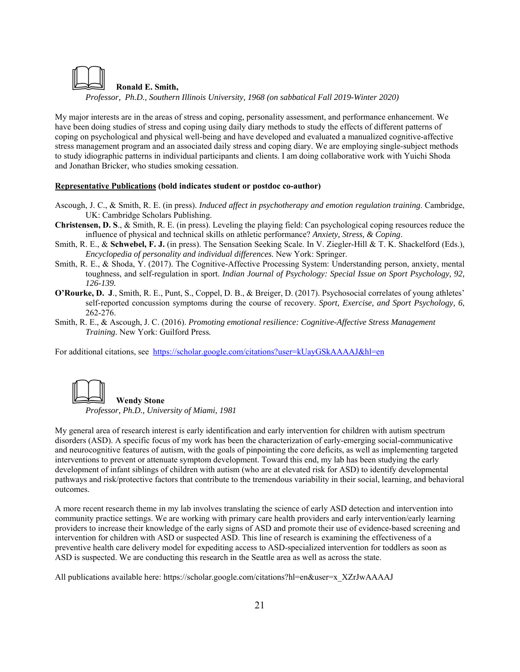

*Professor, Ph.D., Southern Illinois University, 1968 (on sabbatical Fall 2019-Winter 2020)* 

My major interests are in the areas of stress and coping, personality assessment, and performance enhancement. We have been doing studies of stress and coping using daily diary methods to study the effects of different patterns of coping on psychological and physical well-being and have developed and evaluated a manualized cognitive-affective stress management program and an associated daily stress and coping diary. We are employing single-subject methods to study idiographic patterns in individual participants and clients. I am doing collaborative work with Yuichi Shoda and Jonathan Bricker, who studies smoking cessation.

# **Representative Publications (bold indicates student or postdoc co-author)**

- Ascough, J. C., & Smith, R. E. (in press). *Induced affect in psychotherapy and emotion regulation training*. Cambridge, UK: Cambridge Scholars Publishing.
- **Christensen, D. S**., & Smith, R. E. (in press). Leveling the playing field: Can psychological coping resources reduce the influence of physical and technical skills on athletic performance? *Anxiety, Stress, & Coping*.
- Smith, R. E., & **Schwebel, F. J.** (in press). The Sensation Seeking Scale. In V. Ziegler-Hill & T. K. Shackelford (Eds.), *Encyclopedia of personality and individual differences.* New York: Springer.
- Smith, R. E., & Shoda, Y. (2017). The Cognitive-Affective Processing System: Understanding person, anxiety, mental toughness, and self-regulation in sport. *Indian Journal of Psychology: Special Issue on Sport Psychology, 92, 126-139.*
- **O'Rourke, D. J**., Smith, R. E., Punt, S., Coppel, D. B., & Breiger, D. (2017). Psychosocial correlates of young athletes' self-reported concussion symptoms during the course of recovery. *Sport, Exercise, and Sport Psychology, 6*, 262-276.
- Smith, R. E., & Ascough, J. C. (2016). *Promoting emotional resilience: Cognitive-Affective Stress Management Training.* New York: Guilford Press*.*

For additional citations, see https://scholar.google.com/citations?user=kUayGSkAAAAJ&hl=en



*Professor, Ph.D., University of Miami, 1981* 

My general area of research interest is early identification and early intervention for children with autism spectrum disorders (ASD). A specific focus of my work has been the characterization of early-emerging social-communicative and neurocognitive features of autism, with the goals of pinpointing the core deficits, as well as implementing targeted interventions to prevent or attenuate symptom development. Toward this end, my lab has been studying the early development of infant siblings of children with autism (who are at elevated risk for ASD) to identify developmental pathways and risk/protective factors that contribute to the tremendous variability in their social, learning, and behavioral outcomes.

A more recent research theme in my lab involves translating the science of early ASD detection and intervention into community practice settings. We are working with primary care health providers and early intervention/early learning providers to increase their knowledge of the early signs of ASD and promote their use of evidence-based screening and intervention for children with ASD or suspected ASD. This line of research is examining the effectiveness of a preventive health care delivery model for expediting access to ASD-specialized intervention for toddlers as soon as ASD is suspected. We are conducting this research in the Seattle area as well as across the state.

All publications available here: https://scholar.google.com/citations?hl=en&user=x\_XZrJwAAAAJ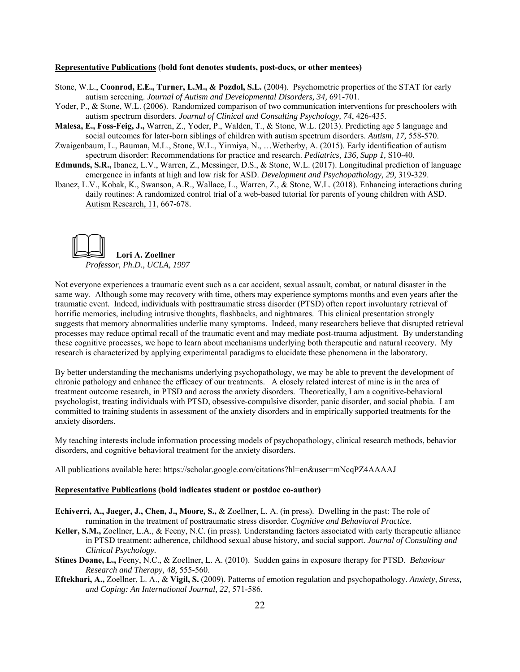#### **Representative Publications** (**bold font denotes students, post-docs, or other mentees)**

- Stone, W.L., **Coonrod, E.E., Turner, L.M., & Pozdol, S.L.** (2004). Psychometric properties of the STAT for early autism screening. *Journal of Autism and Developmental Disorders, 34,* 691-701.
- Yoder, P., & Stone, W.L. (2006). Randomized comparison of two communication interventions for preschoolers with autism spectrum disorders. *Journal of Clinical and Consulting Psychology, 74*, 426-435.
- **Malesa, E., Foss-Feig, J.,** Warren, Z., Yoder, P., Walden, T., & Stone, W.L. (2013). Predicting age 5 language and social outcomes for later-born siblings of children with autism spectrum disorders. *Autism, 17,* 558-570.
- Zwaigenbaum, L., Bauman, M.L., Stone, W.L., Yirmiya, N., …Wetherby, A. (2015). Early identification of autism spectrum disorder: Recommendations for practice and research. *Pediatrics, 136, Supp 1,* S10-40.
- **Edmunds, S.R.,** Ibanez, L.V., Warren, Z., Messinger, D.S., & Stone, W.L. (2017). Longitudinal prediction of language emergence in infants at high and low risk for ASD. *Development and Psychopathology, 29,* 319-329.
- Ibanez, L.V., Kobak, K., Swanson, A.R., Wallace, L., Warren, Z., & Stone, W.L. (2018). Enhancing interactions during daily routines: A randomized control trial of a web-based tutorial for parents of young children with ASD. Autism Research, 11, 667-678.



Not everyone experiences a traumatic event such as a car accident, sexual assault, combat, or natural disaster in the same way. Although some may recovery with time, others may experience symptoms months and even years after the traumatic event. Indeed, individuals with posttraumatic stress disorder (PTSD) often report involuntary retrieval of horrific memories, including intrusive thoughts, flashbacks, and nightmares. This clinical presentation strongly suggests that memory abnormalities underlie many symptoms. Indeed, many researchers believe that disrupted retrieval processes may reduce optimal recall of the traumatic event and may mediate post-trauma adjustment. By understanding these cognitive processes, we hope to learn about mechanisms underlying both therapeutic and natural recovery. My research is characterized by applying experimental paradigms to elucidate these phenomena in the laboratory.

By better understanding the mechanisms underlying psychopathology, we may be able to prevent the development of chronic pathology and enhance the efficacy of our treatments. A closely related interest of mine is in the area of treatment outcome research, in PTSD and across the anxiety disorders. Theoretically, I am a cognitive-behavioral psychologist, treating individuals with PTSD, obsessive-compulsive disorder, panic disorder, and social phobia. I am committed to training students in assessment of the anxiety disorders and in empirically supported treatments for the anxiety disorders.

My teaching interests include information processing models of psychopathology, clinical research methods, behavior disorders, and cognitive behavioral treatment for the anxiety disorders.

All publications available here: https://scholar.google.com/citations?hl=en&user=mNcqPZ4AAAAJ

# **Representative Publications (bold indicates student or postdoc co-author)**

- **Echiverri, A., Jaeger, J., Chen, J., Moore, S.,** & Zoellner, L. A. (in press). Dwelling in the past: The role of rumination in the treatment of posttraumatic stress disorder. *Cognitive and Behavioral Practice.*
- **Keller, S.M.,** Zoellner, L.A., & Feeny, N.C. (in press). Understanding factors associated with early therapeutic alliance in PTSD treatment: adherence, childhood sexual abuse history, and social support. *Journal of Consulting and Clinical Psychology.*
- **Stines Doane, L.,** Feeny, N.C., & Zoellner, L. A. (2010). Sudden gains in exposure therapy for PTSD. *Behaviour Research and Therapy, 48,* 555-560.
- **Eftekhari, A.,** Zoellner, L. A., & **Vigil, S.** (2009). Patterns of emotion regulation and psychopathology. *Anxiety, Stress, and Coping: An International Journal, 22,* 571-586.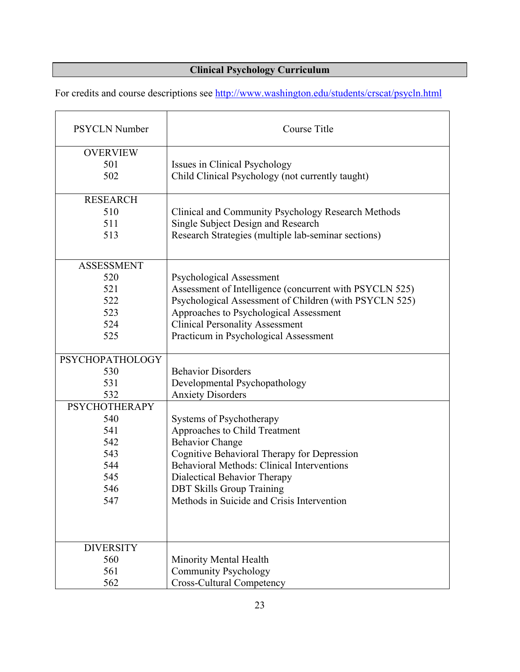# **Clinical Psychology Curriculum**

For credits and course descriptions see http://www.washington.edu/students/crscat/psycln.html

| <b>PSYCLN Number</b>   | Course Title                                            |
|------------------------|---------------------------------------------------------|
| <b>OVERVIEW</b>        |                                                         |
| 501                    | Issues in Clinical Psychology                           |
| 502                    | Child Clinical Psychology (not currently taught)        |
|                        |                                                         |
| <b>RESEARCH</b>        |                                                         |
| 510                    | Clinical and Community Psychology Research Methods      |
| 511                    | Single Subject Design and Research                      |
| 513                    | Research Strategies (multiple lab-seminar sections)     |
|                        |                                                         |
| <b>ASSESSMENT</b>      |                                                         |
| 520                    | <b>Psychological Assessment</b>                         |
| 521                    | Assessment of Intelligence (concurrent with PSYCLN 525) |
| 522                    | Psychological Assessment of Children (with PSYCLN 525)  |
| 523                    | Approaches to Psychological Assessment                  |
| 524                    | <b>Clinical Personality Assessment</b>                  |
| 525                    | Practicum in Psychological Assessment                   |
|                        |                                                         |
| <b>PSYCHOPATHOLOGY</b> |                                                         |
| 530                    | <b>Behavior Disorders</b>                               |
| 531                    | Developmental Psychopathology                           |
| 532                    | <b>Anxiety Disorders</b>                                |
| <b>PSYCHOTHERAPY</b>   |                                                         |
| 540                    | Systems of Psychotherapy                                |
| 541                    | Approaches to Child Treatment                           |
| 542                    | <b>Behavior Change</b>                                  |
| 543                    | Cognitive Behavioral Therapy for Depression             |
| 544                    | <b>Behavioral Methods: Clinical Interventions</b>       |
| 545                    | Dialectical Behavior Therapy                            |
| 546                    | <b>DBT Skills Group Training</b>                        |
| 547                    | Methods in Suicide and Crisis Intervention              |
|                        |                                                         |
|                        |                                                         |
| <b>DIVERSITY</b>       |                                                         |
| 560                    | Minority Mental Health                                  |
| 561                    | <b>Community Psychology</b>                             |
| 562                    | <b>Cross-Cultural Competency</b>                        |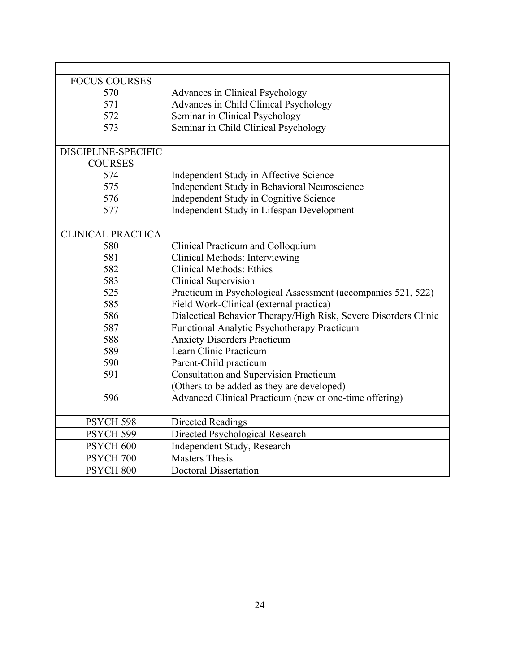| <b>FOCUS COURSES</b>     |                                                                 |
|--------------------------|-----------------------------------------------------------------|
| 570                      | Advances in Clinical Psychology                                 |
| 571                      | Advances in Child Clinical Psychology                           |
| 572                      | Seminar in Clinical Psychology                                  |
| 573                      | Seminar in Child Clinical Psychology                            |
|                          |                                                                 |
| DISCIPLINE-SPECIFIC      |                                                                 |
| <b>COURSES</b>           |                                                                 |
| 574                      | Independent Study in Affective Science                          |
| 575                      | Independent Study in Behavioral Neuroscience                    |
| 576                      | Independent Study in Cognitive Science                          |
| 577                      | Independent Study in Lifespan Development                       |
|                          |                                                                 |
| <b>CLINICAL PRACTICA</b> |                                                                 |
| 580                      | Clinical Practicum and Colloquium                               |
| 581                      | Clinical Methods: Interviewing                                  |
| 582                      | <b>Clinical Methods: Ethics</b>                                 |
| 583                      | <b>Clinical Supervision</b>                                     |
| 525                      | Practicum in Psychological Assessment (accompanies 521, 522)    |
| 585                      | Field Work-Clinical (external practica)                         |
| 586                      | Dialectical Behavior Therapy/High Risk, Severe Disorders Clinic |
| 587                      | Functional Analytic Psychotherapy Practicum                     |
| 588                      | <b>Anxiety Disorders Practicum</b>                              |
| 589                      | Learn Clinic Practicum                                          |
| 590                      | Parent-Child practicum                                          |
| 591                      | <b>Consultation and Supervision Practicum</b>                   |
|                          | (Others to be added as they are developed)                      |
| 596                      | Advanced Clinical Practicum (new or one-time offering)          |
|                          |                                                                 |
| PSYCH 598                | <b>Directed Readings</b>                                        |
| PSYCH 599                | Directed Psychological Research                                 |
| PSYCH <sub>600</sub>     | Independent Study, Research                                     |
| PSYCH 700                | <b>Masters Thesis</b>                                           |
| PSYCH <sub>800</sub>     | <b>Doctoral Dissertation</b>                                    |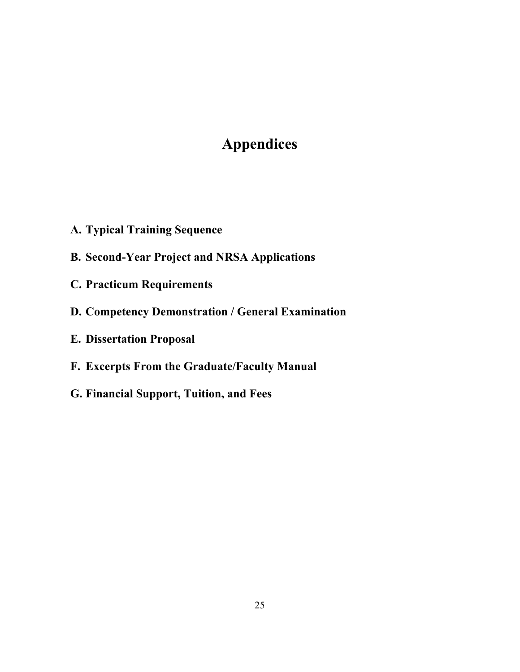# **Appendices**

- **A. Typical Training Sequence**
- **B. Second-Year Project and NRSA Applications**
- **C. Practicum Requirements**
- **D. Competency Demonstration / General Examination**
- **E. Dissertation Proposal**
- **F. Excerpts From the Graduate/Faculty Manual**
- **G. Financial Support, Tuition, and Fees**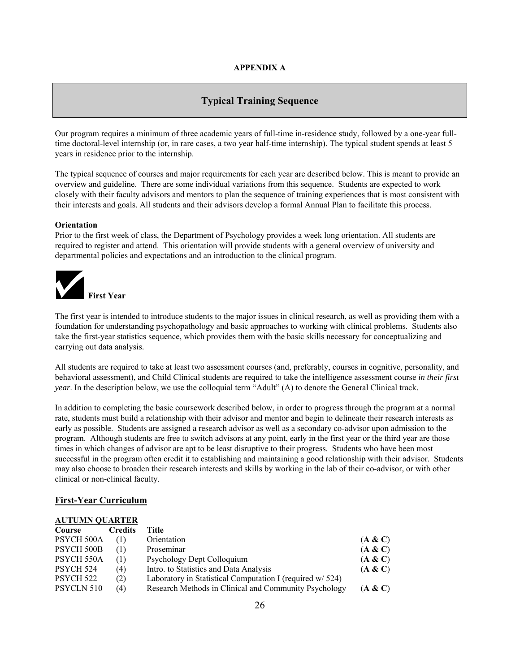# **APPENDIX A**

# **Typical Training Sequence**

Our program requires a minimum of three academic years of full-time in-residence study, followed by a one-year fulltime doctoral-level internship (or, in rare cases, a two year half-time internship). The typical student spends at least 5 years in residence prior to the internship.

The typical sequence of courses and major requirements for each year are described below. This is meant to provide an overview and guideline. There are some individual variations from this sequence. Students are expected to work closely with their faculty advisors and mentors to plan the sequence of training experiences that is most consistent with their interests and goals. All students and their advisors develop a formal Annual Plan to facilitate this process.

## **Orientation**

Prior to the first week of class, the Department of Psychology provides a week long orientation. All students are required to register and attend. This orientation will provide students with a general overview of university and departmental policies and expectations and an introduction to the clinical program.



The first year is intended to introduce students to the major issues in clinical research, as well as providing them with a foundation for understanding psychopathology and basic approaches to working with clinical problems. Students also take the first-year statistics sequence, which provides them with the basic skills necessary for conceptualizing and carrying out data analysis.

All students are required to take at least two assessment courses (and, preferably, courses in cognitive, personality, and behavioral assessment), and Child Clinical students are required to take the intelligence assessment course *in their first year*. In the description below, we use the colloquial term "Adult" (A) to denote the General Clinical track.

In addition to completing the basic coursework described below, in order to progress through the program at a normal rate, students must build a relationship with their advisor and mentor and begin to delineate their research interests as early as possible. Students are assigned a research advisor as well as a secondary co-advisor upon admission to the program. Although students are free to switch advisors at any point, early in the first year or the third year are those times in which changes of advisor are apt to be least disruptive to their progress. Students who have been most successful in the program often credit it to establishing and maintaining a good relationship with their advisor. Students may also choose to broaden their research interests and skills by working in the lab of their co-advisor, or with other clinical or non-clinical faculty.

# **First-Year Curriculum**

# **AUTUMN QUARTER Course Credits Title** PSYCH 500A (1) Orientation (**A & C**) PSYCH 500B (1) Proseminar (**A & C**) PSYCH 550A (1) Psychology Dept Colloquium (**A & C**) PSYCH 524 (4) Intro. to Statistics and Data Analysis (**A & C**) PSYCH 522 (2) Laboratory in Statistical Computation I (required w/ 524) PSYCLN 510 (4) Research Methods in Clinical and Community Psychology (**A & C**)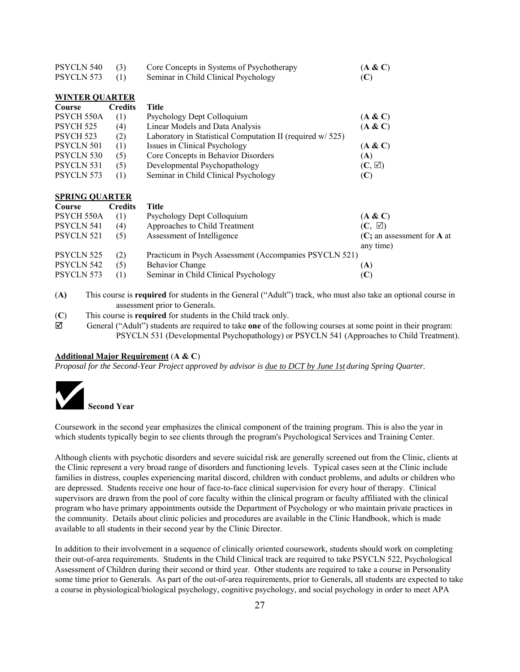| PSYCLN 540            | (3)            | Core Concepts in Systems of Psychotherapy                  | (A & C)                             |
|-----------------------|----------------|------------------------------------------------------------|-------------------------------------|
| PSYCLN 573            | (1)            | Seminar in Child Clinical Psychology                       | (C)                                 |
| <b>WINTER QUARTER</b> |                |                                                            |                                     |
| Course                | <b>Credits</b> | <b>Title</b>                                               |                                     |
| PSYCH 550A            | (1)            | Psychology Dept Colloquium                                 | (A & C)                             |
| PSYCH <sub>525</sub>  | (4)            | Linear Models and Data Analysis                            | (A & C)                             |
| PSYCH <sub>523</sub>  | (2)            | Laboratory in Statistical Computation II (required w/ 525) |                                     |
| <b>PSYCLN 501</b>     | (1)            | Issues in Clinical Psychology                              | (A & C)                             |
| PSYCLN 530            | (5)            | Core Concepts in Behavior Disorders                        | (A)                                 |
| PSYCLN 531            | (5)            | Developmental Psychopathology                              | $(C, \boxtimes)$                    |
| PSYCLN 573            | (1)            | Seminar in Child Clinical Psychology                       | (C)                                 |
| <b>SPRING QUARTER</b> |                |                                                            |                                     |
| Course                | <b>Credits</b> | <b>Title</b>                                               |                                     |
| PSYCH 550A            | (1)            | Psychology Dept Colloquium                                 | (A & C)                             |
| PSYCLN 541            | (4)            | Approaches to Child Treatment                              | $(C, \boxtimes)$                    |
| PSYCLN 521            | (5)            | Assessment of Intelligence                                 | $(C;$ an assessment for <b>A</b> at |
|                       |                |                                                            | any time)                           |
| <b>PSYCLN 525</b>     | (2)            | Practicum in Psych Assessment (Accompanies PSYCLN 521)     |                                     |
| PSYCLN 542            | (5)            | <b>Behavior Change</b>                                     | (A)                                 |
| PSYCLN 573            | (1)            | Seminar in Child Clinical Psychology                       | (C)                                 |

- (**A)** This course is **required** for students in the General ("Adult") track, who must also take an optional course in assessment prior to Generals.
- (**C**) This course is **required** for students in the Child track only.
- General ("Adult") students are required to take **one** of the following courses at some point in their program: PSYCLN 531 (Developmental Psychopathology) or PSYCLN 541 (Approaches to Child Treatment).

#### **Additional Major Requirement** (**A & C**)

*Proposal for the Second-Year Project approved by advisor is due to DCT by June 1st during Spring Quarter.* 



Coursework in the second year emphasizes the clinical component of the training program. This is also the year in which students typically begin to see clients through the program's Psychological Services and Training Center.

Although clients with psychotic disorders and severe suicidal risk are generally screened out from the Clinic, clients at the Clinic represent a very broad range of disorders and functioning levels. Typical cases seen at the Clinic include families in distress, couples experiencing marital discord, children with conduct problems, and adults or children who are depressed. Students receive one hour of face-to-face clinical supervision for every hour of therapy. Clinical supervisors are drawn from the pool of core faculty within the clinical program or faculty affiliated with the clinical program who have primary appointments outside the Department of Psychology or who maintain private practices in the community. Details about clinic policies and procedures are available in the Clinic Handbook, which is made available to all students in their second year by the Clinic Director.

In addition to their involvement in a sequence of clinically oriented coursework, students should work on completing their out-of-area requirements. Students in the Child Clinical track are required to take PSYCLN 522, Psychological Assessment of Children during their second or third year. Other students are required to take a course in Personality some time prior to Generals. As part of the out-of-area requirements, prior to Generals, all students are expected to take a course in physiological/biological psychology, cognitive psychology, and social psychology in order to meet APA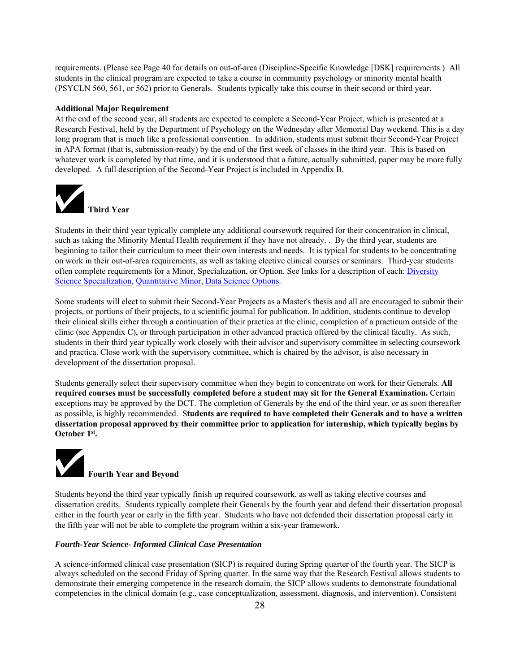requirements. (Please see Page 40 for details on out-of-area (Discipline-Specific Knowledge [DSK] requirements.) All students in the clinical program are expected to take a course in community psychology or minority mental health (PSYCLN 560, 561, or 562) prior to Generals. Students typically take this course in their second or third year.

#### **Additional Major Requirement**

At the end of the second year, all students are expected to complete a Second-Year Project, which is presented at a Research Festival, held by the Department of Psychology on the Wednesday after Memorial Day weekend. This is a day long program that is much like a professional convention. In addition, students must submit their Second-Year Project in APA format (that is, submission-ready) by the end of the first week of classes in the third year. This is based on whatever work is completed by that time, and it is understood that a future, actually submitted, paper may be more fully developed. A full description of the Second-Year Project is included in Appendix B.



Students in their third year typically complete any additional coursework required for their concentration in clinical, such as taking the Minority Mental Health requirement if they have not already. . By the third year, students are beginning to tailor their curriculum to meet their own interests and needs. It is typical for students to be concentrating on work in their out-of-area requirements, as well as taking elective clinical courses or seminars. Third-year students often complete requirements for a Minor, Specialization, or Option. See links for a description of each: Diversity Science Specialization, Quantitative Minor, Data Science Options.

Some students will elect to submit their Second-Year Projects as a Master's thesis and all are encouraged to submit their projects, or portions of their projects, to a scientific journal for publication. In addition, students continue to develop their clinical skills either through a continuation of their practica at the clinic, completion of a practicum outside of the clinic (see Appendix C), or through participation in other advanced practica offered by the clinical faculty. As such, students in their third year typically work closely with their advisor and supervisory committee in selecting coursework and practica. Close work with the supervisory committee, which is chaired by the advisor, is also necessary in development of the dissertation proposal.

Students generally select their supervisory committee when they begin to concentrate on work for their Generals. **All required courses must be successfully completed before a student may sit for the General Examination.** Certain exceptions may be approved by the DCT. The completion of Generals by the end of the third year, or as soon thereafter as possible, is highly recommended. S**tudents are required to have completed their Generals and to have a written dissertation proposal approved by their committee prior to application for internship, which typically begins by October 1st.**

# **Fourth Year and Beyond**

Students beyond the third year typically finish up required coursework, as well as taking elective courses and dissertation credits. Students typically complete their Generals by the fourth year and defend their dissertation proposal either in the fourth year or early in the fifth year. Students who have not defended their dissertation proposal early in the fifth year will not be able to complete the program within a six-year framework.

#### *Fourth-Year Science- Informed Clinical Case Presentation*

A science-informed clinical case presentation (SICP) is required during Spring quarter of the fourth year. The SICP is always scheduled on the second Friday of Spring quarter. In the same way that the Research Festival allows students to demonstrate their emerging competence in the research domain, the SICP allows students to demonstrate foundational competencies in the clinical domain (e.g., case conceptualization, assessment, diagnosis, and intervention). Consistent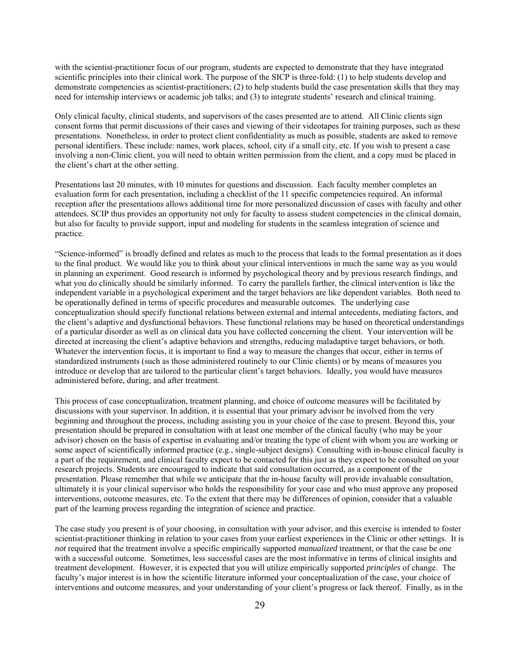with the scientist-practitioner focus of our program, students are expected to demonstrate that they have integrated scientific principles into their clinical work. The purpose of the SICP is three-fold: (1) to help students develop and demonstrate competencies as scientist-practitioners; (2) to help students build the case presentation skills that they may need for internship interviews or academic job talks; and (3) to integrate students' research and clinical training.

Only clinical faculty, clinical students, and supervisors of the cases presented are to attend. All Clinic clients sign consent forms that permit discussions of their cases and viewing of their videotapes for training purposes, such as these presentations. Nonetheless, in order to protect client confidentiality as much as possible, students are asked to remove personal identifiers. These include: names, work places, school, city if a small city, etc. If you wish to present a case involving a non-Clinic client, you will need to obtain written permission from the client, and a copy must be placed in the client's chart at the other setting.

Presentations last 20 minutes, with 10 minutes for questions and discussion. Each faculty member completes an evaluation form for each presentation, including a checklist of the 11 specific competencies required. An informal reception after the presentations allows additional time for more personalized discussion of cases with faculty and other attendees. SCIP thus provides an opportunity not only for faculty to assess student competencies in the clinical domain, but also for faculty to provide support, input and modeling for students in the seamless integration of science and practice.

"Science-informed" is broadly defined and relates as much to the process that leads to the formal presentation as it does to the final product. We would like you to think about your clinical interventions in much the same way as you would in planning an experiment. Good research is informed by psychological theory and by previous research findings, and what you do clinically should be similarly informed. To carry the parallels farther, the clinical intervention is like the independent variable in a psychological experiment and the target behaviors are like dependent variables. Both need to be operationally defined in terms of specific procedures and measurable outcomes. The underlying case conceptualization should specify functional relations between external and internal antecedents, mediating factors, and the client's adaptive and dysfunctional behaviors. These functional relations may be based on theoretical understandings of a particular disorder as well as on clinical data you have collected concerning the client. Your intervention will be directed at increasing the client's adaptive behaviors and strengths, reducing maladaptive target behaviors, or both. Whatever the intervention focus, it is important to find a way to measure the changes that occur, either in terms of standardized instruments (such as those administered routinely to our Clinic clients) or by means of measures you introduce or develop that are tailored to the particular client's target behaviors. Ideally, you would have measures administered before, during, and after treatment.

This process of case conceptualization, treatment planning, and choice of outcome measures will be facilitated by discussions with your supervisor. In addition, it is essential that your primary advisor be involved from the very beginning and throughout the process, including assisting you in your choice of the case to present. Beyond this, your presentation should be prepared in consultation with at least one member of the clinical faculty (who may be your advisor) chosen on the basis of expertise in evaluating and/or treating the type of client with whom you are working or some aspect of scientifically informed practice (e.g., single-subject designs). Consulting with in-house clinical faculty is a part of the requirement, and clinical faculty expect to be contacted for this just as they expect to be consulted on your research projects. Students are encouraged to indicate that said consultation occurred, as a component of the presentation. Please remember that while we anticipate that the in-house faculty will provide invaluable consultation, ultimately it is your clinical supervisor who holds the responsibility for your case and who must approve any proposed interventions, outcome measures, etc. To the extent that there may be differences of opinion, consider that a valuable part of the learning process regarding the integration of science and practice.

The case study you present is of your choosing, in consultation with your advisor, and this exercise is intended to foster scientist-practitioner thinking in relation to your cases from your earliest experiences in the Clinic or other settings. It is *not* required that the treatment involve a specific empirically supported *manualized* treatment, or that the case be one with a successful outcome. Sometimes, less successful cases are the most informative in terms of clinical insights and treatment development. However, it is expected that you will utilize empirically supported *principles* of change. The faculty's major interest is in how the scientific literature informed your conceptualization of the case, your choice of interventions and outcome measures, and your understanding of your client's progress or lack thereof. Finally, as in the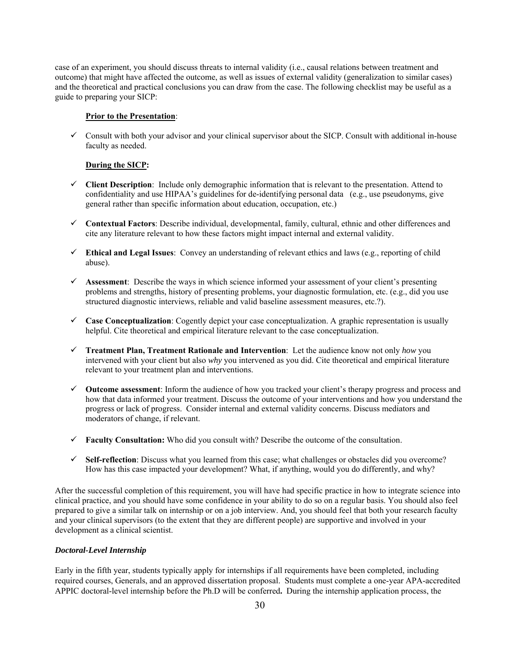case of an experiment, you should discuss threats to internal validity (i.e., causal relations between treatment and outcome) that might have affected the outcome, as well as issues of external validity (generalization to similar cases) and the theoretical and practical conclusions you can draw from the case. The following checklist may be useful as a guide to preparing your SICP:

## **Prior to the Presentation**:

 $\checkmark$  Consult with both your advisor and your clinical supervisor about the SICP. Consult with additional in-house faculty as needed.

#### **During the SICP:**

- $\checkmark$  **Client Description**: Include only demographic information that is relevant to the presentation. Attend to confidentiality and use HIPAA's guidelines for de-identifying personal data (e.g., use pseudonyms, give general rather than specific information about education, occupation, etc.)
- **Contextual Factors**: Describe individual, developmental, family, cultural, ethnic and other differences and cite any literature relevant to how these factors might impact internal and external validity.
- **Ethical and Legal Issues**: Convey an understanding of relevant ethics and laws (e.g., reporting of child abuse).
- **Assessment**: Describe the ways in which science informed your assessment of your client's presenting problems and strengths, history of presenting problems, your diagnostic formulation, etc. (e.g., did you use structured diagnostic interviews, reliable and valid baseline assessment measures, etc.?).
- **Case Conceptualization**: Cogently depict your case conceptualization. A graphic representation is usually helpful. Cite theoretical and empirical literature relevant to the case conceptualization.
- **Treatment Plan, Treatment Rationale and Intervention**: Let the audience know not only *how* you intervened with your client but also *why* you intervened as you did. Cite theoretical and empirical literature relevant to your treatment plan and interventions.
- **Outcome assessment**: Inform the audience of how you tracked your client's therapy progress and process and how that data informed your treatment. Discuss the outcome of your interventions and how you understand the progress or lack of progress. Consider internal and external validity concerns. Discuss mediators and moderators of change, if relevant.
- **Faculty Consultation:** Who did you consult with? Describe the outcome of the consultation.
- **Self-reflection**: Discuss what you learned from this case; what challenges or obstacles did you overcome? How has this case impacted your development? What, if anything, would you do differently, and why?

After the successful completion of this requirement, you will have had specific practice in how to integrate science into clinical practice, and you should have some confidence in your ability to do so on a regular basis. You should also feel prepared to give a similar talk on internship or on a job interview. And, you should feel that both your research faculty and your clinical supervisors (to the extent that they are different people) are supportive and involved in your development as a clinical scientist.

# *Doctoral-Level Internship*

Early in the fifth year, students typically apply for internships if all requirements have been completed, including required courses, Generals, and an approved dissertation proposal. Students must complete a one-year APA-accredited APPIC doctoral-level internship before the Ph.D will be conferred**.** During the internship application process, the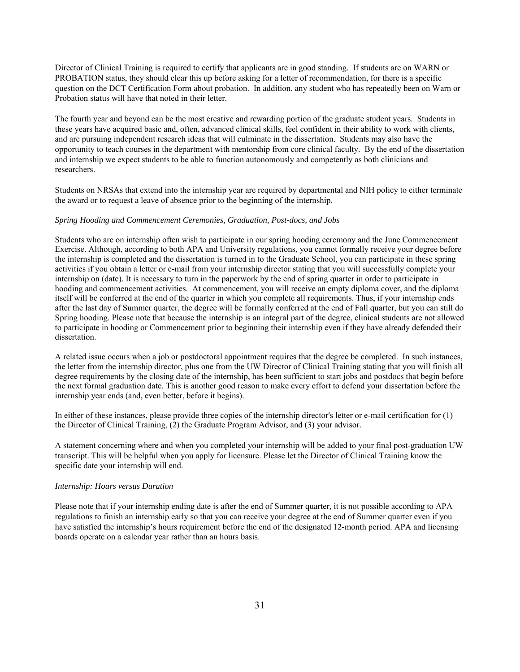Director of Clinical Training is required to certify that applicants are in good standing. If students are on WARN or PROBATION status, they should clear this up before asking for a letter of recommendation, for there is a specific question on the DCT Certification Form about probation. In addition, any student who has repeatedly been on Warn or Probation status will have that noted in their letter.

The fourth year and beyond can be the most creative and rewarding portion of the graduate student years. Students in these years have acquired basic and, often, advanced clinical skills, feel confident in their ability to work with clients, and are pursuing independent research ideas that will culminate in the dissertation. Students may also have the opportunity to teach courses in the department with mentorship from core clinical faculty. By the end of the dissertation and internship we expect students to be able to function autonomously and competently as both clinicians and researchers.

Students on NRSAs that extend into the internship year are required by departmental and NIH policy to either terminate the award or to request a leave of absence prior to the beginning of the internship.

#### *Spring Hooding and Commencement Ceremonies, Graduation, Post-docs, and Jobs*

Students who are on internship often wish to participate in our spring hooding ceremony and the June Commencement Exercise. Although, according to both APA and University regulations, you cannot formally receive your degree before the internship is completed and the dissertation is turned in to the Graduate School, you can participate in these spring activities if you obtain a letter or e-mail from your internship director stating that you will successfully complete your internship on (date). It is necessary to turn in the paperwork by the end of spring quarter in order to participate in hooding and commencement activities. At commencement, you will receive an empty diploma cover, and the diploma itself will be conferred at the end of the quarter in which you complete all requirements. Thus, if your internship ends after the last day of Summer quarter, the degree will be formally conferred at the end of Fall quarter, but you can still do Spring hooding. Please note that because the internship is an integral part of the degree, clinical students are not allowed to participate in hooding or Commencement prior to beginning their internship even if they have already defended their dissertation.

A related issue occurs when a job or postdoctoral appointment requires that the degree be completed. In such instances, the letter from the internship director, plus one from the UW Director of Clinical Training stating that you will finish all degree requirements by the closing date of the internship, has been sufficient to start jobs and postdocs that begin before the next formal graduation date. This is another good reason to make every effort to defend your dissertation before the internship year ends (and, even better, before it begins).

In either of these instances, please provide three copies of the internship director's letter or e-mail certification for (1) the Director of Clinical Training, (2) the Graduate Program Advisor, and (3) your advisor.

A statement concerning where and when you completed your internship will be added to your final post-graduation UW transcript. This will be helpful when you apply for licensure. Please let the Director of Clinical Training know the specific date your internship will end.

#### *Internship: Hours versus Duration*

Please note that if your internship ending date is after the end of Summer quarter, it is not possible according to APA regulations to finish an internship early so that you can receive your degree at the end of Summer quarter even if you have satisfied the internship's hours requirement before the end of the designated 12-month period. APA and licensing boards operate on a calendar year rather than an hours basis.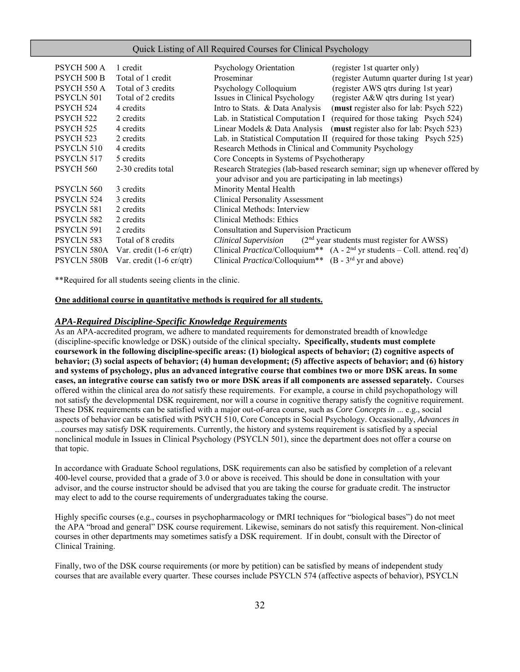#### Quick Listing of All Required Courses for Clinical Psychology

| PSYCH 500 A          | 1 credit                                  | Psychology Orientation                                          | (register 1st quarter only)                                                            |
|----------------------|-------------------------------------------|-----------------------------------------------------------------|----------------------------------------------------------------------------------------|
|                      |                                           |                                                                 |                                                                                        |
| <b>PSYCH 500 B</b>   | Total of 1 credit                         | Proseminar                                                      | (register Autumn quarter during 1st year)                                              |
| PSYCH 550 A          | Total of 3 credits                        | Psychology Colloquium                                           | (register AWS qtrs during 1st year)                                                    |
| PSYCLN 501           | Total of 2 credits                        | Issues in Clinical Psychology                                   | (register A&W qtrs during 1st year)                                                    |
| PSYCH 524            | 4 credits                                 | Intro to Stats. & Data Analysis                                 | (must register also for lab: Psych 522)                                                |
| PSYCH <sub>522</sub> | 2 credits                                 | Lab. in Statistical Computation I                               | (required for those taking Psych 524)                                                  |
| PSYCH <sub>525</sub> | 4 credits                                 | Linear Models & Data Analysis                                   | (must register also for lab: Psych 523)                                                |
| <b>PSYCH 523</b>     | 2 credits                                 |                                                                 | Lab. in Statistical Computation II (required for those taking Psych 525)               |
| PSYCLN 510           | 4 credits                                 | Research Methods in Clinical and Community Psychology           |                                                                                        |
| PSYCLN 517           | 5 credits                                 | Core Concepts in Systems of Psychotherapy                       |                                                                                        |
| PSYCH 560            | 2-30 credits total                        |                                                                 | Research Strategies (lab-based research seminar; sign up whenever offered by           |
|                      |                                           | your advisor and you are participating in lab meetings)         |                                                                                        |
| PSYCLN 560           | 3 credits                                 | Minority Mental Health                                          |                                                                                        |
| <b>PSYCLN 524</b>    | 3 credits                                 | <b>Clinical Personality Assessment</b>                          |                                                                                        |
| PSYCLN 581           | 2 credits                                 | Clinical Methods: Interview                                     |                                                                                        |
| PSYCLN 582           | 2 credits                                 | Clinical Methods: Ethics                                        |                                                                                        |
| PSYCLN 591           | 2 credits                                 | Consultation and Supervision Practicum                          |                                                                                        |
| PSYCLN 583           | Total of 8 credits                        |                                                                 | <i>Clinical Supervision</i> $(2nd$ year students must register for AWSS)               |
| PSYCLN 580A          | Var. credit $(1-6 \text{ cr}/\text{qtr})$ |                                                                 | Clinical Practica/Colloquium** (A - 2 <sup>nd</sup> yr students – Coll. attend. req'd) |
| PSYCLN 580B          | Var. credit $(1-6 \text{ cr}/\text{qtr})$ | Clinical <i>Practica</i> /Colloquium** $(B - 3rd$ yr and above) |                                                                                        |

\*\*Required for all students seeing clients in the clinic.

#### **One additional course in quantitative methods is required for all students.**

#### *APA-Required Discipline-Specific Knowledge Requirements*

As an APA-accredited program, we adhere to mandated requirements for demonstrated breadth of knowledge (discipline-specific knowledge or DSK) outside of the clinical specialty**. Specifically, students must complete coursework in the following discipline-specific areas: (1) biological aspects of behavior; (2) cognitive aspects of behavior; (3) social aspects of behavior; (4) human development; (5) affective aspects of behavior; and (6) history and systems of psychology, plus an advanced integrative course that combines two or more DSK areas. In some cases, an integrative course can satisfy two or more DSK areas if all components are assessed separately.** Courses offered within the clinical area do *not* satisfy these requirements. For example, a course in child psychopathology will not satisfy the developmental DSK requirement, nor will a course in cognitive therapy satisfy the cognitive requirement. These DSK requirements can be satisfied with a major out-of-area course, such as *Core Concepts in* ... e.g., social aspects of behavior can be satisfied with PSYCH 510, Core Concepts in Social Psychology. Occasionally, *Advances in* ...courses may satisfy DSK requirements. Currently, the history and systems requirement is satisfied by a special nonclinical module in Issues in Clinical Psychology (PSYCLN 501), since the department does not offer a course on that topic.

In accordance with Graduate School regulations, DSK requirements can also be satisfied by completion of a relevant 400-level course, provided that a grade of 3.0 or above is received. This should be done in consultation with your advisor, and the course instructor should be advised that you are taking the course for graduate credit. The instructor may elect to add to the course requirements of undergraduates taking the course.

Highly specific courses (e.g., courses in psychopharmacology or fMRI techniques for "biological bases") do not meet the APA "broad and general" DSK course requirement. Likewise, seminars do not satisfy this requirement. Non-clinical courses in other departments may sometimes satisfy a DSK requirement. If in doubt, consult with the Director of Clinical Training.

Finally, two of the DSK course requirements (or more by petition) can be satisfied by means of independent study courses that are available every quarter. These courses include PSYCLN 574 (affective aspects of behavior), PSYCLN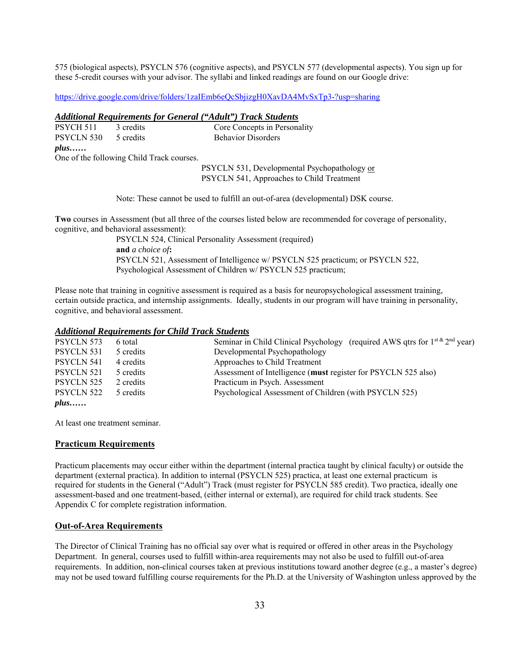575 (biological aspects), PSYCLN 576 (cognitive aspects), and PSYCLN 577 (developmental aspects). You sign up for these 5-credit courses with your advisor. The syllabi and linked readings are found on our Google drive:

https://drive.google.com/drive/folders/1zaIEmb6eQcSbjizgH0XavDA4MvSxTp3-?usp=sharing

#### *Additional Requirements for General ("Adult") Track Students*

| $plus \dots$         |           |                              |
|----------------------|-----------|------------------------------|
| PSYCLN 530 5 credits |           | <b>Behavior Disorders</b>    |
| PSYCH 511            | 3 credits | Core Concepts in Personality |

One of the following Child Track courses.

PSYCLN 531, Developmental Psychopathology or PSYCLN 541, Approaches to Child Treatment

Note: These cannot be used to fulfill an out-of-area (developmental) DSK course.

**Two** courses in Assessment (but all three of the courses listed below are recommended for coverage of personality, cognitive, and behavioral assessment):

> PSYCLN 524, Clinical Personality Assessment (required) **and** *a choice of***:**  PSYCLN 521, Assessment of Intelligence w/ PSYCLN 525 practicum; or PSYCLN 522, Psychological Assessment of Children w/ PSYCLN 525 practicum;

Please note that training in cognitive assessment is required as a basis for neuropsychological assessment training, certain outside practica, and internship assignments. Ideally, students in our program will have training in personality, cognitive, and behavioral assessment.

# *Additional Requirements for Child Track Students*

| PSYCLN 573   | 6 total   | Seminar in Child Clinical Psychology (required AWS qtrs for $1^{st \& 2^{nd}}$ year) |
|--------------|-----------|--------------------------------------------------------------------------------------|
| PSYCLN 531   | 5 credits | Developmental Psychopathology                                                        |
| PSYCLN 541   | 4 credits | Approaches to Child Treatment                                                        |
| PSYCLN 521   | 5 credits | Assessment of Intelligence (must register for PSYCLN 525 also)                       |
| PSYCLN 525   | 2 credits | Practicum in Psych. Assessment                                                       |
| PSYCLN 522   | 5 credits | Psychological Assessment of Children (with PSYCLN 525)                               |
| $plus \dots$ |           |                                                                                      |

At least one treatment seminar.

# **Practicum Requirements**

Practicum placements may occur either within the department (internal practica taught by clinical faculty) or outside the department (external practica). In addition to internal (PSYCLN 525) practica, at least one external practicum is required for students in the General ("Adult") Track (must register for PSYCLN 585 credit). Two practica, ideally one assessment-based and one treatment-based, (either internal or external), are required for child track students. See Appendix C for complete registration information.

#### **Out-of-Area Requirements**

The Director of Clinical Training has no official say over what is required or offered in other areas in the Psychology Department. In general, courses used to fulfill within-area requirements may not also be used to fulfill out-of-area requirements. In addition, non-clinical courses taken at previous institutions toward another degree (e.g., a master's degree) may not be used toward fulfilling course requirements for the Ph.D. at the University of Washington unless approved by the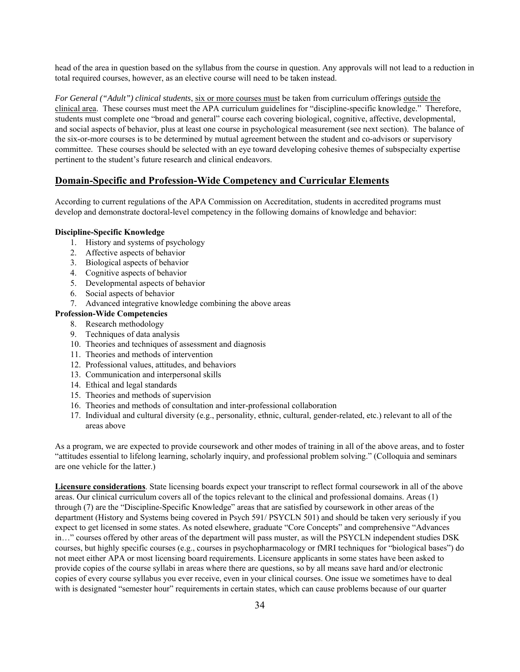head of the area in question based on the syllabus from the course in question. Any approvals will not lead to a reduction in total required courses, however, as an elective course will need to be taken instead.

*For General ("Adult") clinical students*, six or more courses must be taken from curriculum offerings outside the clinical area. These courses must meet the APA curriculum guidelines for "discipline-specific knowledge." Therefore, students must complete one "broad and general" course each covering biological, cognitive, affective, developmental, and social aspects of behavior, plus at least one course in psychological measurement (see next section). The balance of the six-or-more courses is to be determined by mutual agreement between the student and co-advisors or supervisory committee. These courses should be selected with an eye toward developing cohesive themes of subspecialty expertise pertinent to the student's future research and clinical endeavors.

# **Domain-Specific and Profession-Wide Competency and Curricular Elements**

According to current regulations of the APA Commission on Accreditation, students in accredited programs must develop and demonstrate doctoral-level competency in the following domains of knowledge and behavior:

# **Discipline-Specific Knowledge**

- 1. History and systems of psychology
- 2. Affective aspects of behavior
- 3. Biological aspects of behavior
- 4. Cognitive aspects of behavior
- 5. Developmental aspects of behavior
- 6. Social aspects of behavior
- 7. Advanced integrative knowledge combining the above areas

# **Profession-Wide Competencies**

- 8. Research methodology
- 9. Techniques of data analysis
- 10. Theories and techniques of assessment and diagnosis
- 11. Theories and methods of intervention
- 12. Professional values, attitudes, and behaviors
- 13. Communication and interpersonal skills
- 14. Ethical and legal standards
- 15. Theories and methods of supervision
- 16. Theories and methods of consultation and inter-professional collaboration
- 17. Individual and cultural diversity (e.g., personality, ethnic, cultural, gender-related, etc.) relevant to all of the areas above

As a program, we are expected to provide coursework and other modes of training in all of the above areas, and to foster "attitudes essential to lifelong learning, scholarly inquiry, and professional problem solving." (Colloquia and seminars are one vehicle for the latter.)

**Licensure considerations**. State licensing boards expect your transcript to reflect formal coursework in all of the above areas. Our clinical curriculum covers all of the topics relevant to the clinical and professional domains. Areas (1) through (7) are the "Discipline-Specific Knowledge" areas that are satisfied by coursework in other areas of the department (History and Systems being covered in Psych 591/ PSYCLN 501) and should be taken very seriously if you expect to get licensed in some states. As noted elsewhere, graduate "Core Concepts" and comprehensive "Advances in…" courses offered by other areas of the department will pass muster, as will the PSYCLN independent studies DSK courses, but highly specific courses (e.g., courses in psychopharmacology or fMRI techniques for "biological bases") do not meet either APA or most licensing board requirements. Licensure applicants in some states have been asked to provide copies of the course syllabi in areas where there are questions, so by all means save hard and/or electronic copies of every course syllabus you ever receive, even in your clinical courses. One issue we sometimes have to deal with is designated "semester hour" requirements in certain states, which can cause problems because of our quarter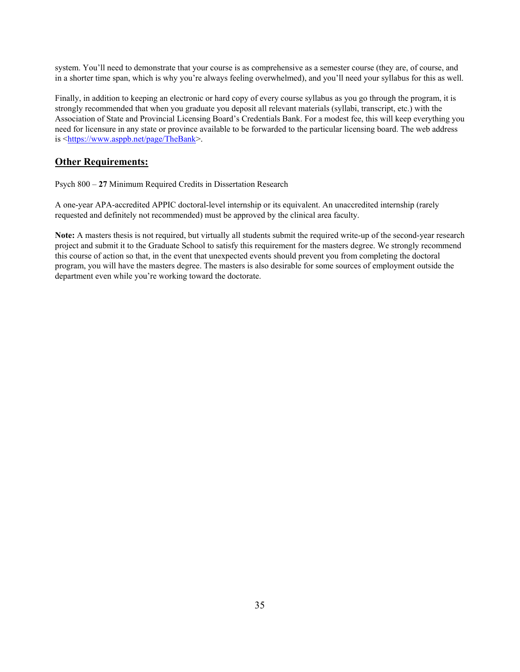system. You'll need to demonstrate that your course is as comprehensive as a semester course (they are, of course, and in a shorter time span, which is why you're always feeling overwhelmed), and you'll need your syllabus for this as well.

Finally, in addition to keeping an electronic or hard copy of every course syllabus as you go through the program, it is strongly recommended that when you graduate you deposit all relevant materials (syllabi, transcript, etc.) with the Association of State and Provincial Licensing Board's Credentials Bank. For a modest fee, this will keep everything you need for licensure in any state or province available to be forwarded to the particular licensing board. The web address is <https://www.asppb.net/page/TheBank>.

# **Other Requirements:**

Psych 800 – **27** Minimum Required Credits in Dissertation Research

A one-year APA-accredited APPIC doctoral-level internship or its equivalent. An unaccredited internship (rarely requested and definitely not recommended) must be approved by the clinical area faculty.

**Note:** A masters thesis is not required, but virtually all students submit the required write-up of the second-year research project and submit it to the Graduate School to satisfy this requirement for the masters degree. We strongly recommend this course of action so that, in the event that unexpected events should prevent you from completing the doctoral program, you will have the masters degree. The masters is also desirable for some sources of employment outside the department even while you're working toward the doctorate.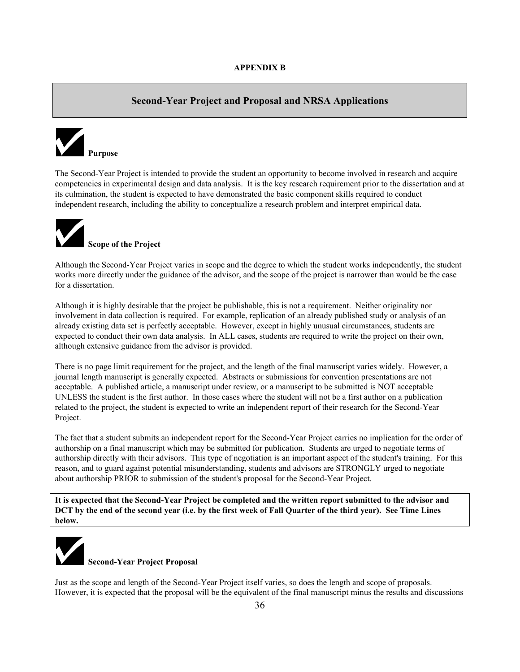# **Second-Year Project and Proposal and NRSA Applications**



The Second-Year Project is intended to provide the student an opportunity to become involved in research and acquire competencies in experimental design and data analysis. It is the key research requirement prior to the dissertation and at its culmination, the student is expected to have demonstrated the basic component skills required to conduct independent research, including the ability to conceptualize a research problem and interpret empirical data.



**Scope of the Project** 

Although the Second-Year Project varies in scope and the degree to which the student works independently, the student works more directly under the guidance of the advisor, and the scope of the project is narrower than would be the case for a dissertation.

Although it is highly desirable that the project be publishable, this is not a requirement. Neither originality nor involvement in data collection is required. For example, replication of an already published study or analysis of an already existing data set is perfectly acceptable. However, except in highly unusual circumstances, students are expected to conduct their own data analysis. In ALL cases, students are required to write the project on their own, although extensive guidance from the advisor is provided.

There is no page limit requirement for the project, and the length of the final manuscript varies widely. However, a journal length manuscript is generally expected. Abstracts or submissions for convention presentations are not acceptable. A published article, a manuscript under review, or a manuscript to be submitted is NOT acceptable UNLESS the student is the first author. In those cases where the student will not be a first author on a publication related to the project, the student is expected to write an independent report of their research for the Second-Year Project.

The fact that a student submits an independent report for the Second-Year Project carries no implication for the order of authorship on a final manuscript which may be submitted for publication. Students are urged to negotiate terms of authorship directly with their advisors. This type of negotiation is an important aspect of the student's training. For this reason, and to guard against potential misunderstanding, students and advisors are STRONGLY urged to negotiate about authorship PRIOR to submission of the student's proposal for the Second-Year Project.

**It is expected that the Second-Year Project be completed and the written report submitted to the advisor and DCT by the end of the second year (i.e. by the first week of Fall Quarter of the third year). See Time Lines below.** 



Just as the scope and length of the Second-Year Project itself varies, so does the length and scope of proposals. However, it is expected that the proposal will be the equivalent of the final manuscript minus the results and discussions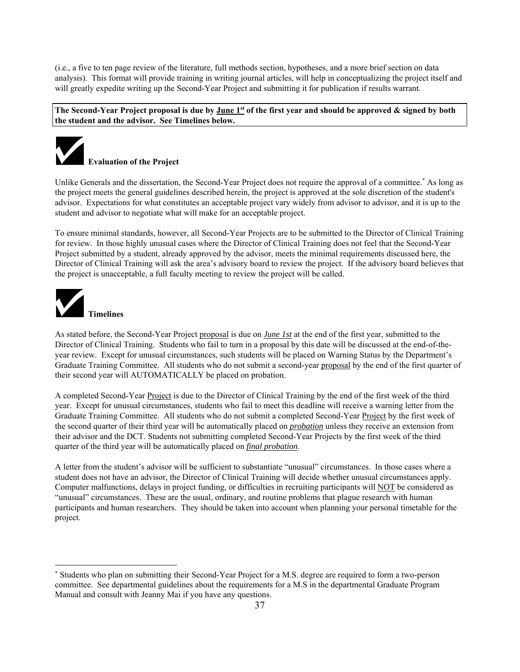(i.e., a five to ten page review of the literature, full methods section, hypotheses, and a more brief section on data analysis). This format will provide training in writing journal articles, will help in conceptualizing the project itself and will greatly expedite writing up the Second-Year Project and submitting it for publication if results warrant.

**The Second-Year Project proposal is due by June 1st of the first year and should be approved & signed by both the student and the advisor. See Timelines below.** 



Unlike Generals and the dissertation, the Second-Year Project does not require the approval of a committee.<sup>\*</sup> As long as the project meets the general guidelines described herein, the project is approved at the sole discretion of the student's advisor. Expectations for what constitutes an acceptable project vary widely from advisor to advisor, and it is up to the student and advisor to negotiate what will make for an acceptable project.

To ensure minimal standards, however, all Second-Year Projects are to be submitted to the Director of Clinical Training for review. In those highly unusual cases where the Director of Clinical Training does not feel that the Second-Year Project submitted by a student, already approved by the advisor, meets the minimal requirements discussed here, the Director of Clinical Training will ask the area's advisory board to review the project. If the advisory board believes that the project is unacceptable, a full faculty meeting to review the project will be called.



 $\overline{a}$ 

**Timelines** 

As stated before, the Second-Year Project proposal is due on *June 1st* at the end of the first year, submitted to the Director of Clinical Training. Students who fail to turn in a proposal by this date will be discussed at the end-of-theyear review. Except for unusual circumstances, such students will be placed on Warning Status by the Department's Graduate Training Committee. All students who do not submit a second-year proposal by the end of the first quarter of their second year will AUTOMATICALLY be placed on probation.

A completed Second-Year Project is due to the Director of Clinical Training by the end of the first week of the third year. Except for unusual circumstances, students who fail to meet this deadline will receive a warning letter from the Graduate Training Committee. All students who do not submit a completed Second-Year Project by the first week of the second quarter of their third year will be automatically placed on *probation* unless they receive an extension from their advisor and the DCT. Students not submitting completed Second-Year Projects by the first week of the third quarter of the third year will be automatically placed on *final probation*.

A letter from the student's advisor will be sufficient to substantiate "unusual" circumstances. In those cases where a student does not have an advisor, the Director of Clinical Training will decide whether unusual circumstances apply. Computer malfunctions, delays in project funding, or difficulties in recruiting participants will NOT be considered as "unusual" circumstances. These are the usual, ordinary, and routine problems that plague research with human participants and human researchers. They should be taken into account when planning your personal timetable for the project.

<sup>\*</sup> Students who plan on submitting their Second-Year Project for a M.S. degree are required to form a two-person committee. See departmental guidelines about the requirements for a M.S in the departmental Graduate Program Manual and consult with Jeanny Mai if you have any questions.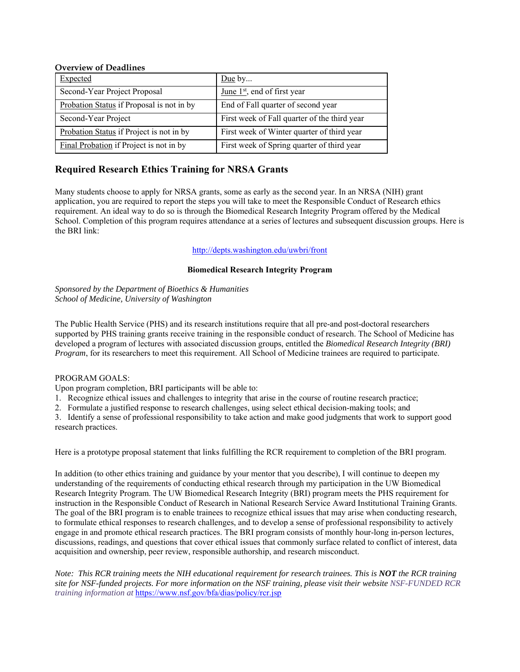# **Overview of Deadlines**

| Expected                                  | Due by                                       |
|-------------------------------------------|----------------------------------------------|
| Second-Year Project Proposal              | June $1st$ , end of first year               |
| Probation Status if Proposal is not in by | End of Fall quarter of second year           |
| Second-Year Project                       | First week of Fall quarter of the third year |
| Probation Status if Project is not in by  | First week of Winter quarter of third year   |
| Final Probation if Project is not in by   | First week of Spring quarter of third year   |

# **Required Research Ethics Training for NRSA Grants**

Many students choose to apply for NRSA grants, some as early as the second year. In an NRSA (NIH) grant application, you are required to report the steps you will take to meet the Responsible Conduct of Research ethics requirement. An ideal way to do so is through the Biomedical Research Integrity Program offered by the Medical School. Completion of this program requires attendance at a series of lectures and subsequent discussion groups. Here is the BRI link:

# http://depts.washington.edu/uwbri/front

# **Biomedical Research Integrity Program**

*Sponsored by the Department of Bioethics & Humanities School of Medicine, University of Washington*

The Public Health Service (PHS) and its research institutions require that all pre-and post-doctoral researchers supported by PHS training grants receive training in the responsible conduct of research. The School of Medicine has developed a program of lectures with associated discussion groups, entitled the *Biomedical Research Integrity (BRI) Program*, for its researchers to meet this requirement. All School of Medicine trainees are required to participate.

# PROGRAM GOALS:

Upon program completion, BRI participants will be able to:

1. Recognize ethical issues and challenges to integrity that arise in the course of routine research practice;

2. Formulate a justified response to research challenges, using select ethical decision-making tools; and

3. Identify a sense of professional responsibility to take action and make good judgments that work to support good research practices.

Here is a prototype proposal statement that links fulfilling the RCR requirement to completion of the BRI program.

In addition (to other ethics training and guidance by your mentor that you describe), I will continue to deepen my understanding of the requirements of conducting ethical research through my participation in the UW Biomedical Research Integrity Program. The UW Biomedical Research Integrity (BRI) program meets the PHS requirement for instruction in the Responsible Conduct of Research in National Research Service Award Institutional Training Grants. The goal of the BRI program is to enable trainees to recognize ethical issues that may arise when conducting research, to formulate ethical responses to research challenges, and to develop a sense of professional responsibility to actively engage in and promote ethical research practices. The BRI program consists of monthly hour-long in-person lectures, discussions, readings, and questions that cover ethical issues that commonly surface related to conflict of interest, data acquisition and ownership, peer review, responsible authorship, and research misconduct.

*Note: This RCR training meets the NIH educational requirement for research trainees. This is NOT the RCR training site for NSF-funded projects. For more information on the NSF training, please visit their website NSF-FUNDED RCR training information at* https://www.nsf.gov/bfa/dias/policy/rcr.jsp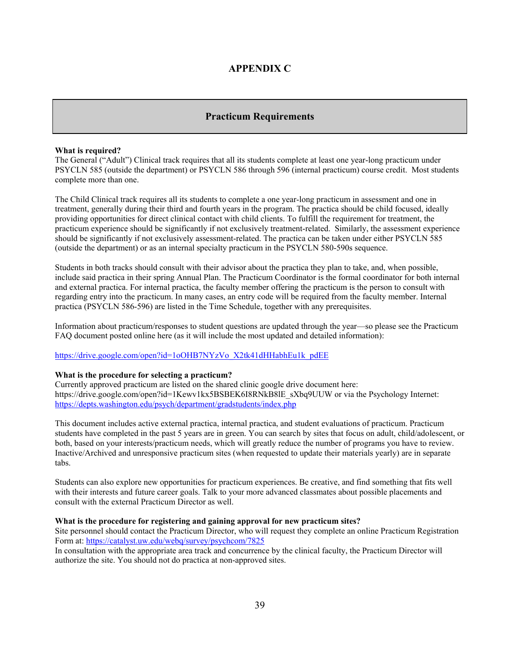# **APPENDIX C**

# **Practicum Requirements**

#### **What is required?**

The General ("Adult") Clinical track requires that all its students complete at least one year-long practicum under PSYCLN 585 (outside the department) or PSYCLN 586 through 596 (internal practicum) course credit. Most students complete more than one.

The Child Clinical track requires all its students to complete a one year-long practicum in assessment and one in treatment, generally during their third and fourth years in the program. The practica should be child focused, ideally providing opportunities for direct clinical contact with child clients. To fulfill the requirement for treatment, the practicum experience should be significantly if not exclusively treatment-related. Similarly, the assessment experience should be significantly if not exclusively assessment-related. The practica can be taken under either PSYCLN 585 (outside the department) or as an internal specialty practicum in the PSYCLN 580-590s sequence.

Students in both tracks should consult with their advisor about the practica they plan to take, and, when possible, include said practica in their spring Annual Plan. The Practicum Coordinator is the formal coordinator for both internal and external practica. For internal practica, the faculty member offering the practicum is the person to consult with regarding entry into the practicum. In many cases, an entry code will be required from the faculty member. Internal practica (PSYCLN 586-596) are listed in the Time Schedule, together with any prerequisites.

Information about practicum/responses to student questions are updated through the year—so please see the Practicum FAQ document posted online here (as it will include the most updated and detailed information):

# https://drive.google.com/open?id=1oOHB7NYzVo\_X2tk41dHHabhEu1k\_pdEE

#### **What is the procedure for selecting a practicum?**

Currently approved practicum are listed on the shared clinic google drive document here: https://drive.google.com/open?id=1Kewv1kx5BSBEK6I8RNkB8lE\_sXbq9UUW or via the Psychology Internet: https://depts.washington.edu/psych/department/gradstudents/index.php

This document includes active external practica, internal practica, and student evaluations of practicum. Practicum students have completed in the past 5 years are in green. You can search by sites that focus on adult, child/adolescent, or both, based on your interests/practicum needs, which will greatly reduce the number of programs you have to review. Inactive/Archived and unresponsive practicum sites (when requested to update their materials yearly) are in separate tabs.

Students can also explore new opportunities for practicum experiences. Be creative, and find something that fits well with their interests and future career goals. Talk to your more advanced classmates about possible placements and consult with the external Practicum Director as well.

#### **What is the procedure for registering and gaining approval for new practicum sites?**

Site personnel should contact the Practicum Director, who will request they complete an online Practicum Registration Form at: https://catalyst.uw.edu/webq/survey/psychcom/7825

In consultation with the appropriate area track and concurrence by the clinical faculty, the Practicum Director will authorize the site. You should not do practica at non-approved sites.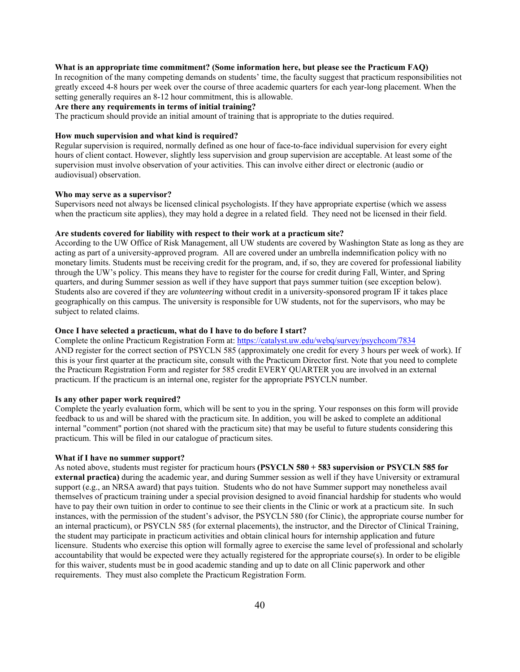#### **What is an appropriate time commitment? (Some information here, but please see the Practicum FAQ)**

In recognition of the many competing demands on students' time, the faculty suggest that practicum responsibilities not greatly exceed 4-8 hours per week over the course of three academic quarters for each year-long placement. When the setting generally requires an 8-12 hour commitment, this is allowable.

# **Are there any requirements in terms of initial training?**

The practicum should provide an initial amount of training that is appropriate to the duties required.

#### **How much supervision and what kind is required?**

Regular supervision is required, normally defined as one hour of face-to-face individual supervision for every eight hours of client contact. However, slightly less supervision and group supervision are acceptable. At least some of the supervision must involve observation of your activities. This can involve either direct or electronic (audio or audiovisual) observation.

#### **Who may serve as a supervisor?**

Supervisors need not always be licensed clinical psychologists. If they have appropriate expertise (which we assess when the practicum site applies), they may hold a degree in a related field. They need not be licensed in their field.

# **Are students covered for liability with respect to their work at a practicum site?**

According to the UW Office of Risk Management, all UW students are covered by Washington State as long as they are acting as part of a university-approved program. All are covered under an umbrella indemnification policy with no monetary limits. Students must be receiving credit for the program, and, if so, they are covered for professional liability through the UW's policy. This means they have to register for the course for credit during Fall, Winter, and Spring quarters, and during Summer session as well if they have support that pays summer tuition (see exception below). Students also are covered if they are *volunteering* without credit in a university-sponsored program IF it takes place geographically on this campus. The university is responsible for UW students, not for the supervisors, who may be subject to related claims.

# **Once I have selected a practicum, what do I have to do before I start?**

Complete the online Practicum Registration Form at: https://catalyst.uw.edu/webq/survey/psychcom/7834 AND register for the correct section of PSYCLN 585 (approximately one credit for every 3 hours per week of work). If this is your first quarter at the practicum site, consult with the Practicum Director first. Note that you need to complete the Practicum Registration Form and register for 585 credit EVERY QUARTER you are involved in an external practicum. If the practicum is an internal one, register for the appropriate PSYCLN number.

#### **Is any other paper work required?**

Complete the yearly evaluation form, which will be sent to you in the spring. Your responses on this form will provide feedback to us and will be shared with the practicum site. In addition, you will be asked to complete an additional internal "comment" portion (not shared with the practicum site) that may be useful to future students considering this practicum. This will be filed in our catalogue of practicum sites.

#### **What if I have no summer support?**

As noted above, students must register for practicum hours **(PSYCLN 580 + 583 supervision or PSYCLN 585 for external practica)** during the academic year, and during Summer session as well if they have University or extramural support (e.g., an NRSA award) that pays tuition. Students who do not have Summer support may nonetheless avail themselves of practicum training under a special provision designed to avoid financial hardship for students who would have to pay their own tuition in order to continue to see their clients in the Clinic or work at a practicum site. In such instances, with the permission of the student's advisor, the PSYCLN 580 (for Clinic), the appropriate course number for an internal practicum), or PSYCLN 585 (for external placements), the instructor, and the Director of Clinical Training, the student may participate in practicum activities and obtain clinical hours for internship application and future licensure. Students who exercise this option will formally agree to exercise the same level of professional and scholarly accountability that would be expected were they actually registered for the appropriate course(s). In order to be eligible for this waiver, students must be in good academic standing and up to date on all Clinic paperwork and other requirements. They must also complete the Practicum Registration Form.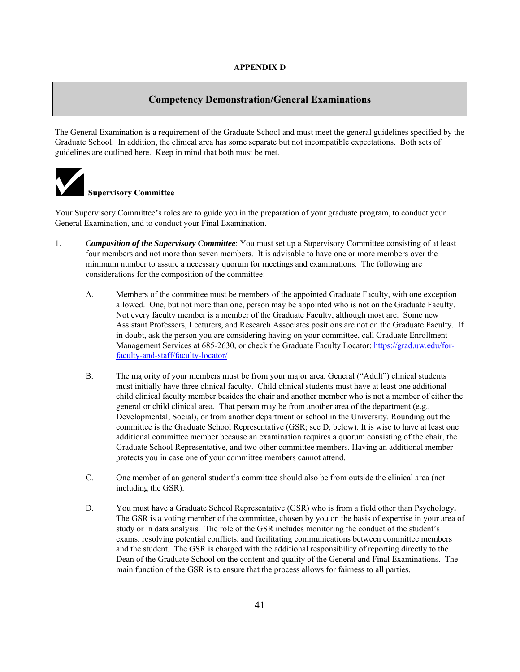# **Competency Demonstration/General Examinations**

The General Examination is a requirement of the Graduate School and must meet the general guidelines specified by the Graduate School. In addition, the clinical area has some separate but not incompatible expectations. Both sets of guidelines are outlined here. Keep in mind that both must be met.



# **Supervisory Committee**

Your Supervisory Committee's roles are to guide you in the preparation of your graduate program, to conduct your General Examination, and to conduct your Final Examination.

- 1. *Composition of the Supervisory Committee*: You must set up a Supervisory Committee consisting of at least four members and not more than seven members. It is advisable to have one or more members over the minimum number to assure a necessary quorum for meetings and examinations. The following are considerations for the composition of the committee:
	- A. Members of the committee must be members of the appointed Graduate Faculty, with one exception allowed. One, but not more than one, person may be appointed who is not on the Graduate Faculty. Not every faculty member is a member of the Graduate Faculty, although most are. Some new Assistant Professors, Lecturers, and Research Associates positions are not on the Graduate Faculty. If in doubt, ask the person you are considering having on your committee, call Graduate Enrollment Management Services at 685-2630, or check the Graduate Faculty Locator: https://grad.uw.edu/forfaculty-and-staff/faculty-locator/
	- B. The majority of your members must be from your major area. General ("Adult") clinical students must initially have three clinical faculty. Child clinical students must have at least one additional child clinical faculty member besides the chair and another member who is not a member of either the general or child clinical area. That person may be from another area of the department (e.g., Developmental, Social), or from another department or school in the University. Rounding out the committee is the Graduate School Representative (GSR; see D, below). It is wise to have at least one additional committee member because an examination requires a quorum consisting of the chair, the Graduate School Representative, and two other committee members. Having an additional member protects you in case one of your committee members cannot attend.
	- C. One member of an general student's committee should also be from outside the clinical area (not including the GSR).
	- D. You must have a Graduate School Representative (GSR) who is from a field other than Psychology**.**  The GSR is a voting member of the committee, chosen by you on the basis of expertise in your area of study or in data analysis. The role of the GSR includes monitoring the conduct of the student's exams, resolving potential conflicts, and facilitating communications between committee members and the student. The GSR is charged with the additional responsibility of reporting directly to the Dean of the Graduate School on the content and quality of the General and Final Examinations. The main function of the GSR is to ensure that the process allows for fairness to all parties.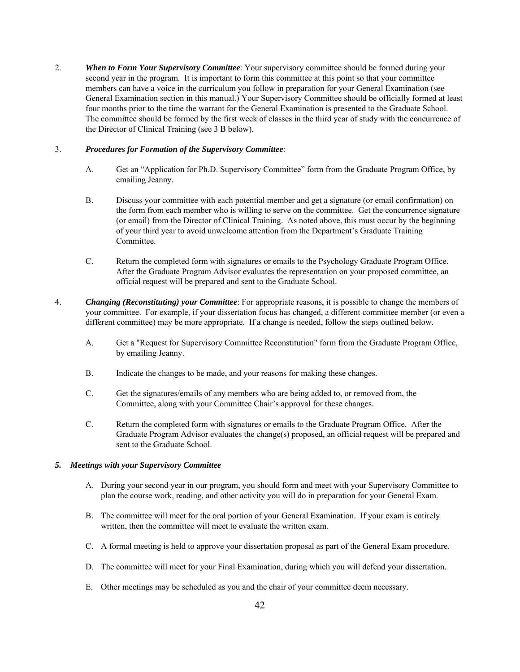2. *When to Form Your Supervisory Committee*: Your supervisory committee should be formed during your second year in the program. It is important to form this committee at this point so that your committee members can have a voice in the curriculum you follow in preparation for your General Examination (see General Examination section in this manual.) Your Supervisory Committee should be officially formed at least four months prior to the time the warrant for the General Examination is presented to the Graduate School. The committee should be formed by the first week of classes in the third year of study with the concurrence of the Director of Clinical Training (see 3 B below).

# 3. *Procedures for Formation of the Supervisory Committee*:

- A. Get an "Application for Ph.D. Supervisory Committee" form from the Graduate Program Office, by emailing Jeanny.
- B. Discuss your committee with each potential member and get a signature (or email confirmation) on the form from each member who is willing to serve on the committee. Get the concurrence signature (or email) from the Director of Clinical Training. As noted above, this must occur by the beginning of your third year to avoid unwelcome attention from the Department's Graduate Training Committee.
- C. Return the completed form with signatures or emails to the Psychology Graduate Program Office. After the Graduate Program Advisor evaluates the representation on your proposed committee, an official request will be prepared and sent to the Graduate School.
- 4. *Changing (Reconstituting) your Committee*: For appropriate reasons, it is possible to change the members of your committee. For example, if your dissertation focus has changed, a different committee member (or even a different committee) may be more appropriate. If a change is needed, follow the steps outlined below.
	- A. Get a "Request for Supervisory Committee Reconstitution" form from the Graduate Program Office, by emailing Jeanny.
	- B. Indicate the changes to be made, and your reasons for making these changes.
	- C. Get the signatures/emails of any members who are being added to, or removed from, the Committee, along with your Committee Chair's approval for these changes.
	- C. Return the completed form with signatures or emails to the Graduate Program Office. After the Graduate Program Advisor evaluates the change(s) proposed, an official request will be prepared and sent to the Graduate School.

# *5. Meetings with your Supervisory Committee*

- A. During your second year in our program, you should form and meet with your Supervisory Committee to plan the course work, reading, and other activity you will do in preparation for your General Exam.
- B. The committee will meet for the oral portion of your General Examination. If your exam is entirely written, then the committee will meet to evaluate the written exam.
- C. A formal meeting is held to approve your dissertation proposal as part of the General Exam procedure.
- D. The committee will meet for your Final Examination, during which you will defend your dissertation.
- E. Other meetings may be scheduled as you and the chair of your committee deem necessary.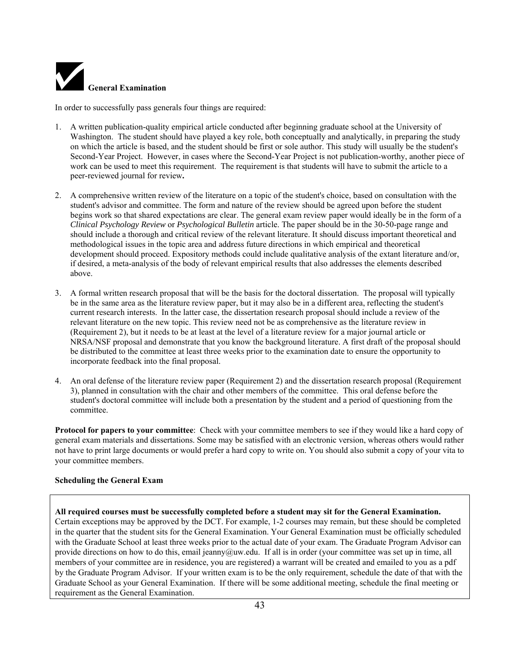

In order to successfully pass generals four things are required:

- 1. A written publication-quality empirical article conducted after beginning graduate school at the University of Washington. The student should have played a key role, both conceptually and analytically, in preparing the study on which the article is based, and the student should be first or sole author. This study will usually be the student's Second-Year Project. However, in cases where the Second-Year Project is not publication-worthy, another piece of work can be used to meet this requirement. The requirement is that students will have to submit the article to a peer-reviewed journal for review**.**
- 2. A comprehensive written review of the literature on a topic of the student's choice, based on consultation with the student's advisor and committee. The form and nature of the review should be agreed upon before the student begins work so that shared expectations are clear. The general exam review paper would ideally be in the form of a *Clinical Psychology Review* or *Psychological Bulletin* article. The paper should be in the 30-50-page range and should include a thorough and critical review of the relevant literature. It should discuss important theoretical and methodological issues in the topic area and address future directions in which empirical and theoretical development should proceed. Expository methods could include qualitative analysis of the extant literature and/or, if desired, a meta-analysis of the body of relevant empirical results that also addresses the elements described above.
- 3. A formal written research proposal that will be the basis for the doctoral dissertation. The proposal will typically be in the same area as the literature review paper, but it may also be in a different area, reflecting the student's current research interests. In the latter case, the dissertation research proposal should include a review of the relevant literature on the new topic. This review need not be as comprehensive as the literature review in (Requirement 2), but it needs to be at least at the level of a literature review for a major journal article or NRSA/NSF proposal and demonstrate that you know the background literature. A first draft of the proposal should be distributed to the committee at least three weeks prior to the examination date to ensure the opportunity to incorporate feedback into the final proposal.
- 4. An oral defense of the literature review paper (Requirement 2) and the dissertation research proposal (Requirement 3), planned in consultation with the chair and other members of the committee. This oral defense before the student's doctoral committee will include both a presentation by the student and a period of questioning from the committee.

**Protocol for papers to your committee**: Check with your committee members to see if they would like a hard copy of general exam materials and dissertations. Some may be satisfied with an electronic version, whereas others would rather not have to print large documents or would prefer a hard copy to write on. You should also submit a copy of your vita to your committee members.

# **Scheduling the General Exam**

# **All required courses must be successfully completed before a student may sit for the General Examination.** Certain exceptions may be approved by the DCT. For example, 1-2 courses may remain, but these should be completed in the quarter that the student sits for the General Examination. Your General Examination must be officially scheduled with the Graduate School at least three weeks prior to the actual date of your exam. The Graduate Program Advisor can provide directions on how to do this, email jeanny@uw.edu. If all is in order (your committee was set up in time, all members of your committee are in residence, you are registered) a warrant will be created and emailed to you as a pdf by the Graduate Program Advisor. If your written exam is to be the only requirement, schedule the date of that with the Graduate School as your General Examination. If there will be some additional meeting, schedule the final meeting or requirement as the General Examination.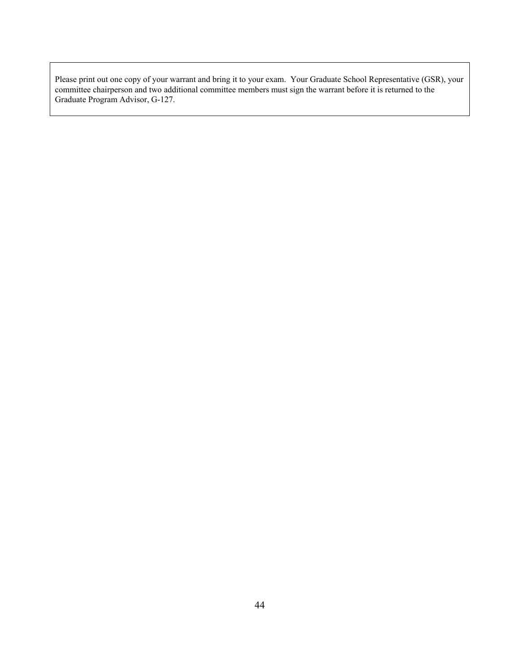Please print out one copy of your warrant and bring it to your exam. Your Graduate School Representative (GSR), your committee chairperson and two additional committee members must sign the warrant before it is returned to the Graduate Program Advisor, G-127.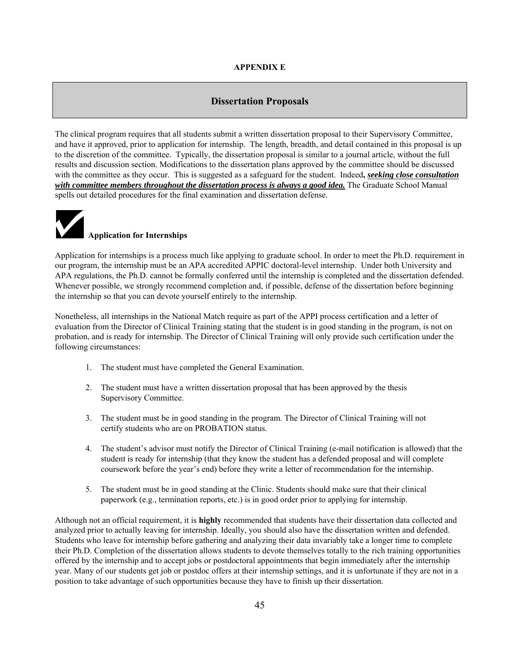# **APPENDIX E**

# **Dissertation Proposals**

The clinical program requires that all students submit a written dissertation proposal to their Supervisory Committee, and have it approved, prior to application for internship. The length, breadth, and detail contained in this proposal is up to the discretion of the committee. Typically, the dissertation proposal is similar to a journal article, without the full results and discussion section. Modifications to the dissertation plans approved by the committee should be discussed with the committee as they occur. This is suggested as a safeguard for the student. Indeed**,** *seeking close consultation with committee members throughout the dissertation process is always a good idea.* The Graduate School Manual spells out detailed procedures for the final examination and dissertation defense.



Application for internships is a process much like applying to graduate school. In order to meet the Ph.D. requirement in our program, the internship must be an APA accredited APPIC doctoral-level internship.Under both University and APA regulations, the Ph.D. cannot be formally conferred until the internship is completed and the dissertation defended. Whenever possible, we strongly recommend completion and, if possible, defense of the dissertation before beginning the internship so that you can devote yourself entirely to the internship.

Nonetheless, all internships in the National Match require as part of the APPI process certification and a letter of evaluation from the Director of Clinical Training stating that the student is in good standing in the program, is not on probation, and is ready for internship. The Director of Clinical Training will only provide such certification under the following circumstances:

- 1. The student must have completed the General Examination.
- 2. The student must have a written dissertation proposal that has been approved by the thesis Supervisory Committee.
- 3. The student must be in good standing in the program. The Director of Clinical Training will not certify students who are on PROBATION status.
- 4. The student's advisor must notify the Director of Clinical Training (e-mail notification is allowed) that the student is ready for internship (that they know the student has a defended proposal and will complete coursework before the year's end) before they write a letter of recommendation for the internship.
- 5. The student must be in good standing at the Clinic. Students should make sure that their clinical paperwork (e.g., termination reports, etc.) is in good order prior to applying for internship.

Although not an official requirement, it is **highly** recommended that students have their dissertation data collected and analyzed prior to actually leaving for internship. Ideally, you should also have the dissertation written and defended. Students who leave for internship before gathering and analyzing their data invariably take a longer time to complete their Ph.D. Completion of the dissertation allows students to devote themselves totally to the rich training opportunities offered by the internship and to accept jobs or postdoctoral appointments that begin immediately after the internship year. Many of our students get job or postdoc offers at their internship settings, and it is unfortunate if they are not in a position to take advantage of such opportunities because they have to finish up their dissertation.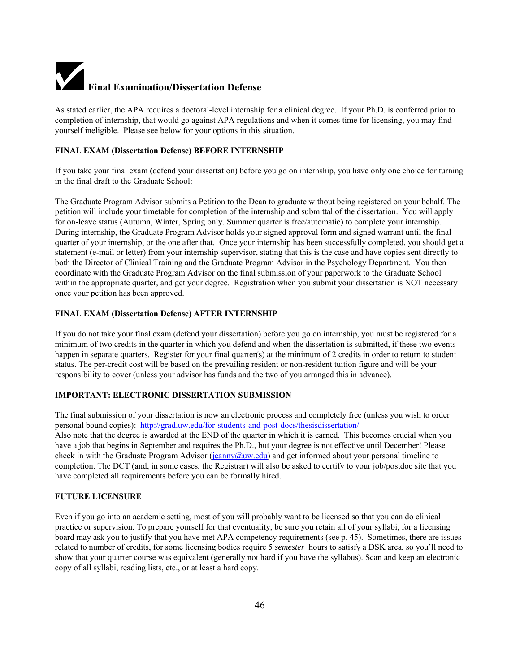# **Final Examination/Dissertation Defense**

As stated earlier, the APA requires a doctoral-level internship for a clinical degree. If your Ph.D. is conferred prior to completion of internship, that would go against APA regulations and when it comes time for licensing, you may find yourself ineligible. Please see below for your options in this situation.

# **FINAL EXAM (Dissertation Defense) BEFORE INTERNSHIP**

If you take your final exam (defend your dissertation) before you go on internship, you have only one choice for turning in the final draft to the Graduate School:

The Graduate Program Advisor submits a Petition to the Dean to graduate without being registered on your behalf. The petition will include your timetable for completion of the internship and submittal of the dissertation. You will apply for on-leave status (Autumn, Winter, Spring only. Summer quarter is free/automatic) to complete your internship. During internship, the Graduate Program Advisor holds your signed approval form and signed warrant until the final quarter of your internship, or the one after that. Once your internship has been successfully completed, you should get a statement (e-mail or letter) from your internship supervisor, stating that this is the case and have copies sent directly to both the Director of Clinical Training and the Graduate Program Advisor in the Psychology Department. You then coordinate with the Graduate Program Advisor on the final submission of your paperwork to the Graduate School within the appropriate quarter, and get your degree. Registration when you submit your dissertation is NOT necessary once your petition has been approved.

# **FINAL EXAM (Dissertation Defense) AFTER INTERNSHIP**

If you do not take your final exam (defend your dissertation) before you go on internship, you must be registered for a minimum of two credits in the quarter in which you defend and when the dissertation is submitted, if these two events happen in separate quarters. Register for your final quarter(s) at the minimum of 2 credits in order to return to student status. The per-credit cost will be based on the prevailing resident or non-resident tuition figure and will be your responsibility to cover (unless your advisor has funds and the two of you arranged this in advance).

# **IMPORTANT: ELECTRONIC DISSERTATION SUBMISSION**

The final submission of your dissertation is now an electronic process and completely free (unless you wish to order personal bound copies): http://grad.uw.edu/for-students-and-post-docs/thesisdissertation/ Also note that the degree is awarded at the END of the quarter in which it is earned. This becomes crucial when you have a job that begins in September and requires the Ph.D., but your degree is not effective until December! Please check in with the Graduate Program Advisor ( $\frac{q_{\text{canny}}(a_{\text{uw.edu}})}{q_{\text{num.edu}}}$ ) and get informed about your personal timeline to completion. The DCT (and, in some cases, the Registrar) will also be asked to certify to your job/postdoc site that you have completed all requirements before you can be formally hired.

# **FUTURE LICENSURE**

Even if you go into an academic setting, most of you will probably want to be licensed so that you can do clinical practice or supervision. To prepare yourself for that eventuality, be sure you retain all of your syllabi, for a licensing board may ask you to justify that you have met APA competency requirements (see p. 45). Sometimes, there are issues related to number of credits, for some licensing bodies require 5 *semester* hours to satisfy a DSK area, so you'll need to show that your quarter course was equivalent (generally not hard if you have the syllabus). Scan and keep an electronic copy of all syllabi, reading lists, etc., or at least a hard copy.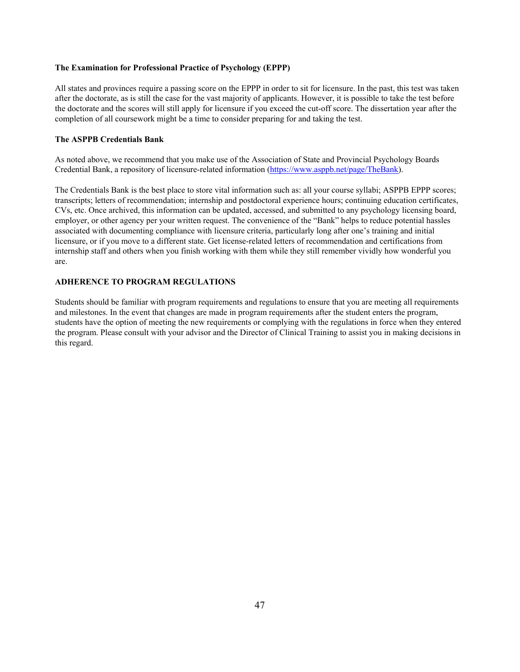# **The Examination for Professional Practice of Psychology (EPPP)**

All states and provinces require a passing score on the EPPP in order to sit for licensure. In the past, this test was taken after the doctorate, as is still the case for the vast majority of applicants. However, it is possible to take the test before the doctorate and the scores will still apply for licensure if you exceed the cut-off score. The dissertation year after the completion of all coursework might be a time to consider preparing for and taking the test.

## **The ASPPB Credentials Bank**

As noted above, we recommend that you make use of the Association of State and Provincial Psychology Boards Credential Bank, a repository of licensure-related information (https://www.asppb.net/page/TheBank).

The Credentials Bank is the best place to store vital information such as: all your course syllabi; ASPPB EPPP scores; transcripts; letters of recommendation; internship and postdoctoral experience hours; continuing education certificates, CVs, etc. Once archived, this information can be updated, accessed, and submitted to any psychology licensing board, employer, or other agency per your written request. The convenience of the "Bank" helps to reduce potential hassles associated with documenting compliance with licensure criteria, particularly long after one's training and initial licensure, or if you move to a different state. Get license-related letters of recommendation and certifications from internship staff and others when you finish working with them while they still remember vividly how wonderful you are.

#### **ADHERENCE TO PROGRAM REGULATIONS**

Students should be familiar with program requirements and regulations to ensure that you are meeting all requirements and milestones. In the event that changes are made in program requirements after the student enters the program, students have the option of meeting the new requirements or complying with the regulations in force when they entered the program. Please consult with your advisor and the Director of Clinical Training to assist you in making decisions in this regard.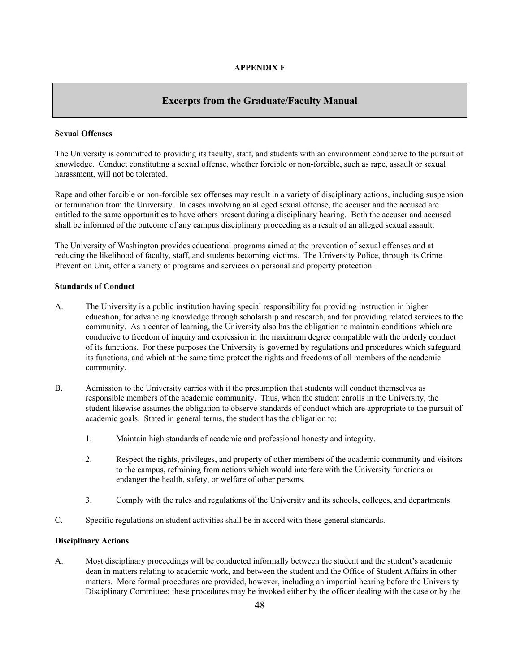# **Excerpts from the Graduate/Faculty Manual**

# **Sexual Offenses**

The University is committed to providing its faculty, staff, and students with an environment conducive to the pursuit of knowledge. Conduct constituting a sexual offense, whether forcible or non-forcible, such as rape, assault or sexual harassment, will not be tolerated.

Rape and other forcible or non-forcible sex offenses may result in a variety of disciplinary actions, including suspension or termination from the University. In cases involving an alleged sexual offense, the accuser and the accused are entitled to the same opportunities to have others present during a disciplinary hearing. Both the accuser and accused shall be informed of the outcome of any campus disciplinary proceeding as a result of an alleged sexual assault.

The University of Washington provides educational programs aimed at the prevention of sexual offenses and at reducing the likelihood of faculty, staff, and students becoming victims. The University Police, through its Crime Prevention Unit, offer a variety of programs and services on personal and property protection.

#### **Standards of Conduct**

- A. The University is a public institution having special responsibility for providing instruction in higher education, for advancing knowledge through scholarship and research, and for providing related services to the community. As a center of learning, the University also has the obligation to maintain conditions which are conducive to freedom of inquiry and expression in the maximum degree compatible with the orderly conduct of its functions. For these purposes the University is governed by regulations and procedures which safeguard its functions, and which at the same time protect the rights and freedoms of all members of the academic community.
- B. Admission to the University carries with it the presumption that students will conduct themselves as responsible members of the academic community. Thus, when the student enrolls in the University, the student likewise assumes the obligation to observe standards of conduct which are appropriate to the pursuit of academic goals. Stated in general terms, the student has the obligation to:
	- 1. Maintain high standards of academic and professional honesty and integrity.
	- 2. Respect the rights, privileges, and property of other members of the academic community and visitors to the campus, refraining from actions which would interfere with the University functions or endanger the health, safety, or welfare of other persons.
	- 3. Comply with the rules and regulations of the University and its schools, colleges, and departments.
- C. Specific regulations on student activities shall be in accord with these general standards.

# **Disciplinary Actions**

A. Most disciplinary proceedings will be conducted informally between the student and the student's academic dean in matters relating to academic work, and between the student and the Office of Student Affairs in other matters. More formal procedures are provided, however, including an impartial hearing before the University Disciplinary Committee; these procedures may be invoked either by the officer dealing with the case or by the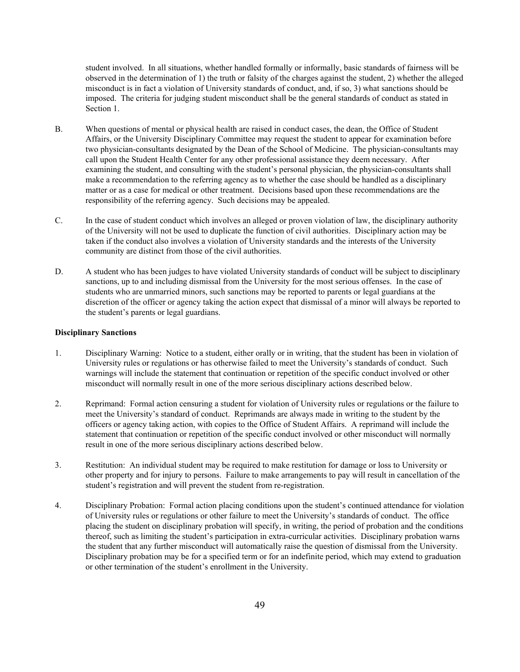student involved. In all situations, whether handled formally or informally, basic standards of fairness will be observed in the determination of 1) the truth or falsity of the charges against the student, 2) whether the alleged misconduct is in fact a violation of University standards of conduct, and, if so, 3) what sanctions should be imposed. The criteria for judging student misconduct shall be the general standards of conduct as stated in Section 1.

- B. When questions of mental or physical health are raised in conduct cases, the dean, the Office of Student Affairs, or the University Disciplinary Committee may request the student to appear for examination before two physician-consultants designated by the Dean of the School of Medicine. The physician-consultants may call upon the Student Health Center for any other professional assistance they deem necessary. After examining the student, and consulting with the student's personal physician, the physician-consultants shall make a recommendation to the referring agency as to whether the case should be handled as a disciplinary matter or as a case for medical or other treatment. Decisions based upon these recommendations are the responsibility of the referring agency. Such decisions may be appealed.
- C. In the case of student conduct which involves an alleged or proven violation of law, the disciplinary authority of the University will not be used to duplicate the function of civil authorities. Disciplinary action may be taken if the conduct also involves a violation of University standards and the interests of the University community are distinct from those of the civil authorities.
- D. A student who has been judges to have violated University standards of conduct will be subject to disciplinary sanctions, up to and including dismissal from the University for the most serious offenses. In the case of students who are unmarried minors, such sanctions may be reported to parents or legal guardians at the discretion of the officer or agency taking the action expect that dismissal of a minor will always be reported to the student's parents or legal guardians.

# **Disciplinary Sanctions**

- 1. Disciplinary Warning: Notice to a student, either orally or in writing, that the student has been in violation of University rules or regulations or has otherwise failed to meet the University's standards of conduct. Such warnings will include the statement that continuation or repetition of the specific conduct involved or other misconduct will normally result in one of the more serious disciplinary actions described below.
- 2. Reprimand: Formal action censuring a student for violation of University rules or regulations or the failure to meet the University's standard of conduct. Reprimands are always made in writing to the student by the officers or agency taking action, with copies to the Office of Student Affairs. A reprimand will include the statement that continuation or repetition of the specific conduct involved or other misconduct will normally result in one of the more serious disciplinary actions described below.
- 3. Restitution: An individual student may be required to make restitution for damage or loss to University or other property and for injury to persons. Failure to make arrangements to pay will result in cancellation of the student's registration and will prevent the student from re-registration.
- 4. Disciplinary Probation: Formal action placing conditions upon the student's continued attendance for violation of University rules or regulations or other failure to meet the University's standards of conduct. The office placing the student on disciplinary probation will specify, in writing, the period of probation and the conditions thereof, such as limiting the student's participation in extra-curricular activities. Disciplinary probation warns the student that any further misconduct will automatically raise the question of dismissal from the University. Disciplinary probation may be for a specified term or for an indefinite period, which may extend to graduation or other termination of the student's enrollment in the University.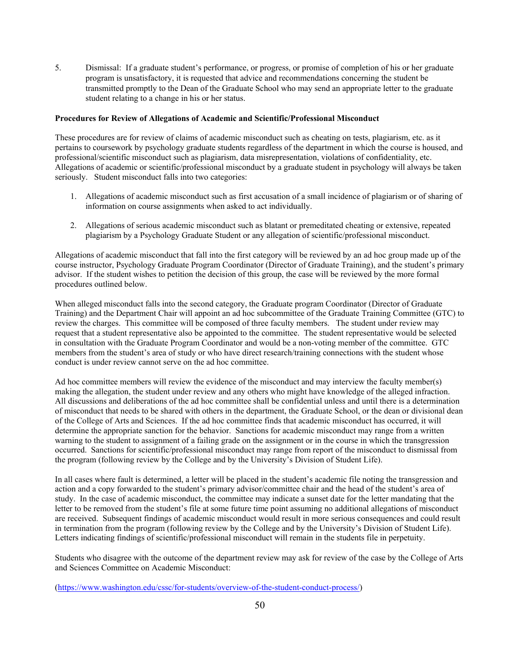5. Dismissal: If a graduate student's performance, or progress, or promise of completion of his or her graduate program is unsatisfactory, it is requested that advice and recommendations concerning the student be transmitted promptly to the Dean of the Graduate School who may send an appropriate letter to the graduate student relating to a change in his or her status.

#### **Procedures for Review of Allegations of Academic and Scientific/Professional Misconduct**

These procedures are for review of claims of academic misconduct such as cheating on tests, plagiarism, etc. as it pertains to coursework by psychology graduate students regardless of the department in which the course is housed, and professional/scientific misconduct such as plagiarism, data misrepresentation, violations of confidentiality, etc. Allegations of academic or scientific/professional misconduct by a graduate student in psychology will always be taken seriously. Student misconduct falls into two categories:

- 1. Allegations of academic misconduct such as first accusation of a small incidence of plagiarism or of sharing of information on course assignments when asked to act individually.
- 2. Allegations of serious academic misconduct such as blatant or premeditated cheating or extensive, repeated plagiarism by a Psychology Graduate Student or any allegation of scientific/professional misconduct.

Allegations of academic misconduct that fall into the first category will be reviewed by an ad hoc group made up of the course instructor, Psychology Graduate Program Coordinator (Director of Graduate Training), and the student's primary advisor. If the student wishes to petition the decision of this group, the case will be reviewed by the more formal procedures outlined below.

When alleged misconduct falls into the second category, the Graduate program Coordinator (Director of Graduate Training) and the Department Chair will appoint an ad hoc subcommittee of the Graduate Training Committee (GTC) to review the charges. This committee will be composed of three faculty members. The student under review may request that a student representative also be appointed to the committee. The student representative would be selected in consultation with the Graduate Program Coordinator and would be a non-voting member of the committee. GTC members from the student's area of study or who have direct research/training connections with the student whose conduct is under review cannot serve on the ad hoc committee.

Ad hoc committee members will review the evidence of the misconduct and may interview the faculty member(s) making the allegation, the student under review and any others who might have knowledge of the alleged infraction. All discussions and deliberations of the ad hoc committee shall be confidential unless and until there is a determination of misconduct that needs to be shared with others in the department, the Graduate School, or the dean or divisional dean of the College of Arts and Sciences. If the ad hoc committee finds that academic misconduct has occurred, it will determine the appropriate sanction for the behavior. Sanctions for academic misconduct may range from a written warning to the student to assignment of a failing grade on the assignment or in the course in which the transgression occurred. Sanctions for scientific/professional misconduct may range from report of the misconduct to dismissal from the program (following review by the College and by the University's Division of Student Life).

In all cases where fault is determined, a letter will be placed in the student's academic file noting the transgression and action and a copy forwarded to the student's primary advisor/committee chair and the head of the student's area of study. In the case of academic misconduct, the committee may indicate a sunset date for the letter mandating that the letter to be removed from the student's file at some future time point assuming no additional allegations of misconduct are received. Subsequent findings of academic misconduct would result in more serious consequences and could result in termination from the program (following review by the College and by the University's Division of Student Life). Letters indicating findings of scientific/professional misconduct will remain in the students file in perpetuity.

Students who disagree with the outcome of the department review may ask for review of the case by the College of Arts and Sciences Committee on Academic Misconduct:

(https://www.washington.edu/cssc/for-students/overview-of-the-student-conduct-process/)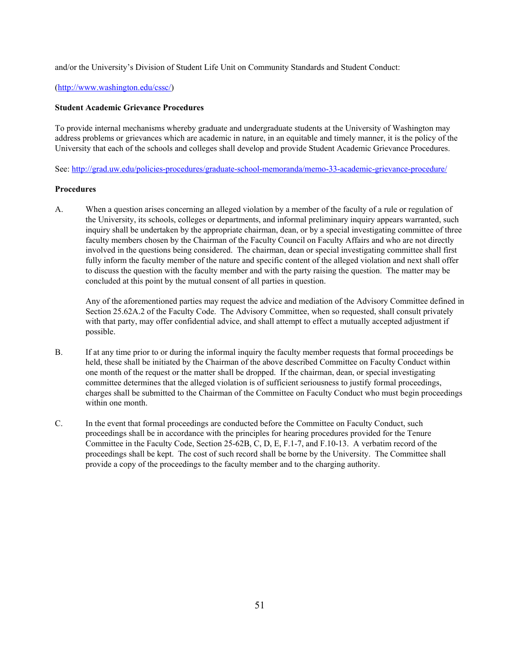and/or the University's Division of Student Life Unit on Community Standards and Student Conduct:

#### (http://www.washington.edu/cssc/)

# **Student Academic Grievance Procedures**

To provide internal mechanisms whereby graduate and undergraduate students at the University of Washington may address problems or grievances which are academic in nature, in an equitable and timely manner, it is the policy of the University that each of the schools and colleges shall develop and provide Student Academic Grievance Procedures.

See: http://grad.uw.edu/policies-procedures/graduate-school-memoranda/memo-33-academic-grievance-procedure/

# **Procedures**

A. When a question arises concerning an alleged violation by a member of the faculty of a rule or regulation of the University, its schools, colleges or departments, and informal preliminary inquiry appears warranted, such inquiry shall be undertaken by the appropriate chairman, dean, or by a special investigating committee of three faculty members chosen by the Chairman of the Faculty Council on Faculty Affairs and who are not directly involved in the questions being considered. The chairman, dean or special investigating committee shall first fully inform the faculty member of the nature and specific content of the alleged violation and next shall offer to discuss the question with the faculty member and with the party raising the question. The matter may be concluded at this point by the mutual consent of all parties in question.

Any of the aforementioned parties may request the advice and mediation of the Advisory Committee defined in Section 25.62A.2 of the Faculty Code. The Advisory Committee, when so requested, shall consult privately with that party, may offer confidential advice, and shall attempt to effect a mutually accepted adjustment if possible.

- B. If at any time prior to or during the informal inquiry the faculty member requests that formal proceedings be held, these shall be initiated by the Chairman of the above described Committee on Faculty Conduct within one month of the request or the matter shall be dropped. If the chairman, dean, or special investigating committee determines that the alleged violation is of sufficient seriousness to justify formal proceedings, charges shall be submitted to the Chairman of the Committee on Faculty Conduct who must begin proceedings within one month.
- C. In the event that formal proceedings are conducted before the Committee on Faculty Conduct, such proceedings shall be in accordance with the principles for hearing procedures provided for the Tenure Committee in the Faculty Code, Section 25-62B, C, D, E, F.1-7, and F.10-13. A verbatim record of the proceedings shall be kept. The cost of such record shall be borne by the University. The Committee shall provide a copy of the proceedings to the faculty member and to the charging authority.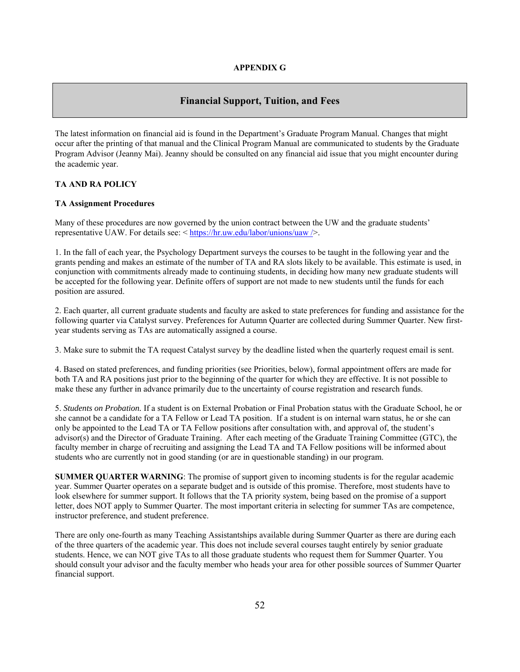# **Financial Support, Tuition, and Fees**

The latest information on financial aid is found in the Department's Graduate Program Manual. Changes that might occur after the printing of that manual and the Clinical Program Manual are communicated to students by the Graduate Program Advisor (Jeanny Mai). Jeanny should be consulted on any financial aid issue that you might encounter during the academic year.

#### **TA AND RA POLICY**

#### **TA Assignment Procedures**

Many of these procedures are now governed by the union contract between the UW and the graduate students' representative UAW. For details see: < https://hr.uw.edu/labor/unions/uaw />.

1. In the fall of each year, the Psychology Department surveys the courses to be taught in the following year and the grants pending and makes an estimate of the number of TA and RA slots likely to be available. This estimate is used, in conjunction with commitments already made to continuing students, in deciding how many new graduate students will be accepted for the following year. Definite offers of support are not made to new students until the funds for each position are assured.

2. Each quarter, all current graduate students and faculty are asked to state preferences for funding and assistance for the following quarter via Catalyst survey. Preferences for Autumn Quarter are collected during Summer Quarter. New firstyear students serving as TAs are automatically assigned a course.

3. Make sure to submit the TA request Catalyst survey by the deadline listed when the quarterly request email is sent.

4. Based on stated preferences, and funding priorities (see Priorities, below), formal appointment offers are made for both TA and RA positions just prior to the beginning of the quarter for which they are effective. It is not possible to make these any further in advance primarily due to the uncertainty of course registration and research funds.

5. *Students on Probation.* If a student is on External Probation or Final Probation status with the Graduate School, he or she cannot be a candidate for a TA Fellow or Lead TA position. If a student is on internal warn status, he or she can only be appointed to the Lead TA or TA Fellow positions after consultation with, and approval of, the student's advisor(s) and the Director of Graduate Training. After each meeting of the Graduate Training Committee (GTC), the faculty member in charge of recruiting and assigning the Lead TA and TA Fellow positions will be informed about students who are currently not in good standing (or are in questionable standing) in our program.

**SUMMER QUARTER WARNING**: The promise of support given to incoming students is for the regular academic year. Summer Quarter operates on a separate budget and is outside of this promise. Therefore, most students have to look elsewhere for summer support. It follows that the TA priority system, being based on the promise of a support letter, does NOT apply to Summer Quarter. The most important criteria in selecting for summer TAs are competence, instructor preference, and student preference.

There are only one-fourth as many Teaching Assistantships available during Summer Quarter as there are during each of the three quarters of the academic year. This does not include several courses taught entirely by senior graduate students. Hence, we can NOT give TAs to all those graduate students who request them for Summer Quarter. You should consult your advisor and the faculty member who heads your area for other possible sources of Summer Quarter financial support.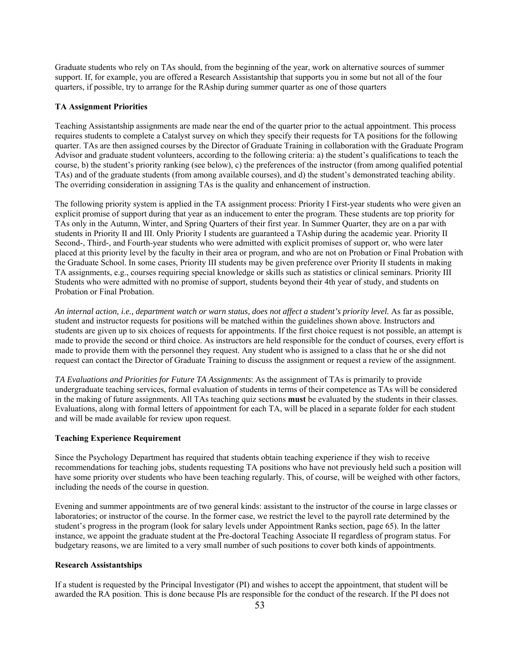Graduate students who rely on TAs should, from the beginning of the year, work on alternative sources of summer support. If, for example, you are offered a Research Assistantship that supports you in some but not all of the four quarters, if possible, try to arrange for the RAship during summer quarter as one of those quarters

# **TA Assignment Priorities**

Teaching Assistantship assignments are made near the end of the quarter prior to the actual appointment. This process requires students to complete a Catalyst survey on which they specify their requests for TA positions for the following quarter. TAs are then assigned courses by the Director of Graduate Training in collaboration with the Graduate Program Advisor and graduate student volunteers, according to the following criteria: a) the student's qualifications to teach the course, b) the student's priority ranking (see below), c) the preferences of the instructor (from among qualified potential TAs) and of the graduate students (from among available courses), and d) the student's demonstrated teaching ability. The overriding consideration in assigning TAs is the quality and enhancement of instruction.

The following priority system is applied in the TA assignment process: Priority I First-year students who were given an explicit promise of support during that year as an inducement to enter the program. These students are top priority for TAs only in the Autumn, Winter, and Spring Quarters of their first year. In Summer Quarter, they are on a par with students in Priority II and III. Only Priority I students are guaranteed a TAship during the academic year. Priority II Second-, Third-, and Fourth-year students who were admitted with explicit promises of support or, who were later placed at this priority level by the faculty in their area or program, and who are not on Probation or Final Probation with the Graduate School. In some cases, Priority III students may be given preference over Priority II students in making TA assignments, e.g., courses requiring special knowledge or skills such as statistics or clinical seminars. Priority III Students who were admitted with no promise of support, students beyond their 4th year of study, and students on Probation or Final Probation.

*An internal action, i.e., department watch or warn status, does not affect a student's priority level.* As far as possible, student and instructor requests for positions will be matched within the guidelines shown above. Instructors and students are given up to six choices of requests for appointments. If the first choice request is not possible, an attempt is made to provide the second or third choice. As instructors are held responsible for the conduct of courses, every effort is made to provide them with the personnel they request. Any student who is assigned to a class that he or she did not request can contact the Director of Graduate Training to discuss the assignment or request a review of the assignment.

*TA Evaluations and Priorities for Future TA Assignments*: As the assignment of TAs is primarily to provide undergraduate teaching services, formal evaluation of students in terms of their competence as TAs will be considered in the making of future assignments. All TAs teaching quiz sections **must** be evaluated by the students in their classes. Evaluations, along with formal letters of appointment for each TA, will be placed in a separate folder for each student and will be made available for review upon request.

#### **Teaching Experience Requirement**

Since the Psychology Department has required that students obtain teaching experience if they wish to receive recommendations for teaching jobs, students requesting TA positions who have not previously held such a position will have some priority over students who have been teaching regularly. This, of course, will be weighed with other factors, including the needs of the course in question.

Evening and summer appointments are of two general kinds: assistant to the instructor of the course in large classes or laboratories; or instructor of the course. In the former case, we restrict the level to the payroll rate determined by the student's progress in the program (look for salary levels under Appointment Ranks section, page 65). In the latter instance, we appoint the graduate student at the Pre-doctoral Teaching Associate II regardless of program status. For budgetary reasons, we are limited to a very small number of such positions to cover both kinds of appointments.

# **Research Assistantships**

If a student is requested by the Principal Investigator (PI) and wishes to accept the appointment, that student will be awarded the RA position. This is done because PIs are responsible for the conduct of the research. If the PI does not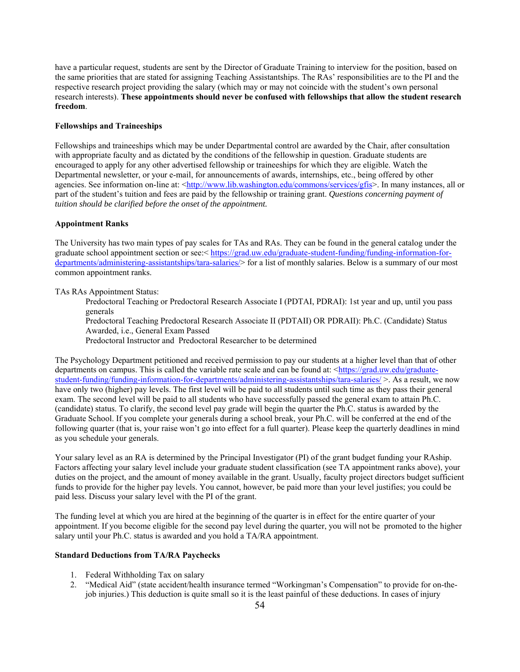have a particular request, students are sent by the Director of Graduate Training to interview for the position, based on the same priorities that are stated for assigning Teaching Assistantships. The RAs' responsibilities are to the PI and the respective research project providing the salary (which may or may not coincide with the student's own personal research interests). **These appointments should never be confused with fellowships that allow the student research freedom**.

# **Fellowships and Traineeships**

Fellowships and traineeships which may be under Departmental control are awarded by the Chair, after consultation with appropriate faculty and as dictated by the conditions of the fellowship in question. Graduate students are encouraged to apply for any other advertised fellowship or traineeships for which they are eligible. Watch the Departmental newsletter, or your e-mail, for announcements of awards, internships, etc., being offered by other agencies. See information on-line at: <http://www.lib.washington.edu/commons/services/gfis>. In many instances, all or part of the student's tuition and fees are paid by the fellowship or training grant. *Questions concerning payment of tuition should be clarified before the onset of the appointment.* 

# **Appointment Ranks**

The University has two main types of pay scales for TAs and RAs. They can be found in the general catalog under the graduate school appointment section or see:< https://grad.uw.edu/graduate-student-funding/funding-information-fordepartments/administering-assistantships/tara-salaries/> for a list of monthly salaries. Below is a summary of our most common appointment ranks.

TAs RAs Appointment Status:

Predoctoral Teaching or Predoctoral Research Associate I (PDTAI, PDRAI): 1st year and up, until you pass generals

Predoctoral Teaching Predoctoral Research Associate II (PDTAII) OR PDRAII): Ph.C. (Candidate) Status Awarded, i.e., General Exam Passed

Predoctoral Instructor and Predoctoral Researcher to be determined

The Psychology Department petitioned and received permission to pay our students at a higher level than that of other departments on campus. This is called the variable rate scale and can be found at: <https://grad.uw.edu/graduatestudent-funding/funding-information-for-departments/administering-assistantships/tara-salaries/ >. As a result, we now have only two (higher) pay levels. The first level will be paid to all students until such time as they pass their general exam. The second level will be paid to all students who have successfully passed the general exam to attain Ph.C. (candidate) status. To clarify, the second level pay grade will begin the quarter the Ph.C. status is awarded by the Graduate School. If you complete your generals during a school break, your Ph.C. will be conferred at the end of the following quarter (that is, your raise won't go into effect for a full quarter). Please keep the quarterly deadlines in mind as you schedule your generals.

Your salary level as an RA is determined by the Principal Investigator (PI) of the grant budget funding your RAship. Factors affecting your salary level include your graduate student classification (see TA appointment ranks above), your duties on the project, and the amount of money available in the grant. Usually, faculty project directors budget sufficient funds to provide for the higher pay levels. You cannot, however, be paid more than your level justifies; you could be paid less. Discuss your salary level with the PI of the grant.

The funding level at which you are hired at the beginning of the quarter is in effect for the entire quarter of your appointment. If you become eligible for the second pay level during the quarter, you will not be promoted to the higher salary until your Ph.C. status is awarded and you hold a TA/RA appointment.

#### **Standard Deductions from TA/RA Paychecks**

- 1. Federal Withholding Tax on salary
- 2. "Medical Aid" (state accident/health insurance termed "Workingman's Compensation" to provide for on-thejob injuries.) This deduction is quite small so it is the least painful of these deductions. In cases of injury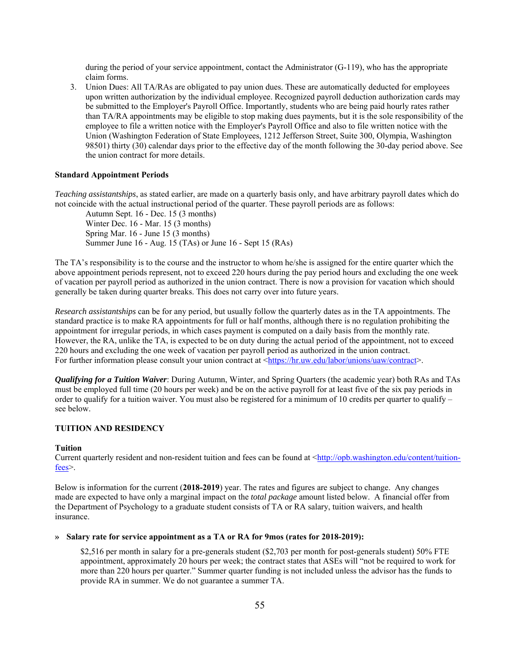during the period of your service appointment, contact the Administrator (G-119), who has the appropriate claim forms.

3. Union Dues: All TA/RAs are obligated to pay union dues. These are automatically deducted for employees upon written authorization by the individual employee. Recognized payroll deduction authorization cards may be submitted to the Employer's Payroll Office. Importantly, students who are being paid hourly rates rather than TA/RA appointments may be eligible to stop making dues payments, but it is the sole responsibility of the employee to file a written notice with the Employer's Payroll Office and also to file written notice with the Union (Washington Federation of State Employees, 1212 Jefferson Street, Suite 300, Olympia, Washington 98501) thirty (30) calendar days prior to the effective day of the month following the 30-day period above. See the union contract for more details.

#### **Standard Appointment Periods**

*Teaching assistantships*, as stated earlier, are made on a quarterly basis only, and have arbitrary payroll dates which do not coincide with the actual instructional period of the quarter. These payroll periods are as follows:

Autumn Sept. 16 - Dec. 15 (3 months) Winter Dec. 16 - Mar. 15 (3 months) Spring Mar. 16 - June 15 (3 months) Summer June 16 - Aug. 15 (TAs) or June 16 - Sept 15 (RAs)

The TA's responsibility is to the course and the instructor to whom he/she is assigned for the entire quarter which the above appointment periods represent, not to exceed 220 hours during the pay period hours and excluding the one week of vacation per payroll period as authorized in the union contract. There is now a provision for vacation which should generally be taken during quarter breaks. This does not carry over into future years.

*Research assistantships* can be for any period, but usually follow the quarterly dates as in the TA appointments. The standard practice is to make RA appointments for full or half months, although there is no regulation prohibiting the appointment for irregular periods, in which cases payment is computed on a daily basis from the monthly rate. However, the RA, unlike the TA, is expected to be on duty during the actual period of the appointment, not to exceed 220 hours and excluding the one week of vacation per payroll period as authorized in the union contract. For further information please consult your union contract at <https://hr.uw.edu/labor/unions/uaw/contract>.

*Qualifying for a Tuition Waiver*: During Autumn, Winter, and Spring Quarters (the academic year) both RAs and TAs must be employed full time (20 hours per week) and be on the active payroll for at least five of the six pay periods in order to qualify for a tuition waiver. You must also be registered for a minimum of 10 credits per quarter to qualify – see below.

# **TUITION AND RESIDENCY**

#### **Tuition**

Current quarterly resident and non-resident tuition and fees can be found at <http://opb.washington.edu/content/tuitionfees>.

Below is information for the current (**2018-2019**) year. The rates and figures are subject to change. Any changes made are expected to have only a marginal impact on the *total package* amount listed below. A financial offer from the Department of Psychology to a graduate student consists of TA or RA salary, tuition waivers, and health insurance.

#### **» Salary rate for service appointment as a TA or RA for 9mos (rates for 2018-2019):**

\$2,516 per month in salary for a pre-generals student (\$2,703 per month for post-generals student) 50% FTE appointment, approximately 20 hours per week; the contract states that ASEs will "not be required to work for more than 220 hours per quarter." Summer quarter funding is not included unless the advisor has the funds to provide RA in summer. We do not guarantee a summer TA.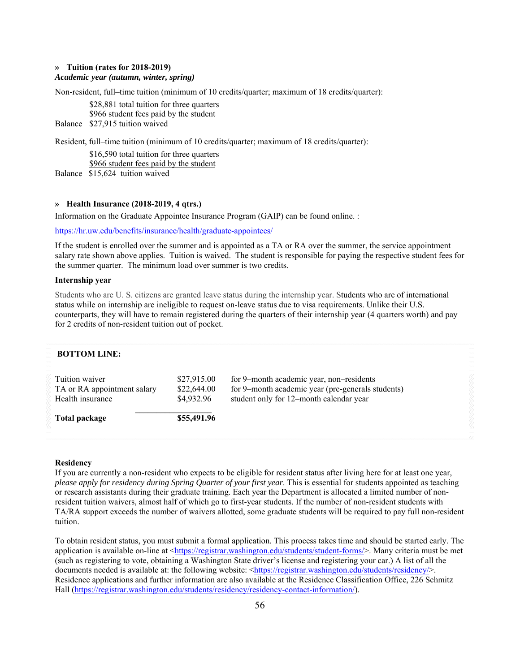# **» Tuition (rates for 2018-2019)**  *Academic year (autumn, winter, spring)*

Non-resident, full–time tuition (minimum of 10 credits/quarter; maximum of 18 credits/quarter):

\$28,881 total tuition for three quarters \$966 student fees paid by the student Balance \$27,915 tuition waived

Resident, full–time tuition (minimum of 10 credits/quarter; maximum of 18 credits/quarter):

 \$16,590 total tuition for three quarters \$966 student fees paid by the student

Balance \$15,624 tuition waived

# **» Health Insurance (2018-2019, 4 qtrs.)**

Information on the Graduate Appointee Insurance Program (GAIP) can be found online. :

https://hr.uw.edu/benefits/insurance/health/graduate-appointees/

If the student is enrolled over the summer and is appointed as a TA or RA over the summer, the service appointment salary rate shown above applies. Tuition is waived. The student is responsible for paying the respective student fees for the summer quarter. The minimum load over summer is two credits.

#### **Internship year**

Students who are U. S. citizens are granted leave status during the internship year. Students who are of international status while on internship are ineligible to request on-leave status due to visa requirements. Unlike their U.S. counterparts, they will have to remain registered during the quarters of their internship year (4 quarters worth) and pay for 2 credits of non-resident tuition out of pocket.

| <b>BOTTOM LINE:</b>                                               |                                          |                                                                                                                                          |  |
|-------------------------------------------------------------------|------------------------------------------|------------------------------------------------------------------------------------------------------------------------------------------|--|
| Tuition waiver<br>TA or RA appointment salary<br>Health insurance | \$27,915.00<br>\$22,644.00<br>\$4,932.96 | for 9-month academic year, non-residents<br>for 9-month academic year (pre-generals students)<br>student only for 12-month calendar year |  |
| Total package                                                     | \$55,491.96                              |                                                                                                                                          |  |
|                                                                   |                                          |                                                                                                                                          |  |

#### **Residency**

If you are currently a non-resident who expects to be eligible for resident status after living here for at least one year, *please apply for residency during Spring Quarter of your first year*. This is essential for students appointed as teaching or research assistants during their graduate training. Each year the Department is allocated a limited number of nonresident tuition waivers, almost half of which go to first-year students. If the number of non-resident students with TA/RA support exceeds the number of waivers allotted, some graduate students will be required to pay full non-resident tuition.

To obtain resident status, you must submit a formal application. This process takes time and should be started early. The application is available on-line at <https://registrar.washington.edu/students/student-forms/>. Many criteria must be met (such as registering to vote, obtaining a Washington State driver's license and registering your car.) A list of all the documents needed is available at: the following website: <https://registrar.washington.edu/students/residency/>. Residence applications and further information are also available at the Residence Classification Office, 226 Schmitz Hall (https://registrar.washington.edu/students/residency/residency-contact-information/).